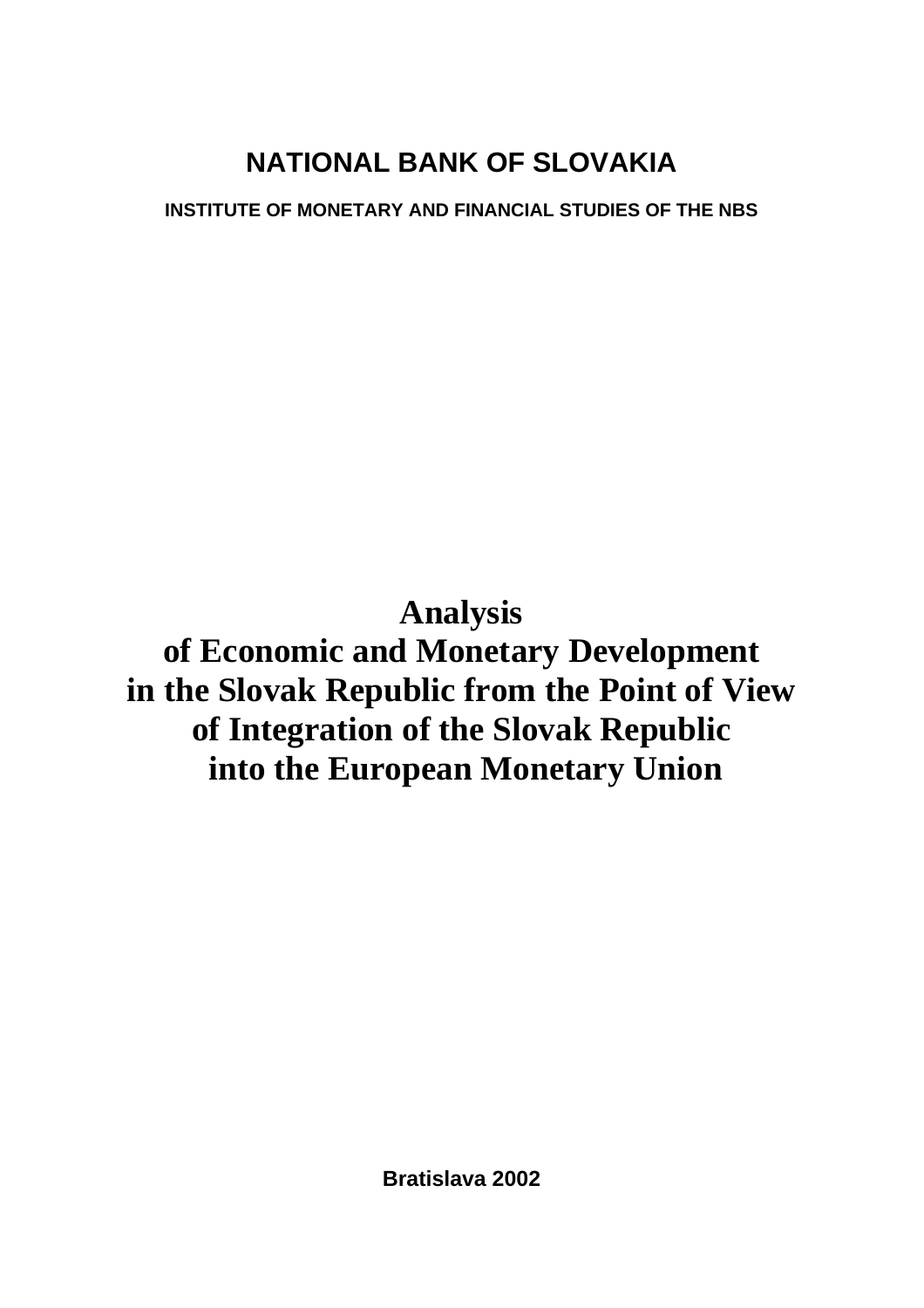### **NATIONAL BANK OF SLOVAKIA**

**INSTITUTE OF MONETARY AND FINANCIAL STUDIES OF THE NBS**

# **Analysis**

## **of Economic and Monetary Development in the Slovak Republic from the Point of View of Integration of the Slovak Republic into the European Monetary Union**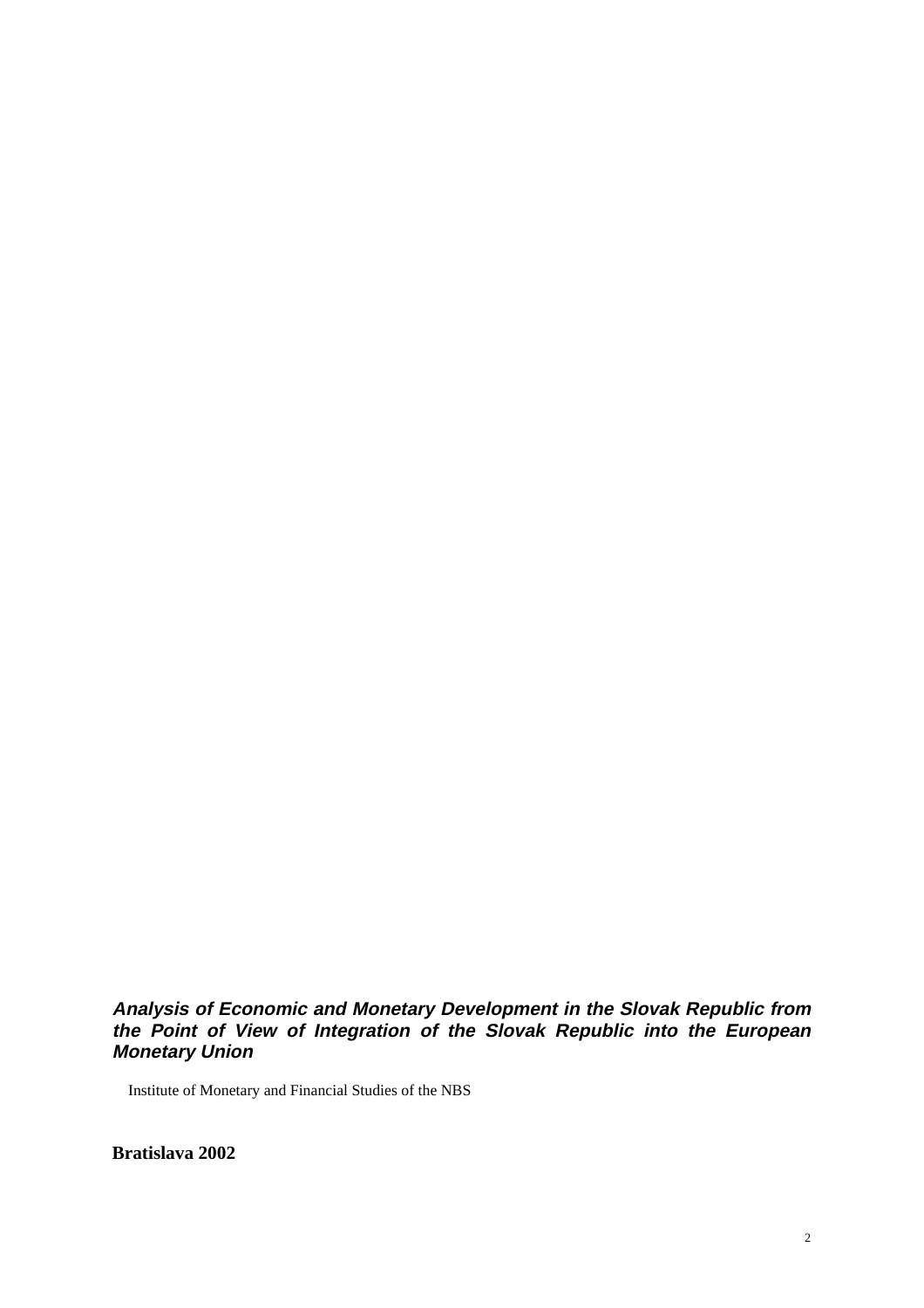#### **Analysis of Economic and Monetary Development in the Slovak Republic from the Point of View of Integration of the Slovak Republic into the European Monetary Union**

Institute of Monetary and Financial Studies of the NBS

**Bratislava 2002**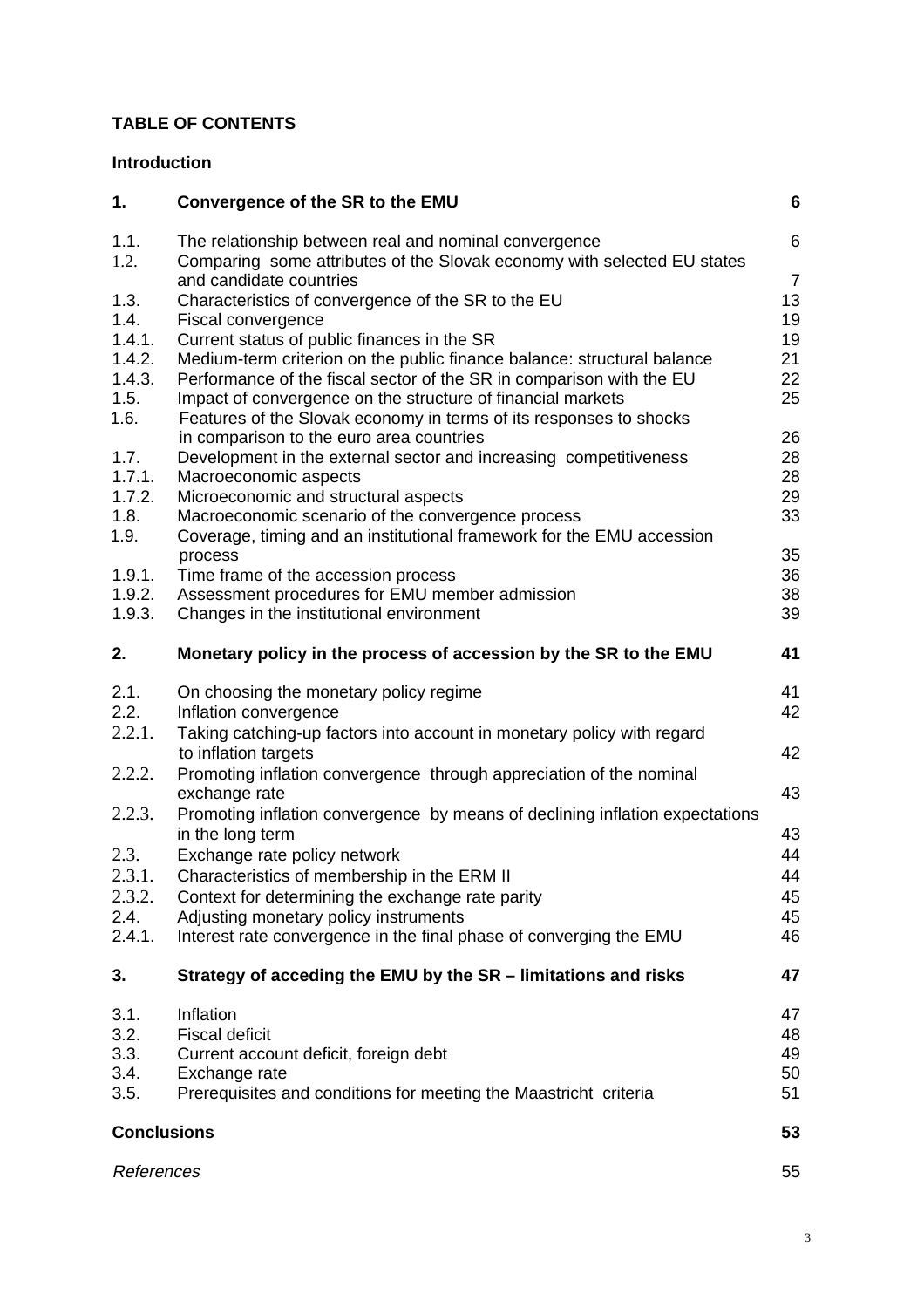### **TABLE OF CONTENTS**

#### **Introduction**

| 1.                 | Convergence of the SR to the EMU                                                                                                                            | 6                   |
|--------------------|-------------------------------------------------------------------------------------------------------------------------------------------------------------|---------------------|
| 1.1.<br>1.2.       | The relationship between real and nominal convergence<br>Comparing some attributes of the Slovak economy with selected EU states<br>and candidate countries | 6<br>$\overline{7}$ |
| 1.3.<br>1.4.       | Characteristics of convergence of the SR to the EU<br>Fiscal convergence                                                                                    | 13<br>19            |
| 1.4.1.             | Current status of public finances in the SR                                                                                                                 | 19                  |
| 1.4.2.             | Medium-term criterion on the public finance balance: structural balance                                                                                     | 21                  |
| 1.4.3.             | Performance of the fiscal sector of the SR in comparison with the EU                                                                                        | 22                  |
| 1.5.               | Impact of convergence on the structure of financial markets                                                                                                 | 25                  |
| 1.6.               | Features of the Slovak economy in terms of its responses to shocks<br>in comparison to the euro area countries                                              | 26                  |
| 1.7.               | Development in the external sector and increasing competitiveness                                                                                           | 28                  |
| 1.7.1.             | Macroeconomic aspects                                                                                                                                       | 28                  |
| 1.7.2.             | Microeconomic and structural aspects                                                                                                                        | 29                  |
| 1.8.               | Macroeconomic scenario of the convergence process                                                                                                           | 33                  |
| 1.9.               | Coverage, timing and an institutional framework for the EMU accession                                                                                       |                     |
| 1.9.1.             | process<br>Time frame of the accession process                                                                                                              | 35<br>36            |
| 1.9.2.             | Assessment procedures for EMU member admission                                                                                                              | 38                  |
| 1.9.3.             | Changes in the institutional environment                                                                                                                    | 39                  |
| 2.                 | Monetary policy in the process of accession by the SR to the EMU                                                                                            | 41                  |
|                    |                                                                                                                                                             |                     |
| 2.1.               | On choosing the monetary policy regime                                                                                                                      | 41                  |
| 2.2.               | Inflation convergence                                                                                                                                       | 42                  |
| 2.2.1.             | Taking catching-up factors into account in monetary policy with regard<br>to inflation targets                                                              | 42                  |
| 2.2.2.             | Promoting inflation convergence through appreciation of the nominal<br>exchange rate                                                                        | 43                  |
| 2.2.3.             | Promoting inflation convergence by means of declining inflation expectations                                                                                |                     |
| 2.3.               | in the long term                                                                                                                                            | 43<br>44            |
| 2.3.1.             | Exchange rate policy network<br>Characteristics of membership in the ERM II                                                                                 | 44                  |
| 2.3.2.             | Context for determining the exchange rate parity                                                                                                            | 45                  |
| 2.4.               | Adjusting monetary policy instruments                                                                                                                       | 45                  |
| 2.4.1.             | Interest rate convergence in the final phase of converging the EMU                                                                                          | 46                  |
| 3.                 | Strategy of acceding the EMU by the SR - limitations and risks                                                                                              | 47                  |
| 3.1.               | Inflation                                                                                                                                                   | 47                  |
| 3.2.               | <b>Fiscal deficit</b>                                                                                                                                       | 48                  |
| 3.3.               | Current account deficit, foreign debt                                                                                                                       | 49                  |
| 3.4.               | Exchange rate                                                                                                                                               | 50                  |
| 3.5.               | Prerequisites and conditions for meeting the Maastricht criteria                                                                                            | 51                  |
| <b>Conclusions</b> |                                                                                                                                                             | 53                  |
| References         |                                                                                                                                                             | 55                  |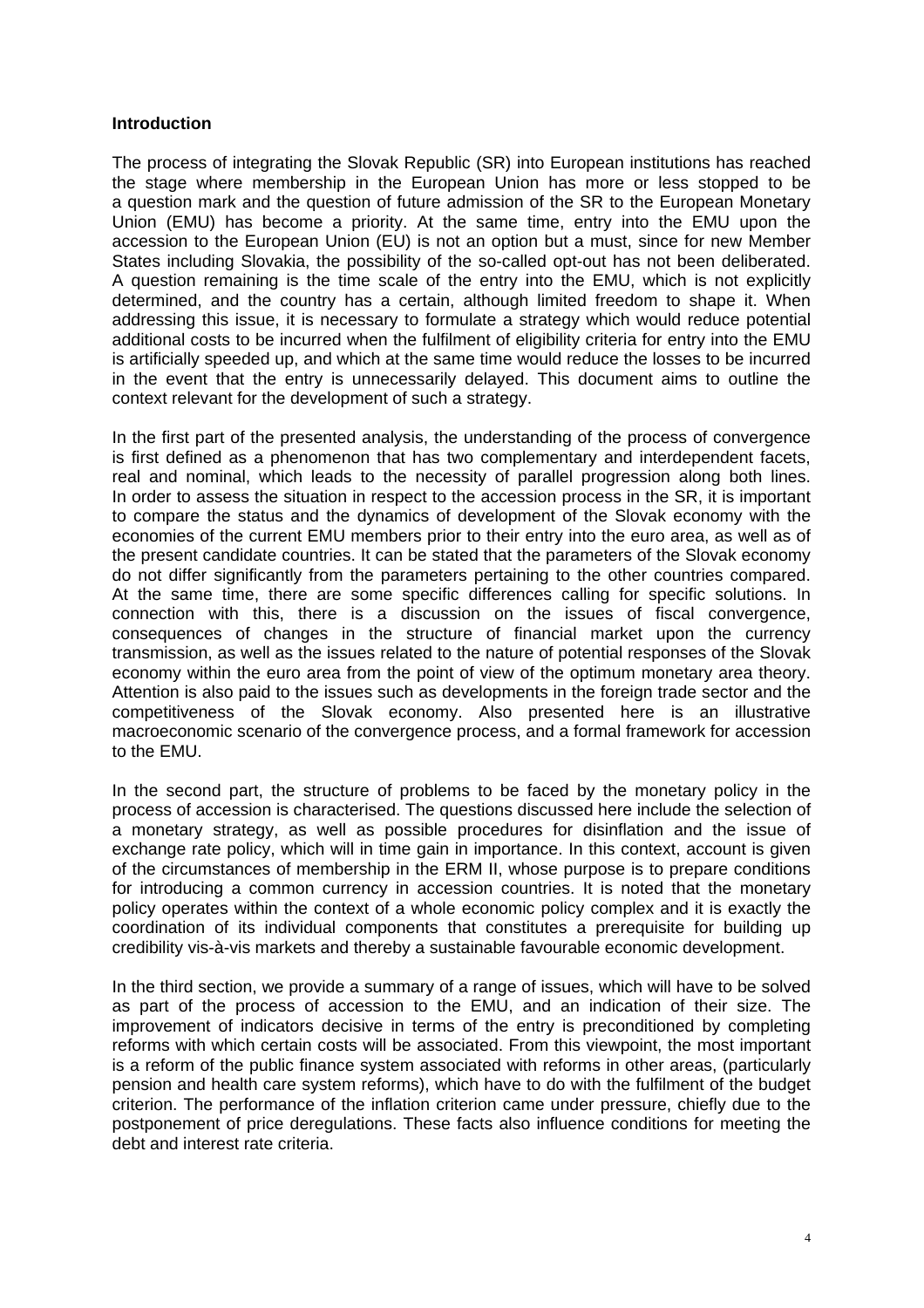#### **Introduction**

The process of integrating the Slovak Republic (SR) into European institutions has reached the stage where membership in the European Union has more or less stopped to be a question mark and the question of future admission of the SR to the European Monetary Union (EMU) has become a priority. At the same time, entry into the EMU upon the accession to the European Union (EU) is not an option but a must, since for new Member States including Slovakia, the possibility of the so-called opt-out has not been deliberated. A question remaining is the time scale of the entry into the EMU, which is not explicitly determined, and the country has a certain, although limited freedom to shape it. When addressing this issue, it is necessary to formulate a strategy which would reduce potential additional costs to be incurred when the fulfilment of eligibility criteria for entry into the EMU is artificially speeded up, and which at the same time would reduce the losses to be incurred in the event that the entry is unnecessarily delayed. This document aims to outline the context relevant for the development of such a strategy.

In the first part of the presented analysis, the understanding of the process of convergence is first defined as a phenomenon that has two complementary and interdependent facets, real and nominal, which leads to the necessity of parallel progression along both lines. In order to assess the situation in respect to the accession process in the SR, it is important to compare the status and the dynamics of development of the Slovak economy with the economies of the current EMU members prior to their entry into the euro area, as well as of the present candidate countries. It can be stated that the parameters of the Slovak economy do not differ significantly from the parameters pertaining to the other countries compared. At the same time, there are some specific differences calling for specific solutions. In connection with this, there is a discussion on the issues of fiscal convergence, consequences of changes in the structure of financial market upon the currency transmission, as well as the issues related to the nature of potential responses of the Slovak economy within the euro area from the point of view of the optimum monetary area theory. Attention is also paid to the issues such as developments in the foreign trade sector and the competitiveness of the Slovak economy. Also presented here is an illustrative macroeconomic scenario of the convergence process, and a formal framework for accession to the EMU.

In the second part, the structure of problems to be faced by the monetary policy in the process of accession is characterised. The questions discussed here include the selection of a monetary strategy, as well as possible procedures for disinflation and the issue of exchange rate policy, which will in time gain in importance. In this context, account is given of the circumstances of membership in the ERM II, whose purpose is to prepare conditions for introducing a common currency in accession countries. It is noted that the monetary policy operates within the context of a whole economic policy complex and it is exactly the coordination of its individual components that constitutes a prerequisite for building up credibility vis-à-vis markets and thereby a sustainable favourable economic development.

In the third section, we provide a summary of a range of issues, which will have to be solved as part of the process of accession to the EMU, and an indication of their size. The improvement of indicators decisive in terms of the entry is preconditioned by completing reforms with which certain costs will be associated. From this viewpoint, the most important is a reform of the public finance system associated with reforms in other areas, (particularly pension and health care system reforms), which have to do with the fulfilment of the budget criterion. The performance of the inflation criterion came under pressure, chiefly due to the postponement of price deregulations. These facts also influence conditions for meeting the debt and interest rate criteria.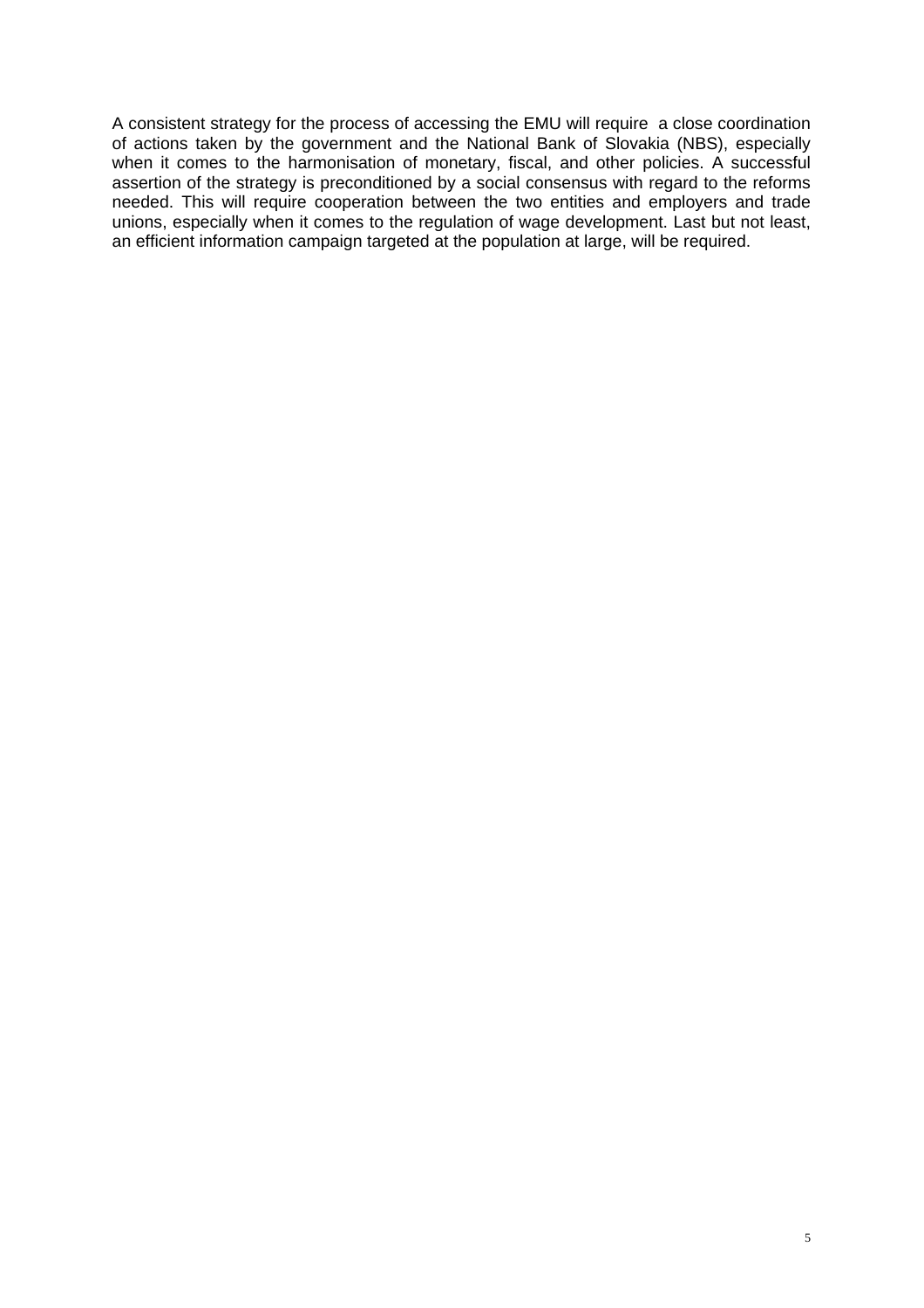A consistent strategy for the process of accessing the EMU will require a close coordination of actions taken by the government and the National Bank of Slovakia (NBS), especially when it comes to the harmonisation of monetary, fiscal, and other policies. A successful assertion of the strategy is preconditioned by a social consensus with regard to the reforms needed. This will require cooperation between the two entities and employers and trade unions, especially when it comes to the regulation of wage development. Last but not least, an efficient information campaign targeted at the population at large, will be required.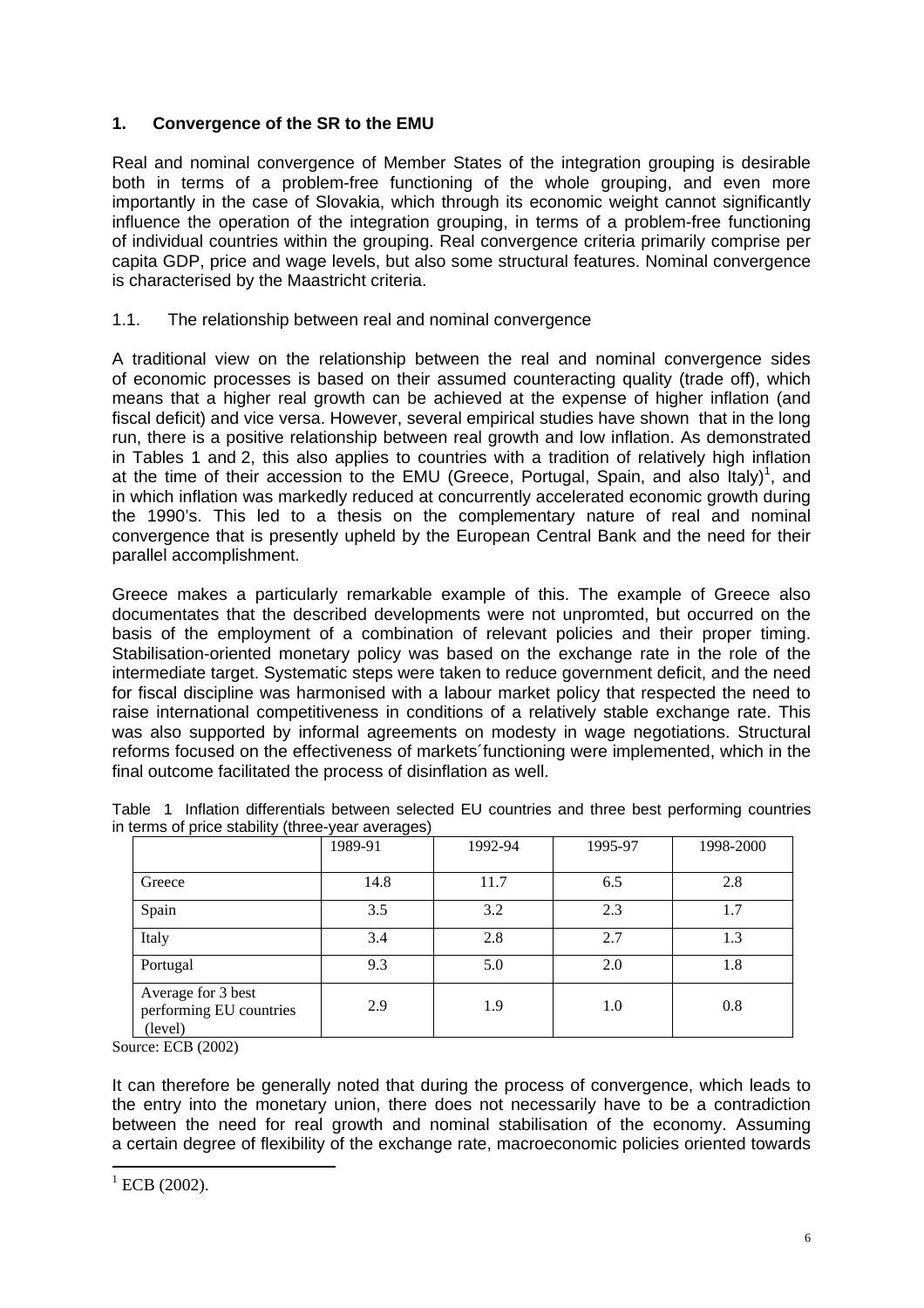#### **1. Convergence of the SR to the EMU**

Real and nominal convergence of Member States of the integration grouping is desirable both in terms of a problem-free functioning of the whole grouping, and even more importantly in the case of Slovakia, which through its economic weight cannot significantly influence the operation of the integration grouping, in terms of a problem-free functioning of individual countries within the grouping. Real convergence criteria primarily comprise per capita GDP, price and wage levels, but also some structural features. Nominal convergence is characterised by the Maastricht criteria.

#### 1.1. The relationship between real and nominal convergence

A traditional view on the relationship between the real and nominal convergence sides of economic processes is based on their assumed counteracting quality (trade off), which means that a higher real growth can be achieved at the expense of higher inflation (and fiscal deficit) and vice versa. However, several empirical studies have shown that in the long run, there is a positive relationship between real growth and low inflation. As demonstrated in Tables 1 and 2, this also applies to countries with a tradition of relatively high inflation at the time of their accession to the EMU (Greece, Portugal, Spain, and also Italy)<sup>1</sup>, and in which inflation was markedly reduced at concurrently accelerated economic growth during the 1990's. This led to a thesis on the complementary nature of real and nominal convergence that is presently upheld by the European Central Bank and the need for their parallel accomplishment.

Greece makes a particularly remarkable example of this. The example of Greece also documentates that the described developments were not unpromted, but occurred on the basis of the employment of a combination of relevant policies and their proper timing. Stabilisation-oriented monetary policy was based on the exchange rate in the role of the intermediate target. Systematic steps were taken to reduce government deficit, and the need for fiscal discipline was harmonised with a labour market policy that respected the need to raise international competitiveness in conditions of a relatively stable exchange rate. This was also supported by informal agreements on modesty in wage negotiations. Structural reforms focused on the effectiveness of markets´functioning were implemented, which in the final outcome facilitated the process of disinflation as well.

|                                                          | 1989-91 | 1992-94 | 1995-97 | 1998-2000 |
|----------------------------------------------------------|---------|---------|---------|-----------|
| Greece                                                   | 14.8    | 11.7    | 6.5     | 2.8       |
| Spain                                                    | 3.5     | 3.2     | 2.3     | 1.7       |
| Italy                                                    | 3.4     | 2.8     | 2.7     | 1.3       |
| Portugal                                                 | 9.3     | 5.0     | 2.0     | 1.8       |
| Average for 3 best<br>performing EU countries<br>(level) | 2.9     | 1.9     | 1.0     | 0.8       |

Table 1 Inflation differentials between selected EU countries and three best performing countries in terms of price stability (three-year averages)

Source: ECB (2002)

It can therefore be generally noted that during the process of convergence, which leads to the entry into the monetary union, there does not necessarily have to be a contradiction between the need for real growth and nominal stabilisation of the economy. Assuming a certain degree of flexibility of the exchange rate, macroeconomic policies oriented towards

 $^{1}$  ECB (2002).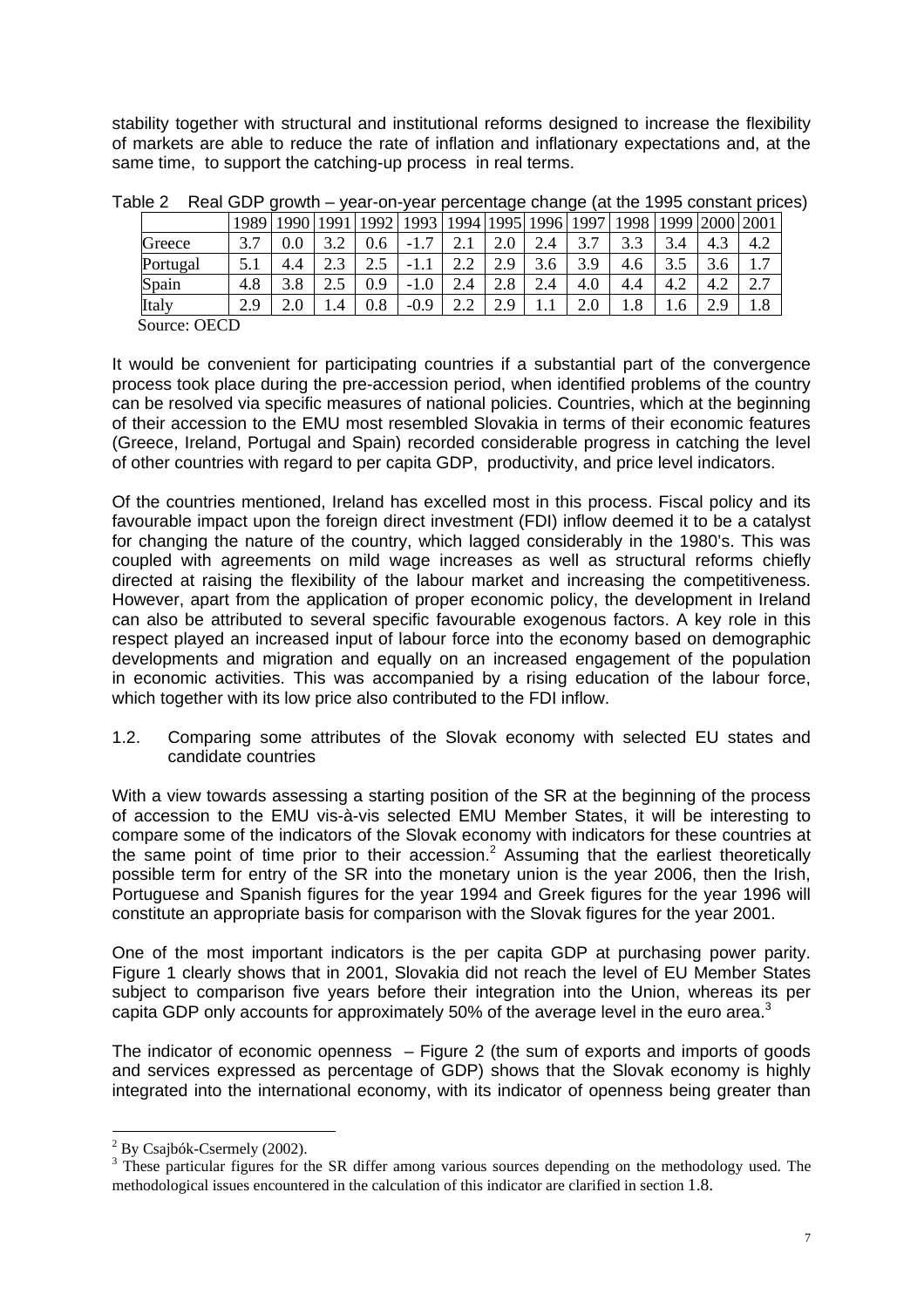stability together with structural and institutional reforms designed to increase the flexibility of markets are able to reduce the rate of inflation and inflationary expectations and, at the same time, to support the catching-up process in real terms.

|              | 1989                                    | 1000     | $\Omega$          | 992       | 993                      |                    |                   | 994   1995   1996   1997 |            | 1998             | 1999     |                     | 2001                         |
|--------------|-----------------------------------------|----------|-------------------|-----------|--------------------------|--------------------|-------------------|--------------------------|------------|------------------|----------|---------------------|------------------------------|
| Greece       | $\mathbf{r}$<br>$\mathfrak{D}$<br>ر . د | $_{0.0}$ | $\Omega$<br>ے . ب | 0.6       | −<br>-<br>$\mathbf{1}$ . | ∠.⊥                | 2.0               | 2.4                      | 3.7        | $\Omega$<br>ر. ر | ◠<br>3.4 | د.4                 | 4.2                          |
| Portugal     | J.I                                     | 4.4      | ر…                | ⌒<br>ر. ک | $-1.1$                   | ⌒<br>ി<br>∠.∠      | $\gamma$ Q<br>ر . | 3.6                      | 3.9        | 4.6              | ⌒<br>3.J | ∽<br>J.U            | $\overline{\phantom{0}}$<br> |
| Spain        | 4.8                                     | 3.8      | ر                 | 0.9       | $-1.0$                   | 2.4                | 2.8               | $\sim$<br>2.4            | 4.0        | 4.4              | 4.2      | 4.2                 | $\sim$ $\sim$<br>، ۱         |
| Italy        | 2.9                                     | 2.U      |                   | 0.8       | $-0.9$                   | $\sim$<br>ി<br>∠.∠ | $\gamma$ Q<br>۵.۶ | .                        | ን በ<br>∠.∪ | $\circ$<br>1.0   | 1.6      | $\gamma$ Q<br>ر . ب | 1.8                          |
| Source: OECD |                                         |          |                   |           |                          |                    |                   |                          |            |                  |          |                     |                              |

Table 2 Real GDP growth – year-on-year percentage change (at the 1995 constant prices)

It would be convenient for participating countries if a substantial part of the convergence process took place during the pre-accession period, when identified problems of the country can be resolved via specific measures of national policies. Countries, which at the beginning of their accession to the EMU most resembled Slovakia in terms of their economic features (Greece, Ireland, Portugal and Spain) recorded considerable progress in catching the level of other countries with regard to per capita GDP, productivity, and price level indicators.

Of the countries mentioned, Ireland has excelled most in this process. Fiscal policy and its favourable impact upon the foreign direct investment (FDI) inflow deemed it to be a catalyst for changing the nature of the country, which lagged considerably in the 1980's. This was coupled with agreements on mild wage increases as well as structural reforms chiefly directed at raising the flexibility of the labour market and increasing the competitiveness. However, apart from the application of proper economic policy, the development in Ireland can also be attributed to several specific favourable exogenous factors. A key role in this respect played an increased input of labour force into the economy based on demographic developments and migration and equally on an increased engagement of the population in economic activities. This was accompanied by a rising education of the labour force, which together with its low price also contributed to the FDI inflow.

1.2. Comparing some attributes of the Slovak economy with selected EU states and candidate countries

With a view towards assessing a starting position of the SR at the beginning of the process of accession to the EMU vis-à-vis selected EMU Member States, it will be interesting to compare some of the indicators of the Slovak economy with indicators for these countries at the same point of time prior to their accession.<sup>2</sup> Assuming that the earliest theoretically possible term for entry of the SR into the monetary union is the year 2006, then the Irish, Portuguese and Spanish figures for the year 1994 and Greek figures for the year 1996 will constitute an appropriate basis for comparison with the Slovak figures for the year 2001.

One of the most important indicators is the per capita GDP at purchasing power parity. Figure 1 clearly shows that in 2001, Slovakia did not reach the level of EU Member States subject to comparison five years before their integration into the Union, whereas its per capita GDP only accounts for approximately 50% of the average level in the euro area. $3$ 

The indicator of economic openness – Figure 2 (the sum of exports and imports of goods and services expressed as percentage of GDP) shows that the Slovak economy is highly integrated into the international economy, with its indicator of openness being greater than

 $\overline{a}$  $2^{2}$  By Csajbók-Csermely (2002).

 $3$  These particular figures for the SR differ among various sources depending on the methodology used. The methodological issues encountered in the calculation of this indicator are clarified in section 1.8.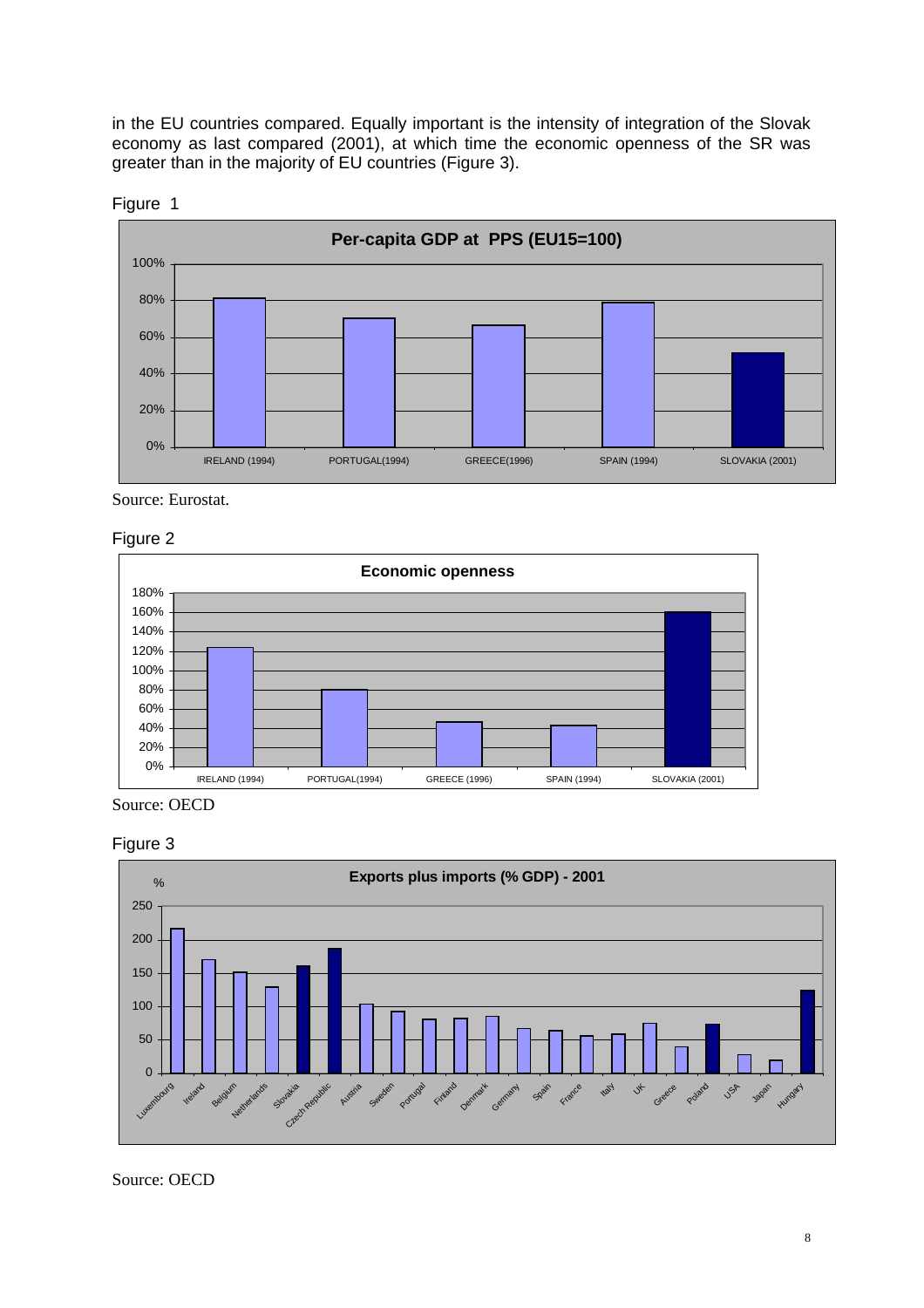in the EU countries compared. Equally important is the intensity of integration of the Slovak economy as last compared (2001), at which time the economic openness of the SR was greater than in the majority of EU countries (Figure 3).



Figure 1

Source: Eurostat.





Source: OECD





Source: OECD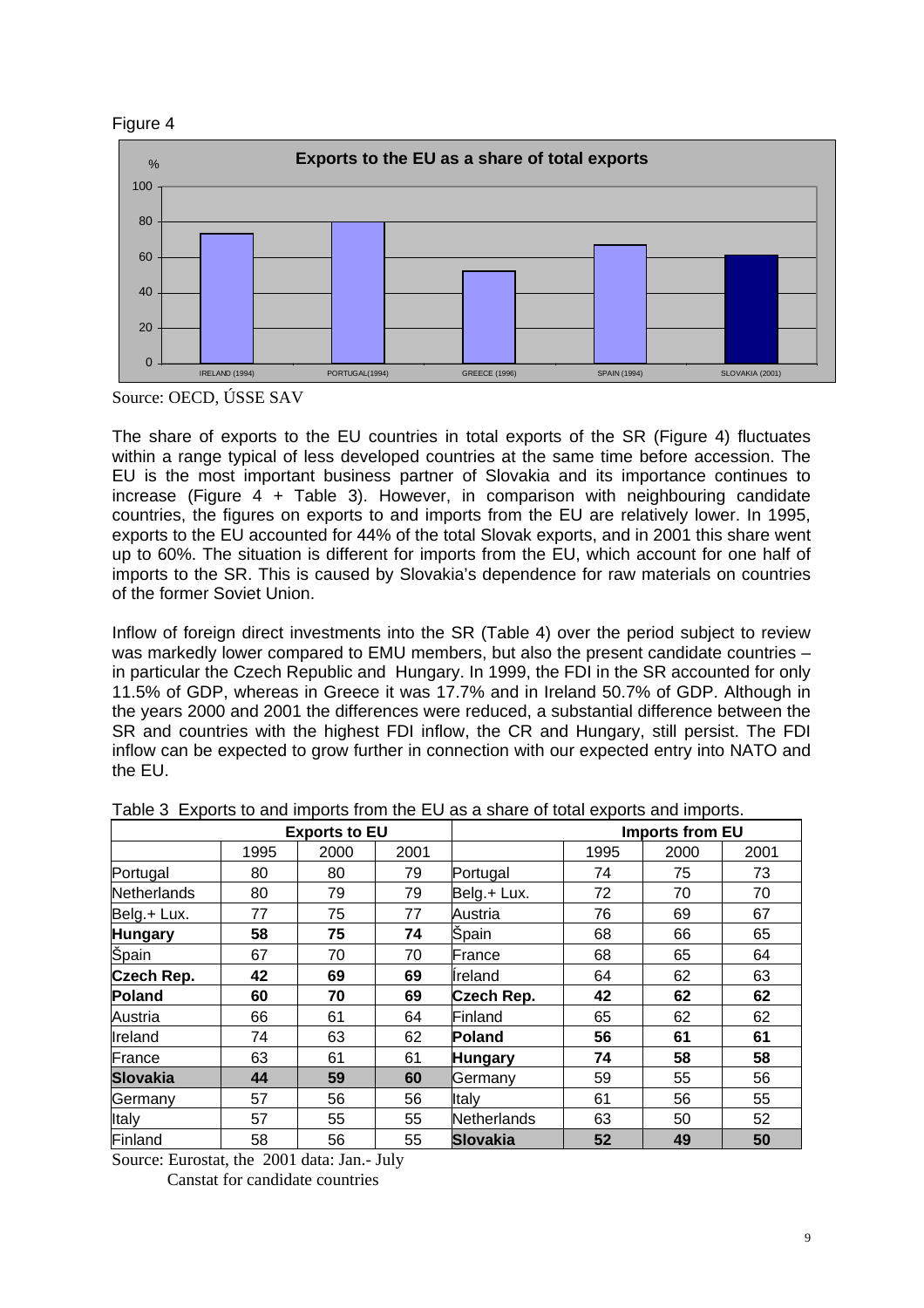



Source: OECD, ÚSSE SAV

The share of exports to the EU countries in total exports of the SR (Figure 4) fluctuates within a range typical of less developed countries at the same time before accession. The EU is the most important business partner of Slovakia and its importance continues to increase (Figure 4 + Table 3). However, in comparison with neighbouring candidate countries, the figures on exports to and imports from the EU are relatively lower. In 1995, exports to the EU accounted for 44% of the total Slovak exports, and in 2001 this share went up to 60%. The situation is different for imports from the EU, which account for one half of imports to the SR. This is caused by Slovakia's dependence for raw materials on countries of the former Soviet Union.

Inflow of foreign direct investments into the SR (Table 4) over the period subject to review was markedly lower compared to EMU members, but also the present candidate countries – in particular the Czech Republic and Hungary. In 1999, the FDI in the SR accounted for only 11.5% of GDP, whereas in Greece it was 17.7% and in Ireland 50.7% of GDP. Although in the years 2000 and 2001 the differences were reduced, a substantial difference between the SR and countries with the highest FDI inflow, the CR and Hungary, still persist. The FDI inflow can be expected to grow further in connection with our expected entry into NATO and the EU.

|                   |      | <b>Exports to EU</b> |      |                 | <b>Imports from EU</b> |      |      |  |
|-------------------|------|----------------------|------|-----------------|------------------------|------|------|--|
|                   | 1995 | 2000                 | 2001 |                 | 1995                   | 2000 | 2001 |  |
| Portugal          | 80   | 80                   | 79   | Portugal        | 74                     | 75   | 73   |  |
| Netherlands       | 80   | 79                   | 79   | Belg.+ Lux.     | 72                     | 70   | 70   |  |
| Belg.+ Lux.       | 77   | 75                   | 77   | Austria         | 76                     | 69   | 67   |  |
| <b>Hungary</b>    | 58   | 75                   | 74   | Špain           | 68                     | 66   | 65   |  |
| Špain             | 67   | 70                   | 70   | France          | 68                     | 65   | 64   |  |
| <b>Czech Rep.</b> | 42   | 69                   | 69   | Ireland         | 64                     | 62   | 63   |  |
| Poland            | 60   | 70                   | 69   | Czech Rep.      | 42                     | 62   | 62   |  |
| Austria           | 66   | 61                   | 64   | Finland         | 65                     | 62   | 62   |  |
| Ireland           | 74   | 63                   | 62   | Poland          | 56                     | 61   | 61   |  |
| France            | 63   | 61                   | 61   | <b>Hungary</b>  | 74                     | 58   | 58   |  |
| <b>Slovakia</b>   | 44   | 59                   | 60   | Germany         | 59                     | 55   | 56   |  |
| Germany           | 57   | 56                   | 56   | <b>Italy</b>    | 61                     | 56   | 55   |  |
| Italy             | 57   | 55                   | 55   | Netherlands     | 63                     | 50   | 52   |  |
| Finland           | 58   | 56                   | 55   | <b>Slovakia</b> | 52                     | 49   | 50   |  |

Table 3 Exports to and imports from the EU as a share of total exports and imports.

Source: Eurostat, the 2001 data: Jan.- July Canstat for candidate countries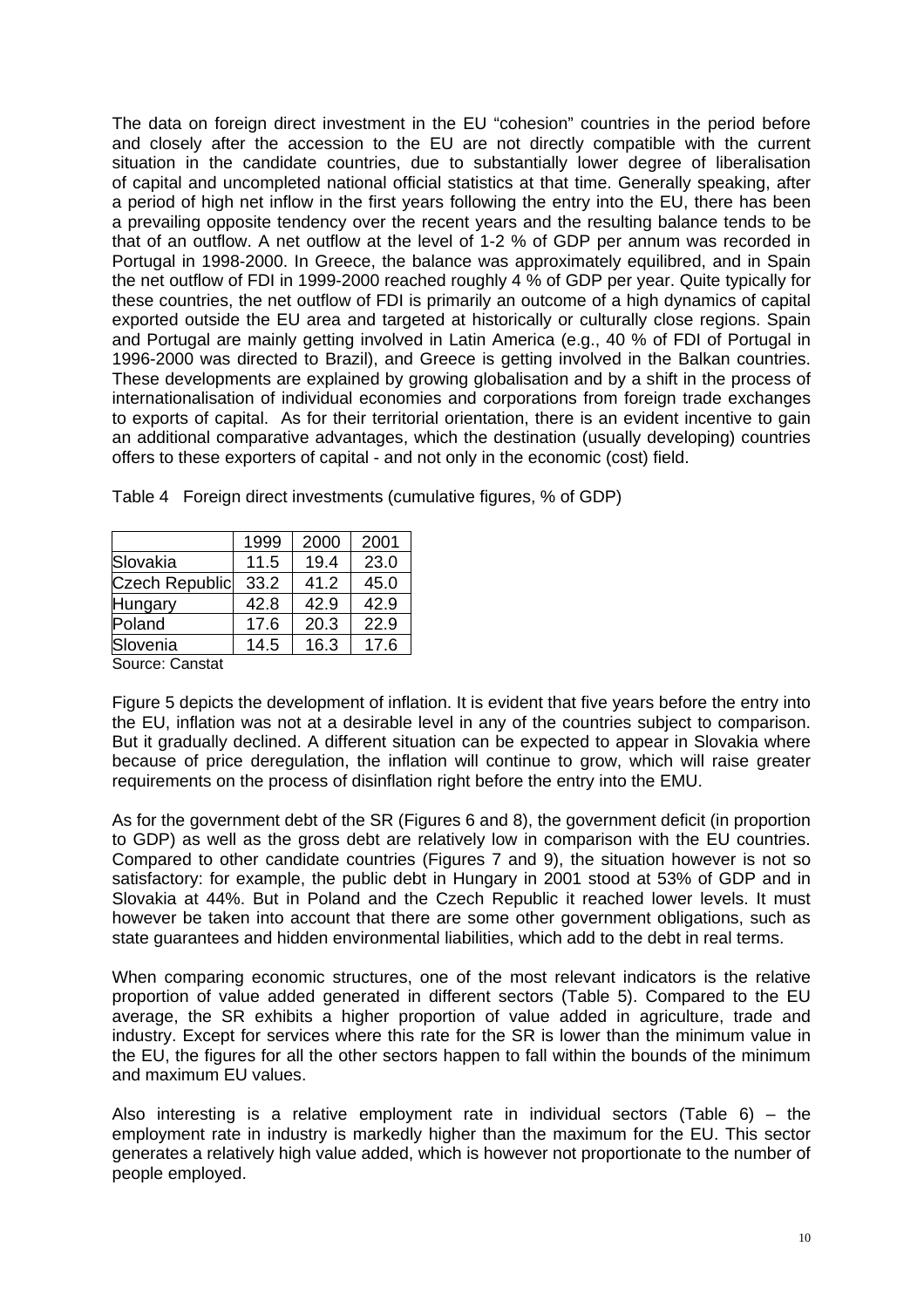The data on foreign direct investment in the EU "cohesion" countries in the period before and closely after the accession to the EU are not directly compatible with the current situation in the candidate countries, due to substantially lower degree of liberalisation of capital and uncompleted national official statistics at that time. Generally speaking, after a period of high net inflow in the first years following the entry into the EU, there has been a prevailing opposite tendency over the recent years and the resulting balance tends to be that of an outflow. A net outflow at the level of 1-2 % of GDP per annum was recorded in Portugal in 1998-2000. In Greece, the balance was approximately equilibred, and in Spain the net outflow of FDI in 1999-2000 reached roughly 4 % of GDP per year. Quite typically for these countries, the net outflow of FDI is primarily an outcome of a high dynamics of capital exported outside the EU area and targeted at historically or culturally close regions. Spain and Portugal are mainly getting involved in Latin America (e.g., 40 % of FDI of Portugal in 1996-2000 was directed to Brazil), and Greece is getting involved in the Balkan countries. These developments are explained by growing globalisation and by a shift in the process of internationalisation of individual economies and corporations from foreign trade exchanges to exports of capital. As for their territorial orientation, there is an evident incentive to gain an additional comparative advantages, which the destination (usually developing) countries offers to these exporters of capital - and not only in the economic (cost) field.

|  |  |  | Table 4 Foreign direct investments (cumulative figures, % of GDP) |  |  |  |  |
|--|--|--|-------------------------------------------------------------------|--|--|--|--|
|--|--|--|-------------------------------------------------------------------|--|--|--|--|

|                       | 1999 | 2000 | 2001 |
|-----------------------|------|------|------|
| Slovakia              | 11.5 | 19.4 | 23.0 |
| <b>Czech Republic</b> | 33.2 | 41.2 | 45.0 |
| Hungary               | 42.8 | 42.9 | 42.9 |
| Poland                | 17.6 | 20.3 | 22.9 |
| Slovenia              | 14.5 | 16.3 | 17.6 |
| .                     |      |      |      |

Source: Canstat

Figure 5 depicts the development of inflation. It is evident that five years before the entry into the EU, inflation was not at a desirable level in any of the countries subject to comparison. But it gradually declined. A different situation can be expected to appear in Slovakia where because of price deregulation, the inflation will continue to grow, which will raise greater requirements on the process of disinflation right before the entry into the EMU.

As for the government debt of the SR (Figures 6 and 8), the government deficit (in proportion to GDP) as well as the gross debt are relatively low in comparison with the EU countries. Compared to other candidate countries (Figures 7 and 9), the situation however is not so satisfactory: for example, the public debt in Hungary in 2001 stood at 53% of GDP and in Slovakia at 44%. But in Poland and the Czech Republic it reached lower levels. It must however be taken into account that there are some other government obligations, such as state guarantees and hidden environmental liabilities, which add to the debt in real terms.

When comparing economic structures, one of the most relevant indicators is the relative proportion of value added generated in different sectors (Table 5). Compared to the EU average, the SR exhibits a higher proportion of value added in agriculture, trade and industry. Except for services where this rate for the SR is lower than the minimum value in the EU, the figures for all the other sectors happen to fall within the bounds of the minimum and maximum EU values.

Also interesting is a relative employment rate in individual sectors (Table 6) – the employment rate in industry is markedly higher than the maximum for the EU. This sector generates a relatively high value added, which is however not proportionate to the number of people employed.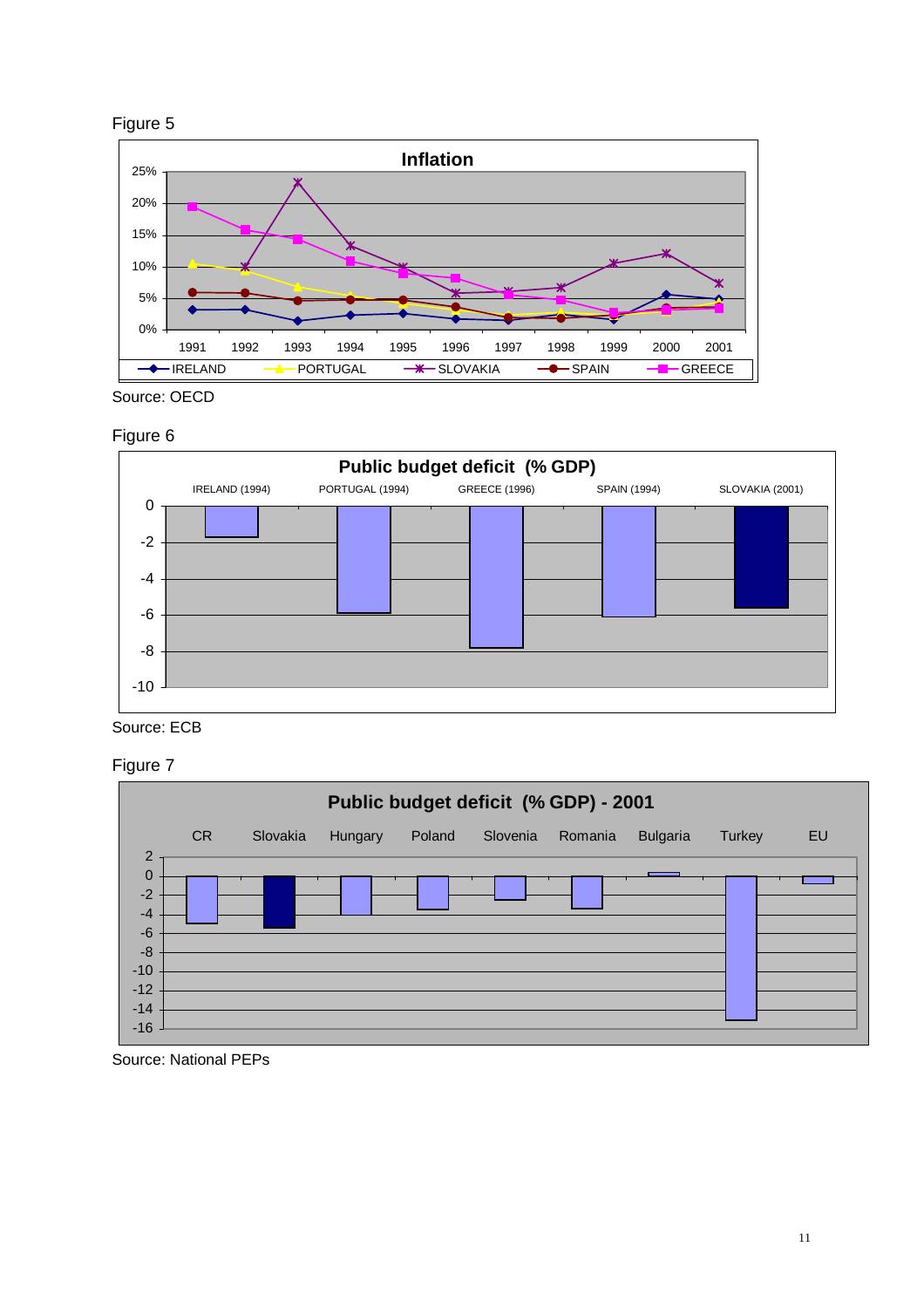

Source: OECD











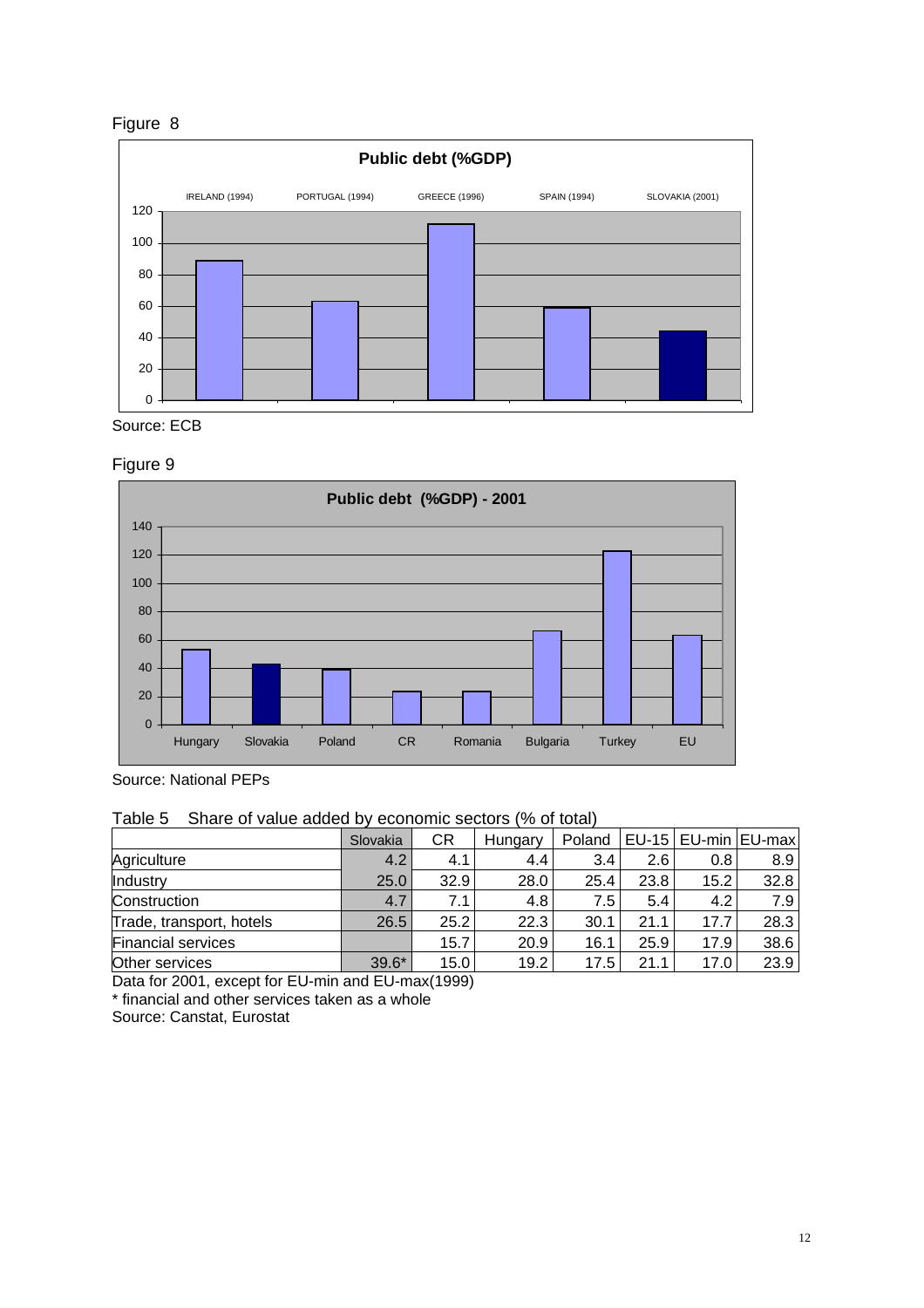#### Figure 8





#### Figure 9



Source: National PEPs

#### Table 5 Share of value added by economic sectors (% of total)

|                           | Slovakia | <b>CR</b> | Hungary | Poland |      | $EU-15$ EU-min EU-max |      |
|---------------------------|----------|-----------|---------|--------|------|-----------------------|------|
| Agriculture               | 4.2      | 4.1       | 4.4     | 3.4    | 2.6  | 0.8                   | 8.9  |
| Industry                  | 25.0     | 32.9      | 28.0    | 25.4   | 23.8 | 15.2                  | 32.8 |
| Construction              | 4.7      | 7.1       | 4.8     | 7.5    | 5.4  | 4.2                   | 7.9  |
| Trade, transport, hotels  | 26.5     | 25.2      | 22.3    | 30.1   | 21.1 | 17.7                  | 28.3 |
| <b>Financial services</b> |          | 15.7      | 20.9    | 16.1   | 25.9 | 17.9                  | 38.6 |
| Other services            | $39.6*$  | 15.0      | 19.2    | 17.5   | 21.1 | 17.0                  | 23.9 |

Data for 2001, except for EU-min and EU-max(1999) \* financial and other services taken as a whole

Source: Canstat, Eurostat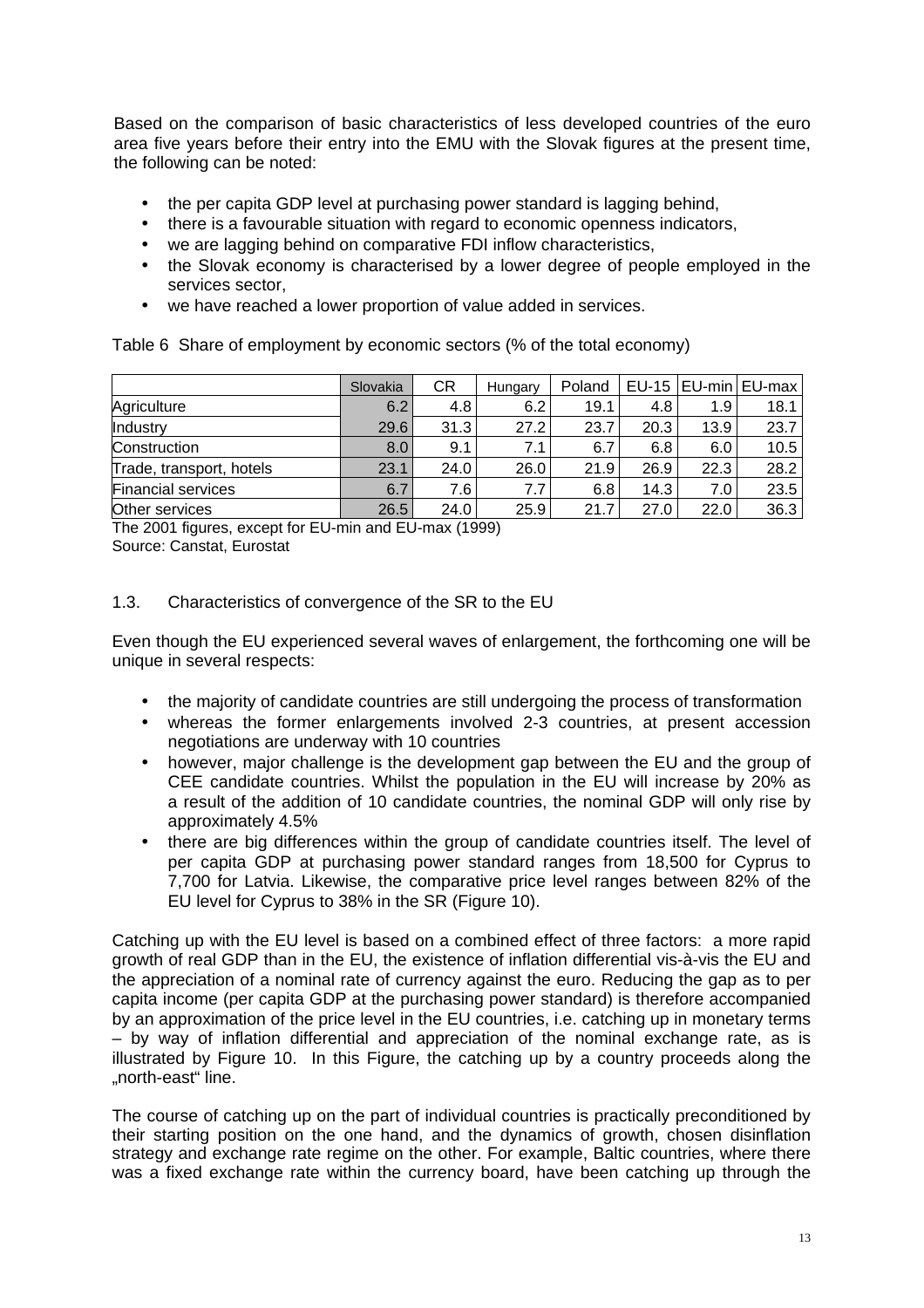Based on the comparison of basic characteristics of less developed countries of the euro area five years before their entry into the EMU with the Slovak figures at the present time, the following can be noted:

- the per capita GDP level at purchasing power standard is lagging behind,
- there is a favourable situation with regard to economic openness indicators,
- we are lagging behind on comparative FDI inflow characteristics,
- the Slovak economy is characterised by a lower degree of people employed in the services sector,
- we have reached a lower proportion of value added in services.

Table 6 Share of employment by economic sectors (% of the total economy)

|                           | Slovakia | <b>CR</b> | Hungary | Poland |      |      | EU-15   EU-min   EU-max |
|---------------------------|----------|-----------|---------|--------|------|------|-------------------------|
| Agriculture               | 6.2      | 4.8       | 6.2     | 19.1   | 4.8  | 1.9  | 18.1                    |
| Industry                  | 29.6     | 31.3      | 27.2    | 23.7   | 20.3 | 13.9 | 23.7                    |
| Construction              | 8.0      | 9.1       | 7.1     | 6.7    | 6.8  | 6.0  | 10.5                    |
| Trade, transport, hotels  | 23.1     | 24.0      | 26.0    | 21.9   | 26.9 | 22.3 | 28.2                    |
| <b>Financial services</b> | 6.7      | 7.6       | 7.7     | 6.8    | 14.3 | 7.0  | 23.5                    |
| Other services            | 26.5     | 24.0      | 25.9    | 21.7   | 27.0 | 22.0 | 36.3                    |

The 2001 figures, except for EU-min and EU-max (1999) Source: Canstat, Eurostat

#### 1.3. Characteristics of convergence of the SR to the EU

Even though the EU experienced several waves of enlargement, the forthcoming one will be unique in several respects:

- the majority of candidate countries are still undergoing the process of transformation
- whereas the former enlargements involved 2-3 countries, at present accession negotiations are underway with 10 countries
- however, major challenge is the development gap between the EU and the group of CEE candidate countries. Whilst the population in the EU will increase by 20% as a result of the addition of 10 candidate countries, the nominal GDP will only rise by approximately 4.5%
- there are big differences within the group of candidate countries itself. The level of per capita GDP at purchasing power standard ranges from 18,500 for Cyprus to 7,700 for Latvia. Likewise, the comparative price level ranges between 82% of the EU level for Cyprus to 38% in the SR (Figure 10).

Catching up with the EU level is based on a combined effect of three factors: a more rapid growth of real GDP than in the EU, the existence of inflation differential vis-à-vis the EU and the appreciation of a nominal rate of currency against the euro. Reducing the gap as to per capita income (per capita GDP at the purchasing power standard) is therefore accompanied by an approximation of the price level in the EU countries, i.e. catching up in monetary terms – by way of inflation differential and appreciation of the nominal exchange rate, as is illustrated by Figure 10. In this Figure, the catching up by a country proceeds along the ..north-east" line.

The course of catching up on the part of individual countries is practically preconditioned by their starting position on the one hand, and the dynamics of growth, chosen disinflation strategy and exchange rate regime on the other. For example, Baltic countries, where there was a fixed exchange rate within the currency board, have been catching up through the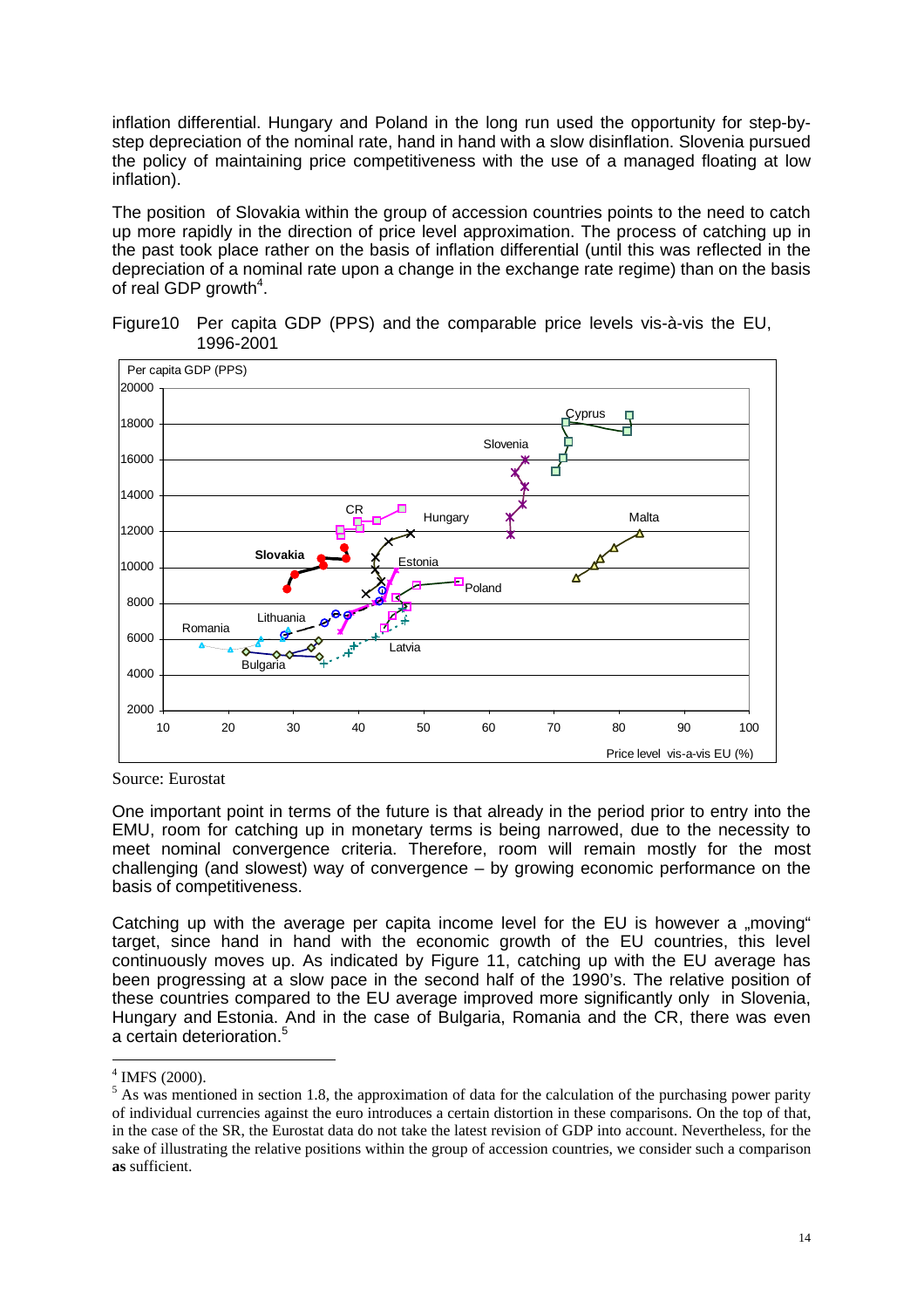inflation differential. Hungary and Poland in the long run used the opportunity for step-bystep depreciation of the nominal rate, hand in hand with a slow disinflation. Slovenia pursued the policy of maintaining price competitiveness with the use of a managed floating at low inflation).

The position of Slovakia within the group of accession countries points to the need to catch up more rapidly in the direction of price level approximation. The process of catching up in the past took place rather on the basis of inflation differential (until this was reflected in the depreciation of a nominal rate upon a change in the exchange rate regime) than on the basis of real GDP growth<sup>4</sup>.

Figure10 Per capita GDP (PPS) and the comparable price levels vis-à-vis the EU, 1996-2001



Source: Eurostat

One important point in terms of the future is that already in the period prior to entry into the EMU, room for catching up in monetary terms is being narrowed, due to the necessity to meet nominal convergence criteria. Therefore, room will remain mostly for the most challenging (and slowest) way of convergence – by growing economic performance on the basis of competitiveness.

Catching up with the average per capita income level for the EU is however a "moving" target, since hand in hand with the economic growth of the EU countries, this level continuously moves up. As indicated by Figure 11, catching up with the EU average has been progressing at a slow pace in the second half of the 1990's. The relative position of these countries compared to the EU average improved more significantly only in Slovenia, Hungary and Estonia. And in the case of Bulgaria, Romania and the CR, there was even a certain deterioration.<sup>5</sup>

 $\overline{a}$ 4 IMFS (2000).

 $<sup>5</sup>$  As was mentioned in section 1.8, the approximation of data for the calculation of the purchasing power parity</sup> of individual currencies against the euro introduces a certain distortion in these comparisons. On the top of that, in the case of the SR, the Eurostat data do not take the latest revision of GDP into account. Nevertheless, for the sake of illustrating the relative positions within the group of accession countries, we consider such a comparison **as** sufficient.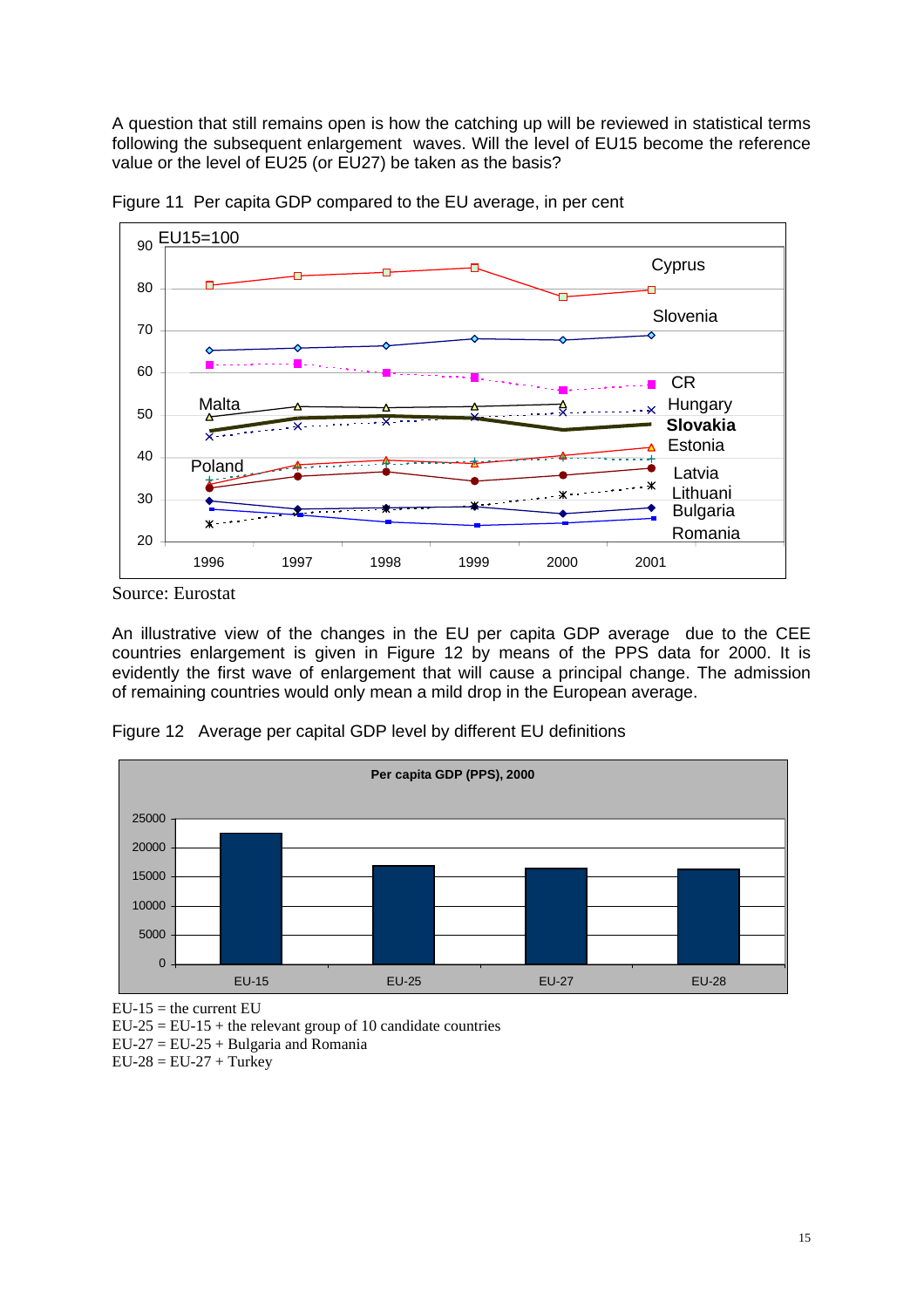A question that still remains open is how the catching up will be reviewed in statistical terms following the subsequent enlargement waves. Will the level of EU15 become the reference value or the level of EU25 (or EU27) be taken as the basis?



Figure 11 Per capita GDP compared to the EU average, in per cent

Source: Eurostat

An illustrative view of the changes in the EU per capita GDP average due to the CEE countries enlargement is given in Figure 12 by means of the PPS data for 2000. It is evidently the first wave of enlargement that will cause a principal change. The admission of remaining countries would only mean a mild drop in the European average.



Figure 12 Average per capital GDP level by different EU definitions

 $EU-15$  = the current EU  $EU-25 = EU-15 + the relevant group of 10 candidate countries$  $EU-27 = EU-25 + Bulgaria$  and Romania  $EU-28 = EU-27 + Turkey$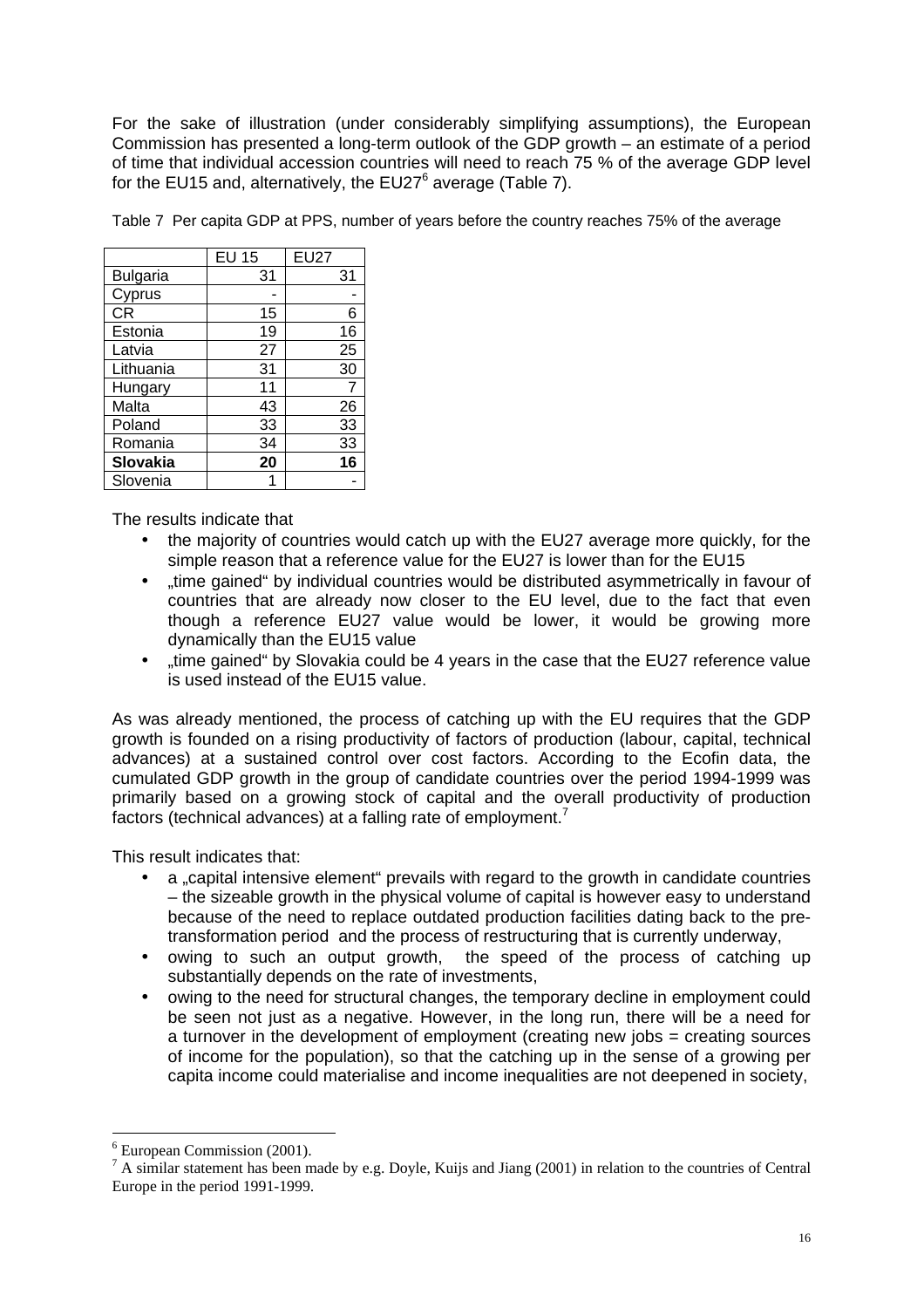For the sake of illustration (under considerably simplifying assumptions), the European Commission has presented a long-term outlook of the GDP growth – an estimate of a period of time that individual accession countries will need to reach 75 % of the average GDP level for the EU15 and, alternatively, the EU27 $^6$  average (Table 7).

Table 7 Per capita GDP at PPS, number of years before the country reaches 75% of the average

|                 | <b>EU 15</b> | EU27 |
|-----------------|--------------|------|
| <b>Bulgaria</b> | 31           | 31   |
| Cyprus          |              |      |
| <b>CR</b>       | 15           | 6    |
| Estonia         | 19           | 16   |
| Latvia          | 27           | 25   |
| Lithuania       | 31           | 30   |
| Hungary         | 11           |      |
| Malta           | 43           | 26   |
| Poland          | 33           | 33   |
| Romania         | 34           | 33   |
| Slovakia        | 20           | 16   |
| Slovenia        |              |      |

The results indicate that

- the maiority of countries would catch up with the EU27 average more quickly, for the simple reason that a reference value for the EU27 is lower than for the EU15
- "time gained" by individual countries would be distributed asymmetrically in favour of countries that are already now closer to the EU level, due to the fact that even though a reference EU27 value would be lower, it would be growing more dynamically than the EU15 value
- .time gained " by Slovakia could be 4 years in the case that the EU27 reference value is used instead of the EU15 value.

As was already mentioned, the process of catching up with the EU requires that the GDP growth is founded on a rising productivity of factors of production (labour, capital, technical advances) at a sustained control over cost factors. According to the Ecofin data, the cumulated GDP growth in the group of candidate countries over the period 1994-1999 was primarily based on a growing stock of capital and the overall productivity of production factors (technical advances) at a falling rate of employment.<sup>7</sup>

This result indicates that:

- a "capital intensive element" prevails with regard to the growth in candidate countries – the sizeable growth in the physical volume of capital is however easy to understand because of the need to replace outdated production facilities dating back to the pretransformation period and the process of restructuring that is currently underway,
- owing to such an output growth, the speed of the process of catching up substantially depends on the rate of investments,
- owing to the need for structural changes, the temporary decline in employment could be seen not just as a negative. However, in the long run, there will be a need for a turnover in the development of employment (creating new jobs = creating sources of income for the population), so that the catching up in the sense of a growing per capita income could materialise and income inequalities are not deepened in society,

 6 European Commission (2001).

 $<sup>7</sup>$  A similar statement has been made by e.g. Doyle, Kuijs and Jiang (2001) in relation to the countries of Central</sup> Europe in the period 1991-1999.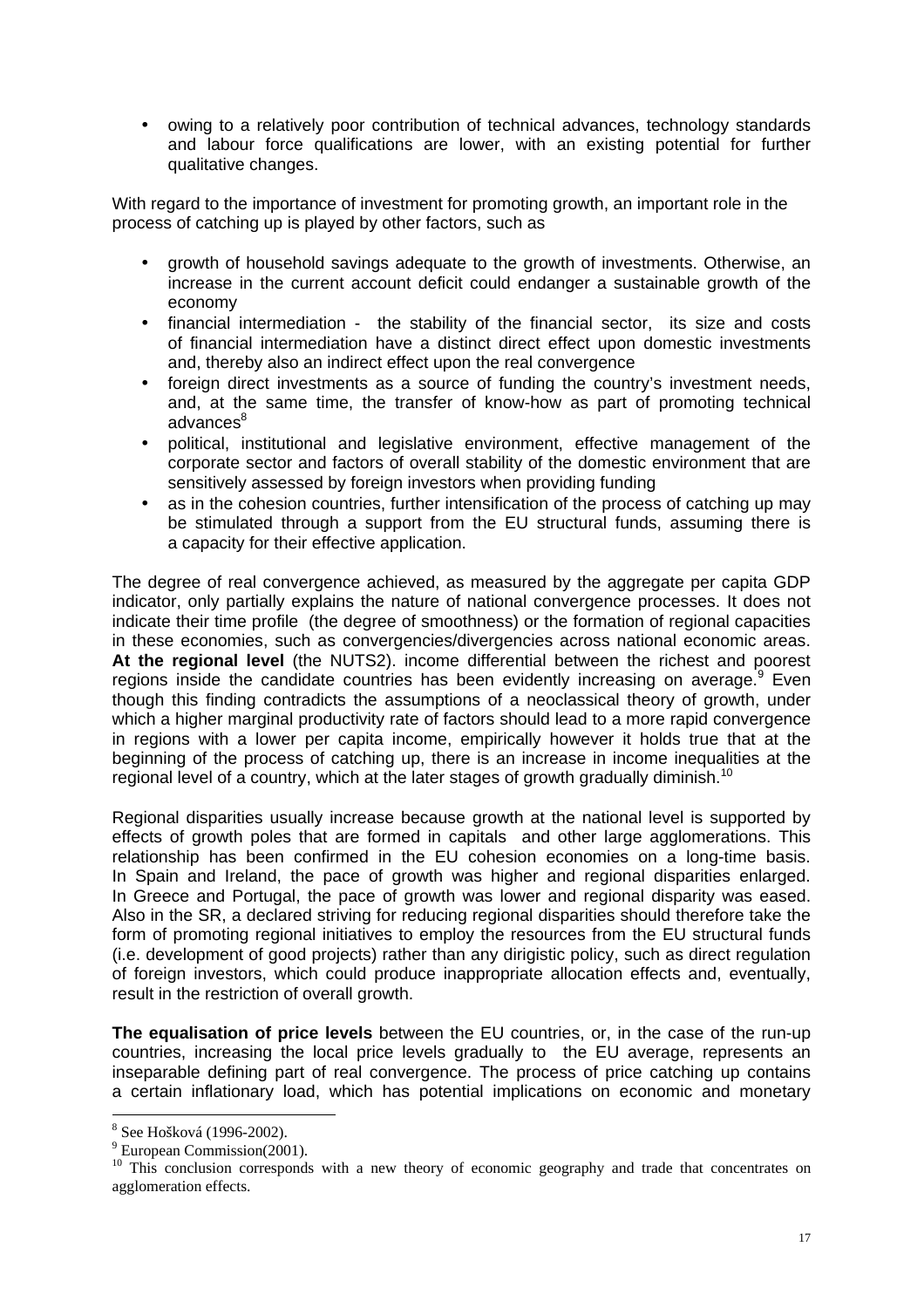• owing to a relatively poor contribution of technical advances, technology standards and labour force qualifications are lower, with an existing potential for further qualitative changes.

With regard to the importance of investment for promoting growth, an important role in the process of catching up is played by other factors, such as

- growth of household savings adequate to the growth of investments. Otherwise, an increase in the current account deficit could endanger a sustainable growth of the economy
- financial intermediation the stability of the financial sector, its size and costs of financial intermediation have a distinct direct effect upon domestic investments and, thereby also an indirect effect upon the real convergence
- foreign direct investments as a source of funding the country's investment needs, and, at the same time, the transfer of know-how as part of promoting technical advances<sup>8</sup>
- political, institutional and legislative environment, effective management of the corporate sector and factors of overall stability of the domestic environment that are sensitively assessed by foreign investors when providing funding
- as in the cohesion countries, further intensification of the process of catching up may be stimulated through a support from the EU structural funds, assuming there is a capacity for their effective application.

The degree of real convergence achieved, as measured by the aggregate per capita GDP indicator, only partially explains the nature of national convergence processes. It does not indicate their time profile (the degree of smoothness) or the formation of regional capacities in these economies, such as convergencies/divergencies across national economic areas. **At the regional level** (the NUTS2). income differential between the richest and poorest regions inside the candidate countries has been evidently increasing on average. <sup>9</sup> Even though this finding contradicts the assumptions of a neoclassical theory of growth, under which a higher marginal productivity rate of factors should lead to a more rapid convergence in regions with a lower per capita income, empirically however it holds true that at the beginning of the process of catching up, there is an increase in income inequalities at the regional level of a country, which at the later stages of growth gradually diminish.<sup>10</sup>

Regional disparities usually increase because growth at the national level is supported by effects of growth poles that are formed in capitals and other large agglomerations. This relationship has been confirmed in the EU cohesion economies on a long-time basis. In Spain and Ireland, the pace of growth was higher and regional disparities enlarged. In Greece and Portugal, the pace of growth was lower and regional disparity was eased. Also in the SR, a declared striving for reducing regional disparities should therefore take the form of promoting regional initiatives to employ the resources from the EU structural funds (i.e. development of good projects) rather than any dirigistic policy, such as direct regulation of foreign investors, which could produce inappropriate allocation effects and, eventually, result in the restriction of overall growth.

**The equalisation of price levels** between the EU countries, or, in the case of the run-up countries, increasing the local price levels gradually to the EU average, represents an inseparable defining part of real convergence. The process of price catching up contains a certain inflationary load, which has potential implications on economic and monetary

 8 See Hošková (1996-2002).

<sup>&</sup>lt;sup>9</sup> European Commission(2001).

<sup>&</sup>lt;sup>10</sup> This conclusion corresponds with a new theory of economic geography and trade that concentrates on agglomeration effects.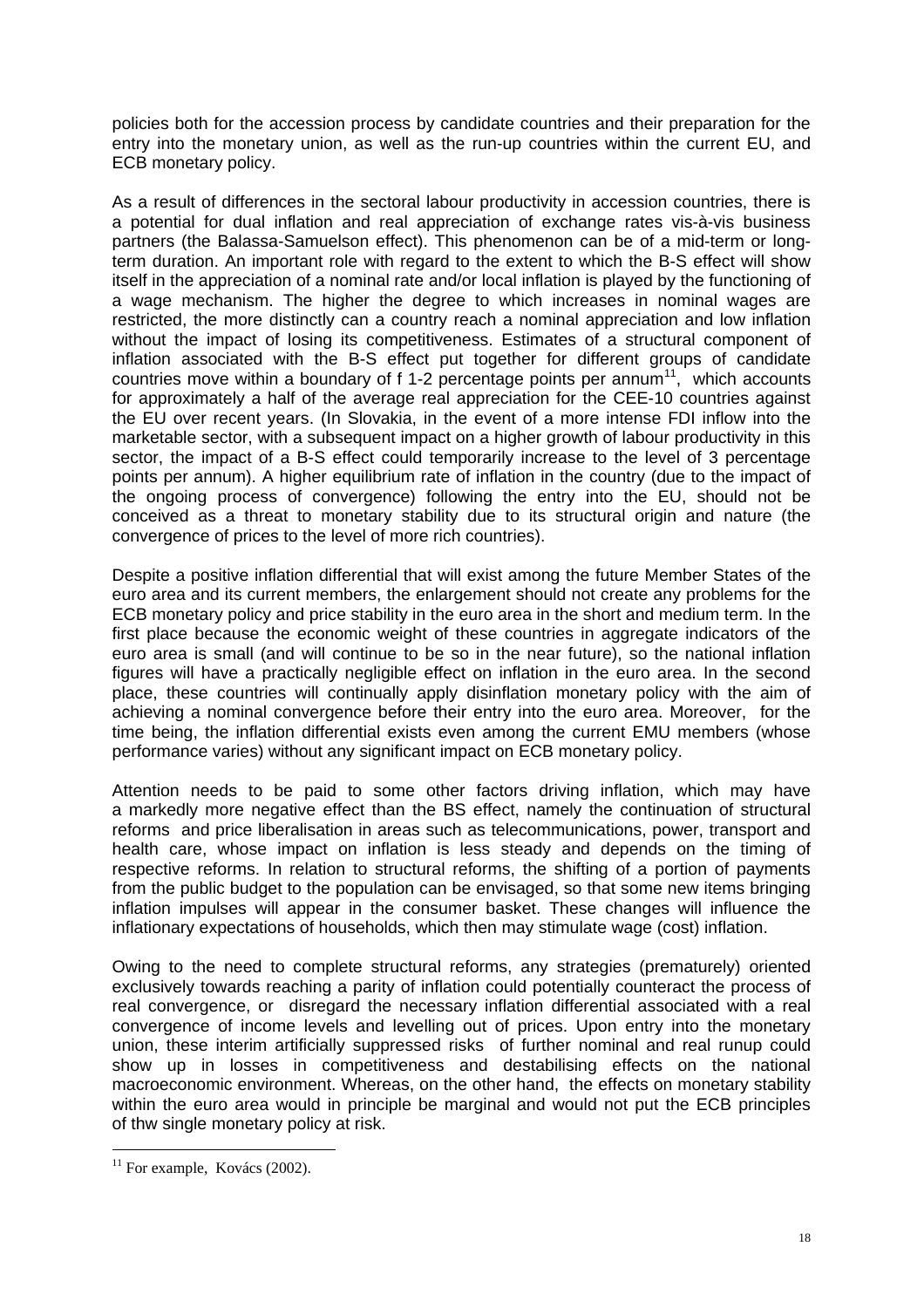policies both for the accession process by candidate countries and their preparation for the entry into the monetary union, as well as the run-up countries within the current EU, and ECB monetary policy.

As a result of differences in the sectoral labour productivity in accession countries, there is a potential for dual inflation and real appreciation of exchange rates vis-à-vis business partners (the Balassa-Samuelson effect). This phenomenon can be of a mid-term or longterm duration. An important role with regard to the extent to which the B-S effect will show itself in the appreciation of a nominal rate and/or local inflation is played by the functioning of a wage mechanism. The higher the degree to which increases in nominal wages are restricted, the more distinctly can a country reach a nominal appreciation and low inflation without the impact of losing its competitiveness. Estimates of a structural component of inflation associated with the B-S effect put together for different groups of candidate countries move within a boundary of  $f$  1-2 percentage points per annum<sup>11</sup>, which accounts for approximately a half of the average real appreciation for the CEE-10 countries against the EU over recent years. (In Slovakia, in the event of a more intense FDI inflow into the marketable sector, with a subsequent impact on a higher growth of labour productivity in this sector, the impact of a B-S effect could temporarily increase to the level of 3 percentage points per annum). A higher equilibrium rate of inflation in the country (due to the impact of the ongoing process of convergence) following the entry into the EU, should not be conceived as a threat to monetary stability due to its structural origin and nature (the convergence of prices to the level of more rich countries).

Despite a positive inflation differential that will exist among the future Member States of the euro area and its current members, the enlargement should not create any problems for the ECB monetary policy and price stability in the euro area in the short and medium term. In the first place because the economic weight of these countries in aggregate indicators of the euro area is small (and will continue to be so in the near future), so the national inflation figures will have a practically negligible effect on inflation in the euro area. In the second place, these countries will continually apply disinflation monetary policy with the aim of achieving a nominal convergence before their entry into the euro area. Moreover, for the time being, the inflation differential exists even among the current EMU members (whose performance varies) without any significant impact on ECB monetary policy.

Attention needs to be paid to some other factors driving inflation, which may have a markedly more negative effect than the BS effect, namely the continuation of structural reforms and price liberalisation in areas such as telecommunications, power, transport and health care, whose impact on inflation is less steady and depends on the timing of respective reforms. In relation to structural reforms, the shifting of a portion of payments from the public budget to the population can be envisaged, so that some new items bringing inflation impulses will appear in the consumer basket. These changes will influence the inflationary expectations of households, which then may stimulate wage (cost) inflation.

Owing to the need to complete structural reforms, any strategies (prematurely) oriented exclusively towards reaching a parity of inflation could potentially counteract the process of real convergence, or disregard the necessary inflation differential associated with a real convergence of income levels and levelling out of prices. Upon entry into the monetary union, these interim artificially suppressed risks of further nominal and real runup could show up in losses in competitiveness and destabilising effects on the national macroeconomic environment. Whereas, on the other hand, the effects on monetary stability within the euro area would in principle be marginal and would not put the ECB principles of thw single monetary policy at risk.

 $11$  For example, Kovács (2002).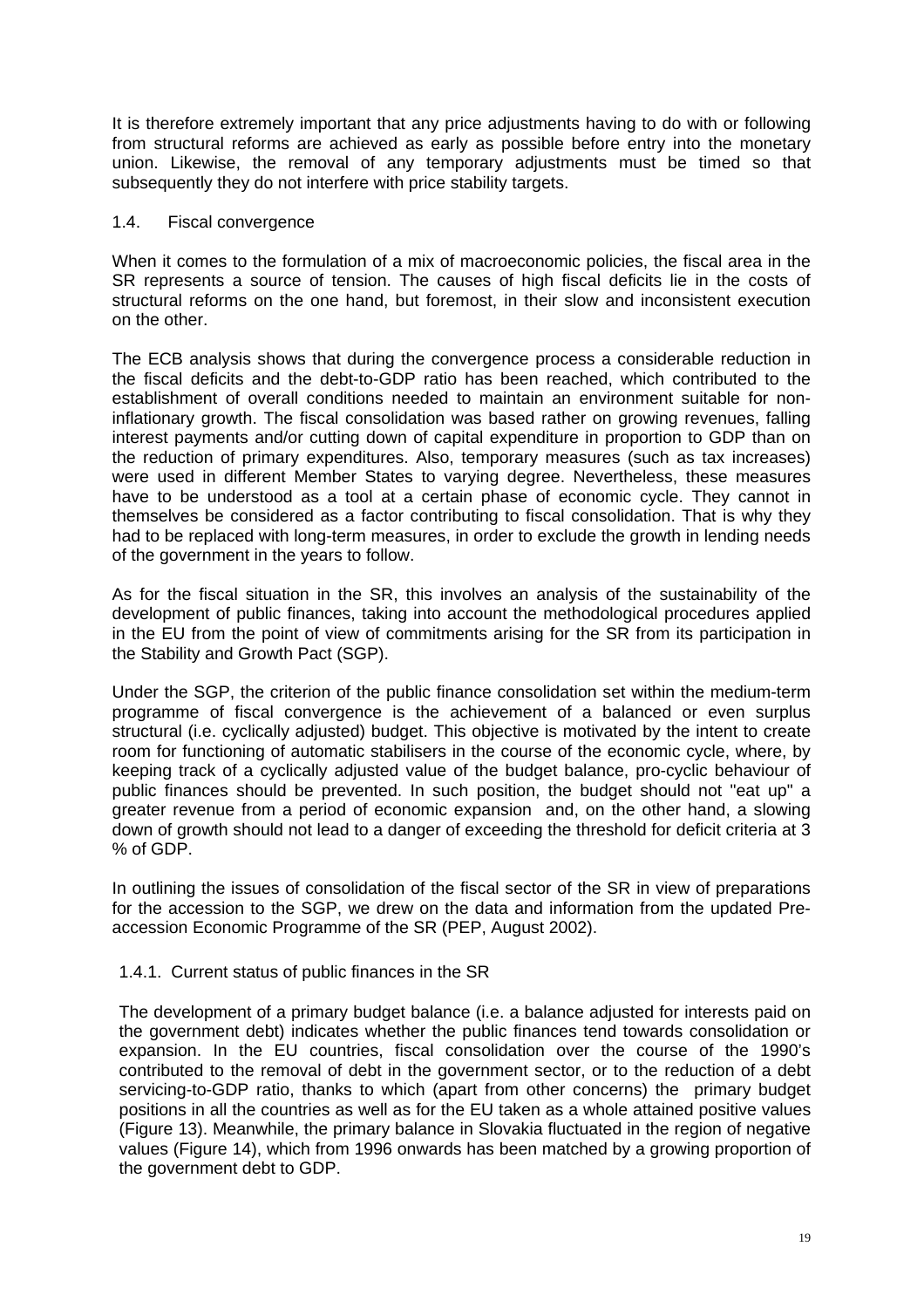It is therefore extremely important that any price adjustments having to do with or following from structural reforms are achieved as early as possible before entry into the monetary union. Likewise, the removal of any temporary adjustments must be timed so that subsequently they do not interfere with price stability targets.

#### 1.4. Fiscal convergence

When it comes to the formulation of a mix of macroeconomic policies, the fiscal area in the SR represents a source of tension. The causes of high fiscal deficits lie in the costs of structural reforms on the one hand, but foremost, in their slow and inconsistent execution on the other.

The ECB analysis shows that during the convergence process a considerable reduction in the fiscal deficits and the debt-to-GDP ratio has been reached, which contributed to the establishment of overall conditions needed to maintain an environment suitable for noninflationary growth. The fiscal consolidation was based rather on growing revenues, falling interest payments and/or cutting down of capital expenditure in proportion to GDP than on the reduction of primary expenditures. Also, temporary measures (such as tax increases) were used in different Member States to varying degree. Nevertheless, these measures have to be understood as a tool at a certain phase of economic cycle. They cannot in themselves be considered as a factor contributing to fiscal consolidation. That is why they had to be replaced with long-term measures, in order to exclude the growth in lending needs of the government in the years to follow.

As for the fiscal situation in the SR, this involves an analysis of the sustainability of the development of public finances, taking into account the methodological procedures applied in the EU from the point of view of commitments arising for the SR from its participation in the Stability and Growth Pact (SGP).

Under the SGP, the criterion of the public finance consolidation set within the medium-term programme of fiscal convergence is the achievement of a balanced or even surplus structural (i.e. cyclically adjusted) budget. This objective is motivated by the intent to create room for functioning of automatic stabilisers in the course of the economic cycle, where, by keeping track of a cyclically adjusted value of the budget balance, pro-cyclic behaviour of public finances should be prevented. In such position, the budget should not "eat up" a greater revenue from a period of economic expansion and, on the other hand, a slowing down of growth should not lead to a danger of exceeding the threshold for deficit criteria at 3 % of GDP.

In outlining the issues of consolidation of the fiscal sector of the SR in view of preparations for the accession to the SGP, we drew on the data and information from the updated Preaccession Economic Programme of the SR (PEP, August 2002).

#### 1.4.1. Current status of public finances in the SR

The development of a primary budget balance (i.e. a balance adjusted for interests paid on the government debt) indicates whether the public finances tend towards consolidation or expansion. In the EU countries, fiscal consolidation over the course of the 1990's contributed to the removal of debt in the government sector, or to the reduction of a debt servicing-to-GDP ratio, thanks to which (apart from other concerns) the primary budget positions in all the countries as well as for the EU taken as a whole attained positive values (Figure 13). Meanwhile, the primary balance in Slovakia fluctuated in the region of negative values (Figure 14), which from 1996 onwards has been matched by a growing proportion of the government debt to GDP.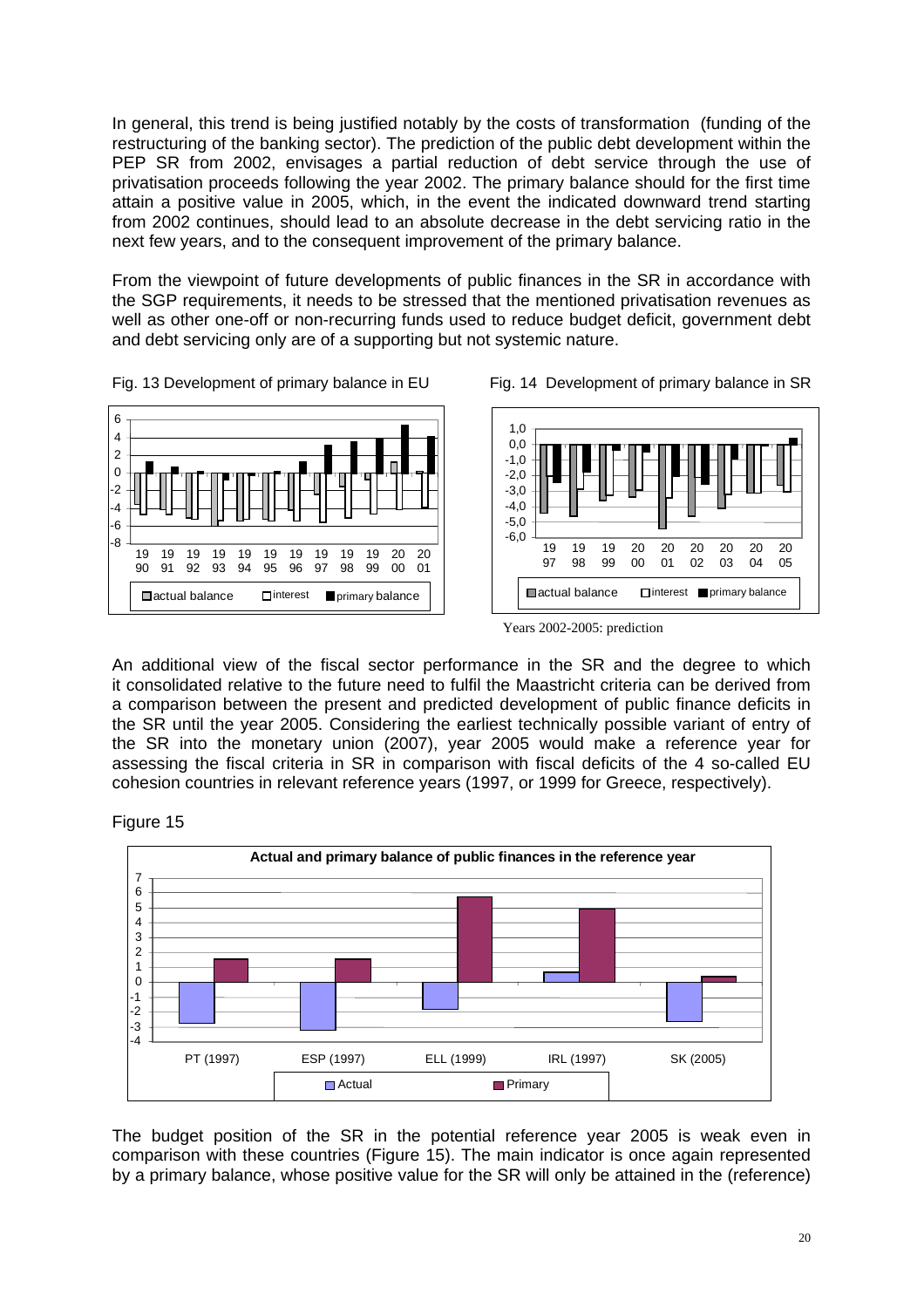In general, this trend is being justified notably by the costs of transformation (funding of the restructuring of the banking sector). The prediction of the public debt development within the PEP SR from 2002, envisages a partial reduction of debt service through the use of privatisation proceeds following the year 2002. The primary balance should for the first time attain a positive value in 2005, which, in the event the indicated downward trend starting from 2002 continues, should lead to an absolute decrease in the debt servicing ratio in the next few years, and to the consequent improvement of the primary balance.

From the viewpoint of future developments of public finances in the SR in accordance with the SGP requirements, it needs to be stressed that the mentioned privatisation revenues as well as other one-off or non-recurring funds used to reduce budget deficit, government debt and debt servicing only are of a supporting but not systemic nature.



Fig. 13 Development of primary balance in EU Fig. 14 Development of primary balance in SR



Years 2002-2005: prediction

An additional view of the fiscal sector performance in the SR and the degree to which it consolidated relative to the future need to fulfil the Maastricht criteria can be derived from a comparison between the present and predicted development of public finance deficits in the SR until the year 2005. Considering the earliest technically possible variant of entry of the SR into the monetary union (2007), year 2005 would make a reference year for assessing the fiscal criteria in SR in comparison with fiscal deficits of the 4 so-called EU cohesion countries in relevant reference years (1997, or 1999 for Greece, respectively).

Figure 15



The budget position of the SR in the potential reference year 2005 is weak even in comparison with these countries (Figure 15). The main indicator is once again represented by a primary balance, whose positive value for the SR will only be attained in the (reference)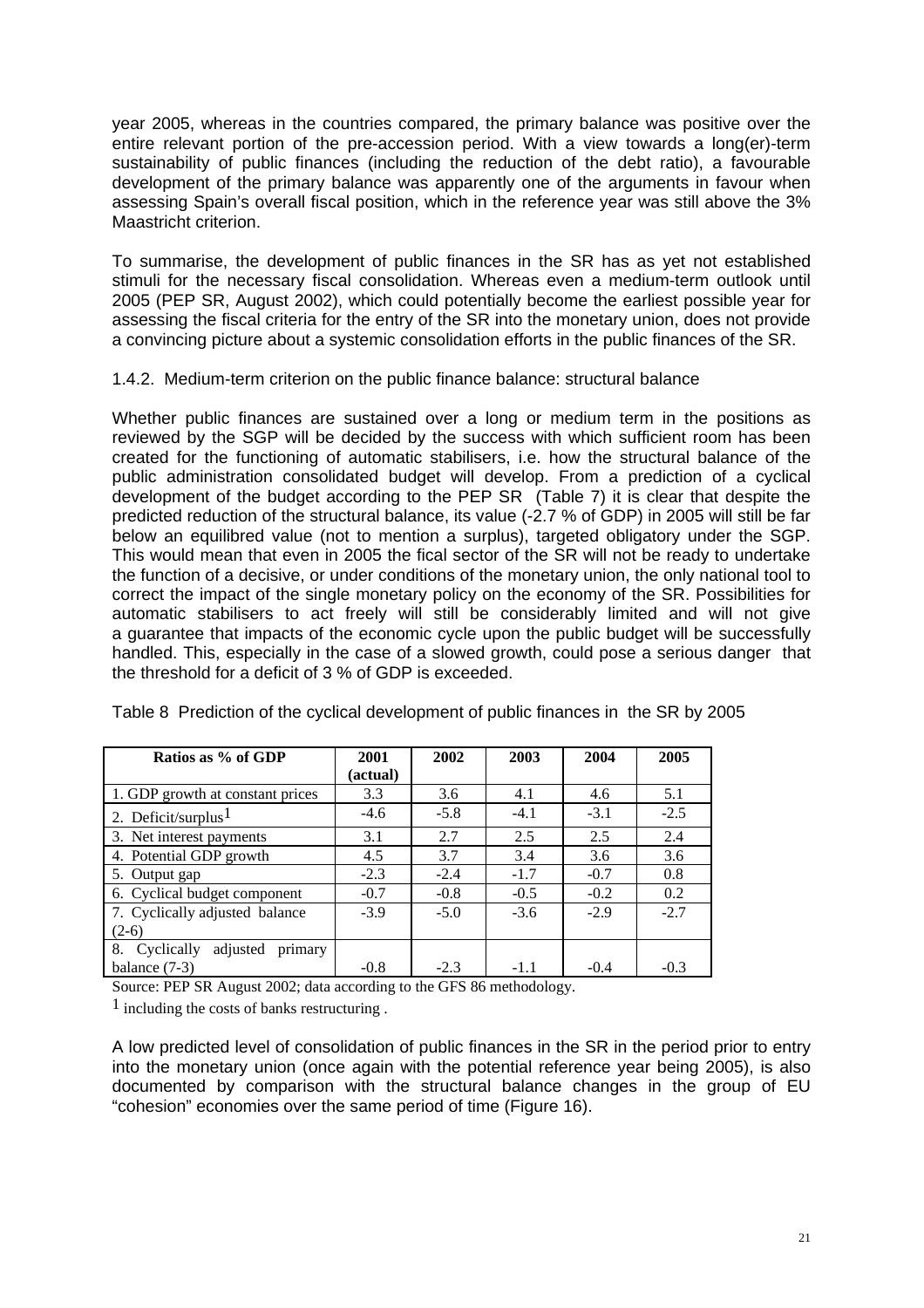year 2005, whereas in the countries compared, the primary balance was positive over the entire relevant portion of the pre-accession period. With a view towards a long(er)-term sustainability of public finances (including the reduction of the debt ratio), a favourable development of the primary balance was apparently one of the arguments in favour when assessing Spain's overall fiscal position, which in the reference year was still above the 3% Maastricht criterion.

To summarise, the development of public finances in the SR has as yet not established stimuli for the necessary fiscal consolidation. Whereas even a medium-term outlook until 2005 (PEP SR, August 2002), which could potentially become the earliest possible year for assessing the fiscal criteria for the entry of the SR into the monetary union, does not provide a convincing picture about a systemic consolidation efforts in the public finances of the SR.

1.4.2. Medium-term criterion on the public finance balance: structural balance

Whether public finances are sustained over a long or medium term in the positions as reviewed by the SGP will be decided by the success with which sufficient room has been created for the functioning of automatic stabilisers, i.e. how the structural balance of the public administration consolidated budget will develop. From a prediction of a cyclical development of the budget according to the PEP SR (Table 7) it is clear that despite the predicted reduction of the structural balance, its value (-2.7 % of GDP) in 2005 will still be far below an equilibred value (not to mention a surplus), targeted obligatory under the SGP. This would mean that even in 2005 the fical sector of the SR will not be ready to undertake the function of a decisive, or under conditions of the monetary union, the only national tool to correct the impact of the single monetary policy on the economy of the SR. Possibilities for automatic stabilisers to act freely will still be considerably limited and will not give a guarantee that impacts of the economic cycle upon the public budget will be successfully handled. This, especially in the case of a slowed growth, could pose a serious danger that the threshold for a deficit of 3 % of GDP is exceeded.

| Ratios as % of GDP                   | 2001     | 2002   | 2003   | 2004   | 2005   |
|--------------------------------------|----------|--------|--------|--------|--------|
|                                      | (actual) |        |        |        |        |
| 1. GDP growth at constant prices     | 3.3      | 3.6    | 4.1    | 4.6    | 5.1    |
| 2. Deficit/surplus <sup>1</sup>      | $-4.6$   | $-5.8$ | $-4.1$ | $-3.1$ | $-2.5$ |
| 3. Net interest payments             | 3.1      | 2.7    | 2.5    | 2.5    | 2.4    |
| 4. Potential GDP growth              | 4.5      | 3.7    | 3.4    | 3.6    | 3.6    |
| 5. Output gap                        | $-2.3$   | $-2.4$ | $-1.7$ | $-0.7$ | 0.8    |
| 6. Cyclical budget component         | $-0.7$   | $-0.8$ | $-0.5$ | $-0.2$ | 0.2    |
| 7. Cyclically adjusted balance       | $-3.9$   | $-5.0$ | $-3.6$ | $-2.9$ | $-2.7$ |
| $(2-6)$                              |          |        |        |        |        |
| 8. Cyclically<br>adjusted<br>primary |          |        |        |        |        |
| balance $(7-3)$                      | $-0.8$   | $-2.3$ | $-1.1$ | $-0.4$ | $-0.3$ |

Table 8 Prediction of the cyclical development of public finances in the SR by 2005

Source: PEP SR August 2002; data according to the GFS 86 methodology.

1 including the costs of banks restructuring .

A low predicted level of consolidation of public finances in the SR in the period prior to entry into the monetary union (once again with the potential reference year being 2005), is also documented by comparison with the structural balance changes in the group of EU "cohesion" economies over the same period of time (Figure 16).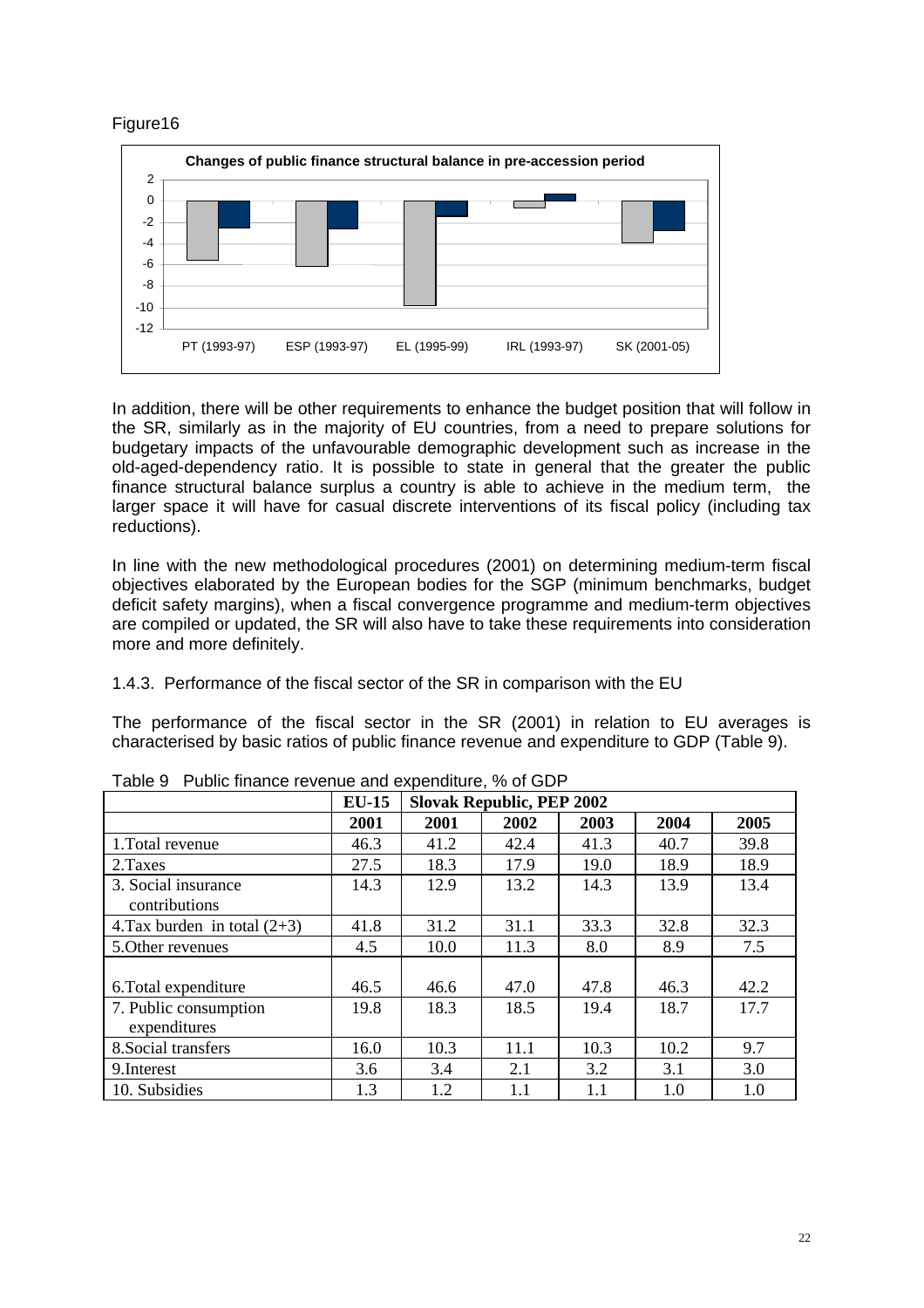#### Figure16



In addition, there will be other requirements to enhance the budget position that will follow in the SR, similarly as in the majority of EU countries, from a need to prepare solutions for budgetary impacts of the unfavourable demographic development such as increase in the old-aged-dependency ratio. It is possible to state in general that the greater the public finance structural balance surplus a country is able to achieve in the medium term, the larger space it will have for casual discrete interventions of its fiscal policy (including tax reductions).

In line with the new methodological procedures (2001) on determining medium-term fiscal objectives elaborated by the European bodies for the SGP (minimum benchmarks, budget deficit safety margins), when a fiscal convergence programme and medium-term objectives are compiled or updated, the SR will also have to take these requirements into consideration more and more definitely.

1.4.3. Performance of the fiscal sector of the SR in comparison with the EU

The performance of the fiscal sector in the SR (2001) in relation to EU averages is characterised by basic ratios of public finance revenue and expenditure to GDP (Table 9).

|                                | $EU-15$ | <b>Slovak Republic, PEP 2002</b> |         |      |      |      |
|--------------------------------|---------|----------------------------------|---------|------|------|------|
|                                | 2001    | 2001                             | 2002    | 2003 | 2004 | 2005 |
| 1. Total revenue               | 46.3    | 41.2                             | 42.4    | 41.3 | 40.7 | 39.8 |
| 2. Taxes                       | 27.5    | 18.3                             | 17.9    | 19.0 | 18.9 | 18.9 |
| 3. Social insurance            | 14.3    | 12.9                             | 13.2    | 14.3 | 13.9 | 13.4 |
| contributions                  |         |                                  |         |      |      |      |
| 4. Tax burden in total $(2+3)$ | 41.8    | 31.2                             | 31.1    | 33.3 | 32.8 | 32.3 |
| 5. Other revenues              | 4.5     | 10.0                             | 11.3    | 8.0  | 8.9  | 7.5  |
|                                |         |                                  |         |      |      |      |
| 6. Total expenditure           | 46.5    | 46.6                             | 47.0    | 47.8 | 46.3 | 42.2 |
| 7. Public consumption          | 19.8    | 18.3                             | 18.5    | 19.4 | 18.7 | 17.7 |
| expenditures                   |         |                                  |         |      |      |      |
| 8. Social transfers            | 16.0    | 10.3                             | 11.1    | 10.3 | 10.2 | 9.7  |
| 9. Interest                    | 3.6     | 3.4                              | 2.1     | 3.2  | 3.1  | 3.0  |
| 10. Subsidies                  | 1.3     | 1.2                              | $1.1\,$ | 1.1  | 1.0  | 1.0  |

Table 9 Public finance revenue and expenditure, % of GDP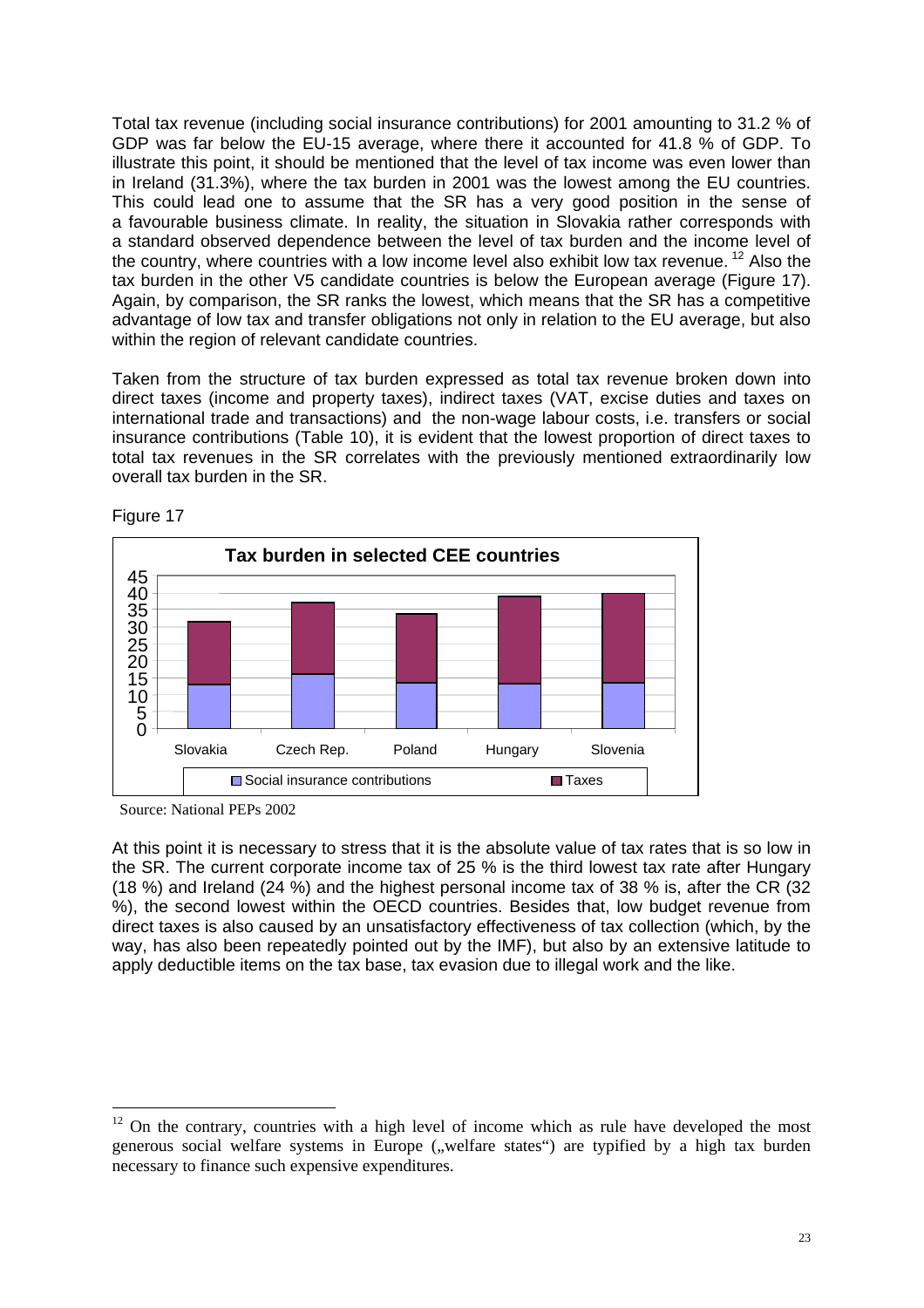Total tax revenue (including social insurance contributions) for 2001 amounting to 31.2 % of GDP was far below the EU-15 average, where there it accounted for 41.8 % of GDP. To illustrate this point, it should be mentioned that the level of tax income was even lower than in Ireland (31.3%), where the tax burden in 2001 was the lowest among the EU countries. This could lead one to assume that the SR has a very good position in the sense of a favourable business climate. In reality, the situation in Slovakia rather corresponds with a standard observed dependence between the level of tax burden and the income level of the country, where countries with a low income level also exhibit low tax revenue.  $12$  Also the tax burden in the other V5 candidate countries is below the European average (Figure 17). Again, by comparison, the SR ranks the lowest, which means that the SR has a competitive advantage of low tax and transfer obligations not only in relation to the EU average, but also within the region of relevant candidate countries.

Taken from the structure of tax burden expressed as total tax revenue broken down into direct taxes (income and property taxes), indirect taxes (VAT, excise duties and taxes on international trade and transactions) and the non-wage labour costs, i.e. transfers or social insurance contributions (Table 10), it is evident that the lowest proportion of direct taxes to total tax revenues in the SR correlates with the previously mentioned extraordinarily low overall tax burden in the SR.



Figure 17

 $\overline{a}$ 

At this point it is necessary to stress that it is the absolute value of tax rates that is so low in the SR. The current corporate income tax of 25 % is the third lowest tax rate after Hungary (18 %) and Ireland (24 %) and the highest personal income tax of 38 % is, after the CR (32 %), the second lowest within the OECD countries. Besides that, low budget revenue from direct taxes is also caused by an unsatisfactory effectiveness of tax collection (which, by the way, has also been repeatedly pointed out by the IMF), but also by an extensive latitude to apply deductible items on the tax base, tax evasion due to illegal work and the like.

Source: National PEPs 2002

 $12$  On the contrary, countries with a high level of income which as rule have developed the most generous social welfare systems in Europe ("welfare states") are typified by a high tax burden necessary to finance such expensive expenditures.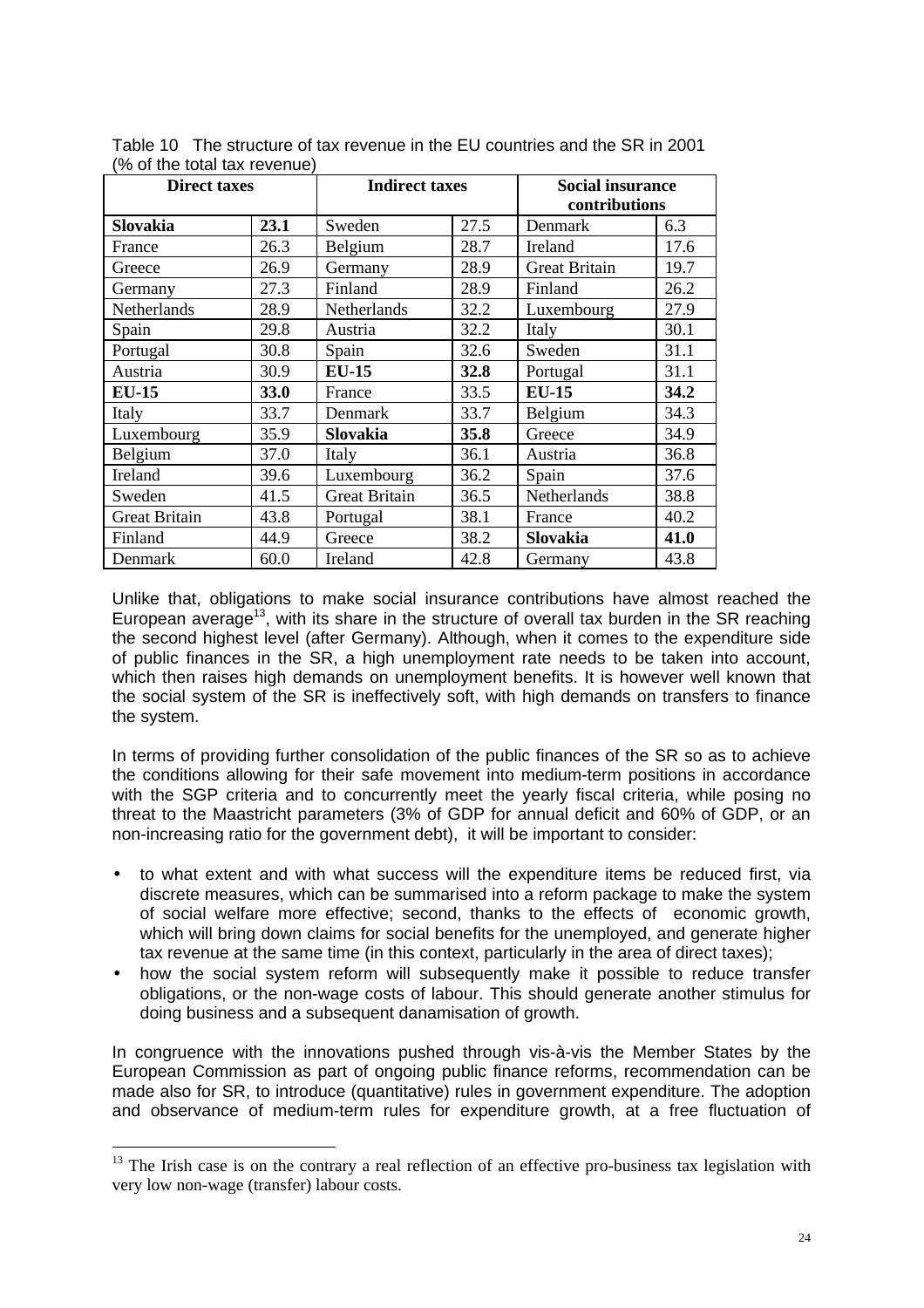| <b>Direct taxes</b>  |      | <b>Indirect taxes</b> |      | <b>Social insurance</b><br>contributions |      |  |
|----------------------|------|-----------------------|------|------------------------------------------|------|--|
| <b>Slovakia</b>      | 23.1 | Sweden                | 27.5 | Denmark                                  | 6.3  |  |
| France               | 26.3 | Belgium               | 28.7 | Ireland                                  | 17.6 |  |
| Greece               | 26.9 | Germany               | 28.9 | <b>Great Britain</b>                     | 19.7 |  |
| Germany              | 27.3 | Finland               | 28.9 | Finland                                  | 26.2 |  |
| Netherlands          | 28.9 | Netherlands           | 32.2 | Luxembourg                               | 27.9 |  |
| Spain                | 29.8 | Austria               | 32.2 | Italy                                    | 30.1 |  |
| Portugal             | 30.8 | Spain                 | 32.6 | Sweden                                   | 31.1 |  |
| Austria              | 30.9 | <b>EU-15</b>          | 32.8 | Portugal                                 | 31.1 |  |
| <b>EU-15</b>         | 33.0 | France                | 33.5 | $EU-15$                                  | 34.2 |  |
| Italy                | 33.7 | Denmark               | 33.7 | Belgium                                  | 34.3 |  |
| Luxembourg           | 35.9 | Slovakia              | 35.8 | Greece                                   | 34.9 |  |
| Belgium              | 37.0 | Italy                 | 36.1 | Austria                                  | 36.8 |  |
| Ireland              | 39.6 | Luxembourg            | 36.2 | Spain                                    | 37.6 |  |
| Sweden               | 41.5 | <b>Great Britain</b>  | 36.5 | Netherlands                              | 38.8 |  |
| <b>Great Britain</b> | 43.8 | Portugal              | 38.1 | France                                   | 40.2 |  |
| Finland              | 44.9 | Greece                | 38.2 | <b>Slovakia</b>                          | 41.0 |  |
| Denmark              | 60.0 | Ireland               | 42.8 | Germany                                  | 43.8 |  |

Table 10 The structure of tax revenue in the EU countries and the SR in 2001 (% of the total tax revenue)

Unlike that, obligations to make social insurance contributions have almost reached the European average<sup>13</sup>, with its share in the structure of overall tax burden in the SR reaching the second highest level (after Germany). Although, when it comes to the expenditure side of public finances in the SR, a high unemployment rate needs to be taken into account, which then raises high demands on unemployment benefits. It is however well known that the social system of the SR is ineffectively soft, with high demands on transfers to finance the system.

In terms of providing further consolidation of the public finances of the SR so as to achieve the conditions allowing for their safe movement into medium-term positions in accordance with the SGP criteria and to concurrently meet the yearly fiscal criteria, while posing no threat to the Maastricht parameters (3% of GDP for annual deficit and 60% of GDP, or an non-increasing ratio for the government debt), it will be important to consider:

- to what extent and with what success will the expenditure items be reduced first, via discrete measures, which can be summarised into a reform package to make the system of social welfare more effective; second, thanks to the effects of economic growth, which will bring down claims for social benefits for the unemployed, and generate higher tax revenue at the same time (in this context, particularly in the area of direct taxes);
- how the social system reform will subsequently make it possible to reduce transfer obligations, or the non-wage costs of labour. This should generate another stimulus for doing business and a subsequent danamisation of growth.

In congruence with the innovations pushed through vis-à-vis the Member States by the European Commission as part of ongoing public finance reforms, recommendation can be made also for SR, to introduce (quantitative) rules in government expenditure. The adoption and observance of medium-term rules for expenditure growth, at a free fluctuation of

<sup>&</sup>lt;sup>13</sup> The Irish case is on the contrary a real reflection of an effective pro-business tax legislation with very low non-wage (transfer) labour costs.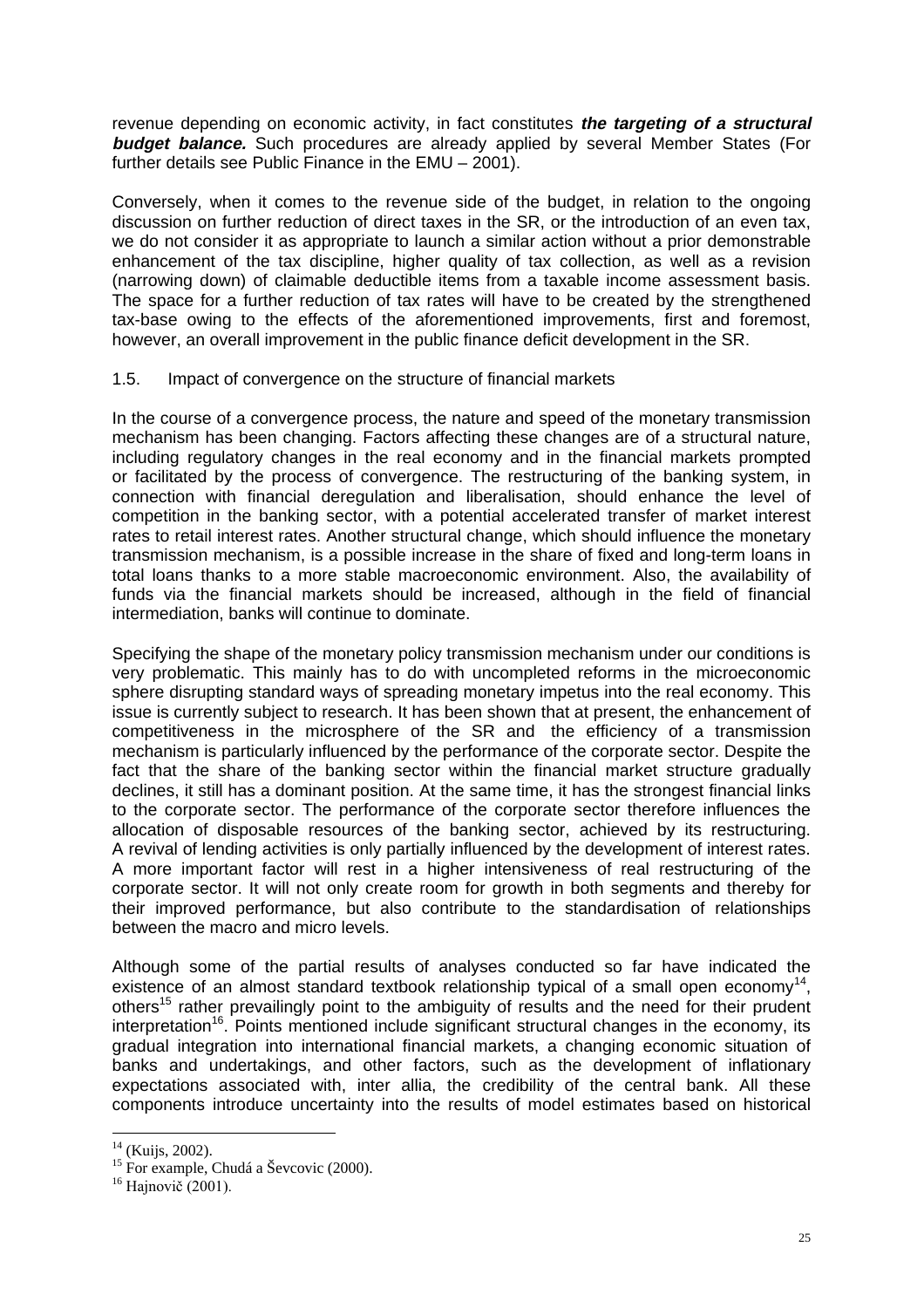revenue depending on economic activity, in fact constitutes **the targeting of a structural budget balance.** Such procedures are already applied by several Member States (For further details see Public Finance in the EMU – 2001).

Conversely, when it comes to the revenue side of the budget, in relation to the ongoing discussion on further reduction of direct taxes in the SR, or the introduction of an even tax, we do not consider it as appropriate to launch a similar action without a prior demonstrable enhancement of the tax discipline, higher quality of tax collection, as well as a revision (narrowing down) of claimable deductible items from a taxable income assessment basis. The space for a further reduction of tax rates will have to be created by the strengthened tax-base owing to the effects of the aforementioned improvements, first and foremost, however, an overall improvement in the public finance deficit development in the SR.

#### 1.5. Impact of convergence on the structure of financial markets

In the course of a convergence process, the nature and speed of the monetary transmission mechanism has been changing. Factors affecting these changes are of a structural nature, including regulatory changes in the real economy and in the financial markets prompted or facilitated by the process of convergence. The restructuring of the banking system, in connection with financial deregulation and liberalisation, should enhance the level of competition in the banking sector, with a potential accelerated transfer of market interest rates to retail interest rates. Another structural change, which should influence the monetary transmission mechanism, is a possible increase in the share of fixed and long-term loans in total loans thanks to a more stable macroeconomic environment. Also, the availability of funds via the financial markets should be increased, although in the field of financial intermediation, banks will continue to dominate.

Specifying the shape of the monetary policy transmission mechanism under our conditions is very problematic. This mainly has to do with uncompleted reforms in the microeconomic sphere disrupting standard ways of spreading monetary impetus into the real economy. This issue is currently subject to research. It has been shown that at present, the enhancement of competitiveness in the microsphere of the SR and the efficiency of a transmission mechanism is particularly influenced by the performance of the corporate sector. Despite the fact that the share of the banking sector within the financial market structure gradually declines, it still has a dominant position. At the same time, it has the strongest financial links to the corporate sector. The performance of the corporate sector therefore influences the allocation of disposable resources of the banking sector, achieved by its restructuring. A revival of lending activities is only partially influenced by the development of interest rates. A more important factor will rest in a higher intensiveness of real restructuring of the corporate sector. It will not only create room for growth in both segments and thereby for their improved performance, but also contribute to the standardisation of relationships between the macro and micro levels.

Although some of the partial results of analyses conducted so far have indicated the existence of an almost standard textbook relationship typical of a small open economy<sup>14</sup>. others<sup>15</sup> rather prevailingly point to the ambiguity of results and the need for their prudent interpretation<sup>16</sup>. Points mentioned include significant structural changes in the economy, its gradual integration into international financial markets, a changing economic situation of banks and undertakings, and other factors, such as the development of inflationary expectations associated with, inter allia, the credibility of the central bank. All these components introduce uncertainty into the results of model estimates based on historical

 $14$  (Kuijs, 2002).

 $^{15}$  For example, Chudá a Ševcovic (2000).

 $16$  Hajnovič (2001).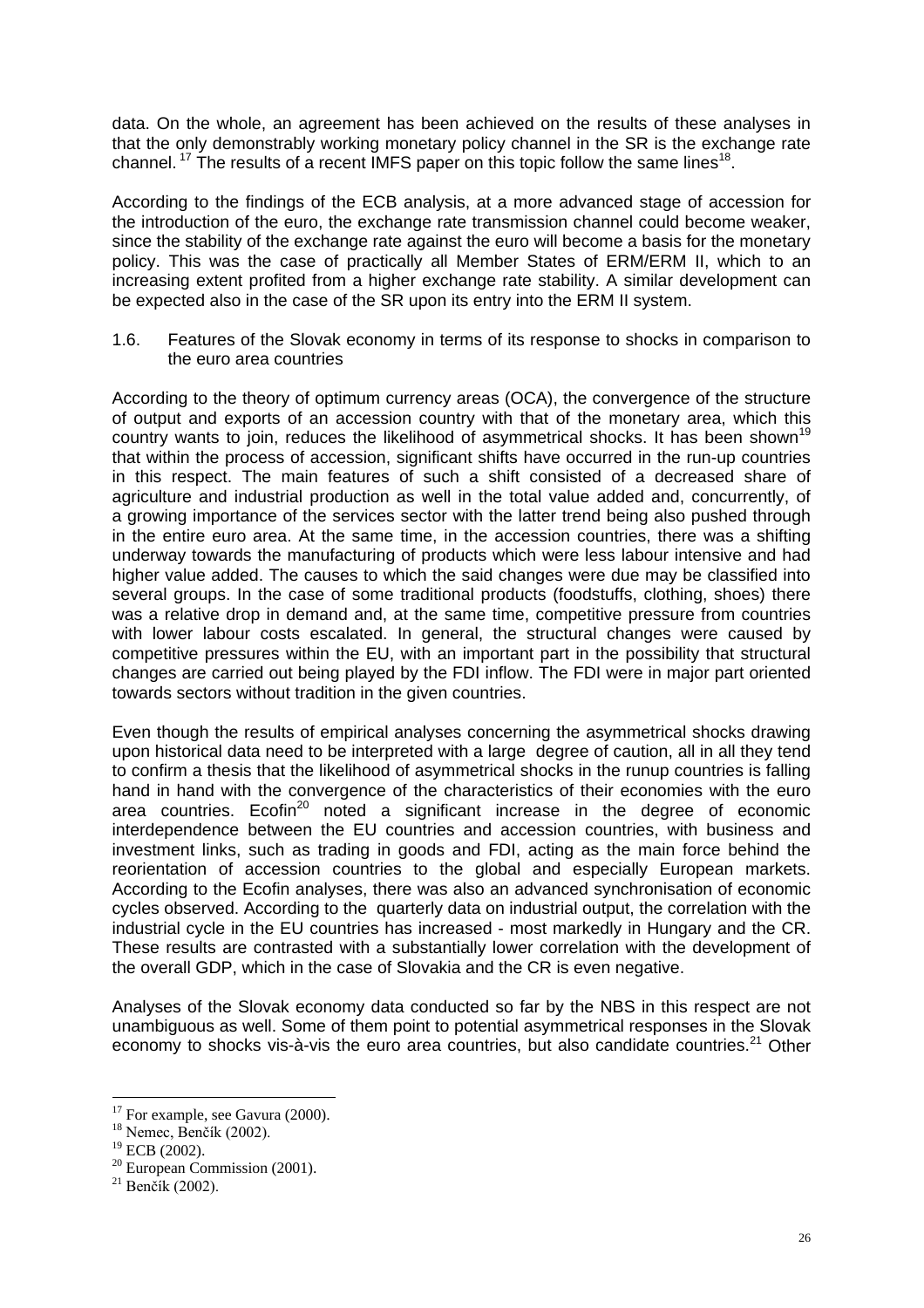data. On the whole, an agreement has been achieved on the results of these analyses in that the only demonstrably working monetary policy channel in the SR is the exchange rate channel. <sup>17</sup> The results of a recent IMFS paper on this topic follow the same lines<sup>18</sup>.

According to the findings of the ECB analysis, at a more advanced stage of accession for the introduction of the euro, the exchange rate transmission channel could become weaker, since the stability of the exchange rate against the euro will become a basis for the monetary policy. This was the case of practically all Member States of ERM/ERM II, which to an increasing extent profited from a higher exchange rate stability. A similar development can be expected also in the case of the SR upon its entry into the ERM II system.

1.6. Features of the Slovak economy in terms of its response to shocks in comparison to the euro area countries

According to the theory of optimum currency areas (OCA), the convergence of the structure of output and exports of an accession country with that of the monetary area, which this country wants to join, reduces the likelihood of asymmetrical shocks. It has been shown<sup>19</sup> that within the process of accession, significant shifts have occurred in the run-up countries in this respect. The main features of such a shift consisted of a decreased share of agriculture and industrial production as well in the total value added and, concurrently, of a growing importance of the services sector with the latter trend being also pushed through in the entire euro area. At the same time, in the accession countries, there was a shifting underway towards the manufacturing of products which were less labour intensive and had higher value added. The causes to which the said changes were due may be classified into several groups. In the case of some traditional products (foodstuffs, clothing, shoes) there was a relative drop in demand and, at the same time, competitive pressure from countries with lower labour costs escalated. In general, the structural changes were caused by competitive pressures within the EU, with an important part in the possibility that structural changes are carried out being played by the FDI inflow. The FDI were in major part oriented towards sectors without tradition in the given countries.

Even though the results of empirical analyses concerning the asymmetrical shocks drawing upon historical data need to be interpreted with a large degree of caution, all in all they tend to confirm a thesis that the likelihood of asymmetrical shocks in the runup countries is falling hand in hand with the convergence of the characteristics of their economies with the euro area countries. Ecofin<sup>20</sup> noted a significant increase in the degree of economic interdependence between the EU countries and accession countries, with business and investment links, such as trading in goods and FDI, acting as the main force behind the reorientation of accession countries to the global and especially European markets. According to the Ecofin analyses, there was also an advanced synchronisation of economic cycles observed. According to the quarterly data on industrial output, the correlation with the industrial cycle in the EU countries has increased - most markedly in Hungary and the CR. These results are contrasted with a substantially lower correlation with the development of the overall GDP, which in the case of Slovakia and the CR is even negative.

Analyses of the Slovak economy data conducted so far by the NBS in this respect are not unambiguous as well. Some of them point to potential asymmetrical responses in the Slovak economy to shocks vis-à-vis the euro area countries, but also candidate countries.<sup>21</sup> Other

 $17$  For example, see Gavura (2000).

<sup>&</sup>lt;sup>18</sup> Nemec, Benčík (2002).

<sup>&</sup>lt;sup>19</sup> ECB (2002).

 $20$  European Commission (2001).

 $21$  Benčík (2002).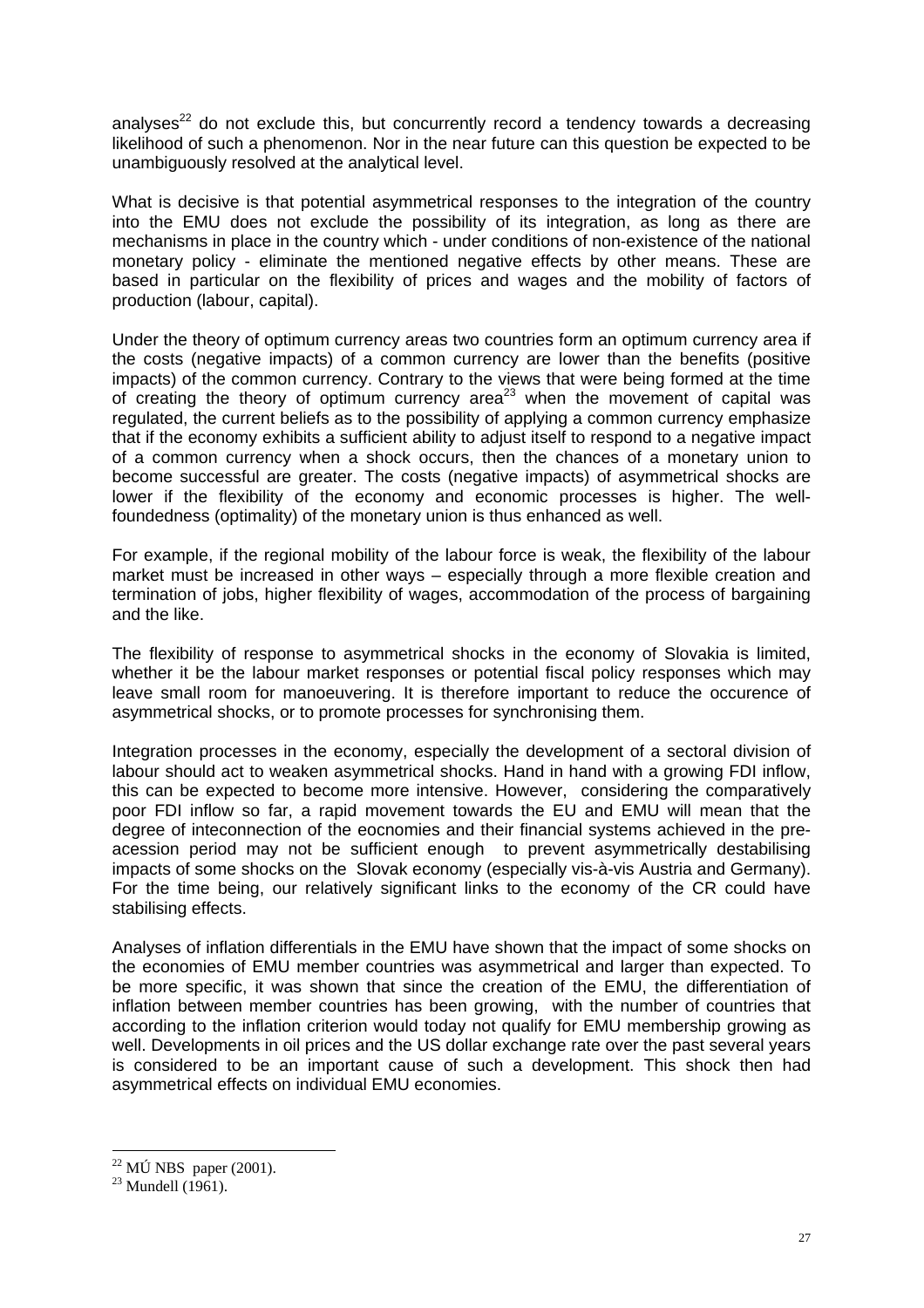analyses<sup>22</sup> do not exclude this, but concurrently record a tendency towards a decreasing likelihood of such a phenomenon. Nor in the near future can this question be expected to be unambiguously resolved at the analytical level.

What is decisive is that potential asymmetrical responses to the integration of the country into the EMU does not exclude the possibility of its integration, as long as there are mechanisms in place in the country which - under conditions of non-existence of the national monetary policy - eliminate the mentioned negative effects by other means. These are based in particular on the flexibility of prices and wages and the mobility of factors of production (labour, capital).

Under the theory of optimum currency areas two countries form an optimum currency area if the costs (negative impacts) of a common currency are lower than the benefits (positive impacts) of the common currency. Contrary to the views that were being formed at the time of creating the theory of optimum currency area<sup>23</sup> when the movement of capital was regulated, the current beliefs as to the possibility of applying a common currency emphasize that if the economy exhibits a sufficient ability to adjust itself to respond to a negative impact of a common currency when a shock occurs, then the chances of a monetary union to become successful are greater. The costs (negative impacts) of asymmetrical shocks are lower if the flexibility of the economy and economic processes is higher. The wellfoundedness (optimality) of the monetary union is thus enhanced as well.

For example, if the regional mobility of the labour force is weak, the flexibility of the labour market must be increased in other ways – especially through a more flexible creation and termination of jobs, higher flexibility of wages, accommodation of the process of bargaining and the like.

The flexibility of response to asymmetrical shocks in the economy of Slovakia is limited, whether it be the labour market responses or potential fiscal policy responses which may leave small room for manoeuvering. It is therefore important to reduce the occurence of asymmetrical shocks, or to promote processes for synchronising them.

Integration processes in the economy, especially the development of a sectoral division of labour should act to weaken asymmetrical shocks. Hand in hand with a growing FDI inflow, this can be expected to become more intensive. However, considering the comparatively poor FDI inflow so far, a rapid movement towards the EU and EMU will mean that the degree of inteconnection of the eocnomies and their financial systems achieved in the preacession period may not be sufficient enough to prevent asymmetrically destabilising impacts of some shocks on the Slovak economy (especially vis-à-vis Austria and Germany). For the time being, our relatively significant links to the economy of the CR could have stabilising effects.

Analyses of inflation differentials in the EMU have shown that the impact of some shocks on the economies of EMU member countries was asymmetrical and larger than expected. To be more specific, it was shown that since the creation of the EMU, the differentiation of inflation between member countries has been growing, with the number of countries that according to the inflation criterion would today not qualify for EMU membership growing as well. Developments in oil prices and the US dollar exchange rate over the past several years is considered to be an important cause of such a development. This shock then had asymmetrical effects on individual EMU economies.

 $22$  MÚ NBS paper (2001).

 $23$  Mundell (1961).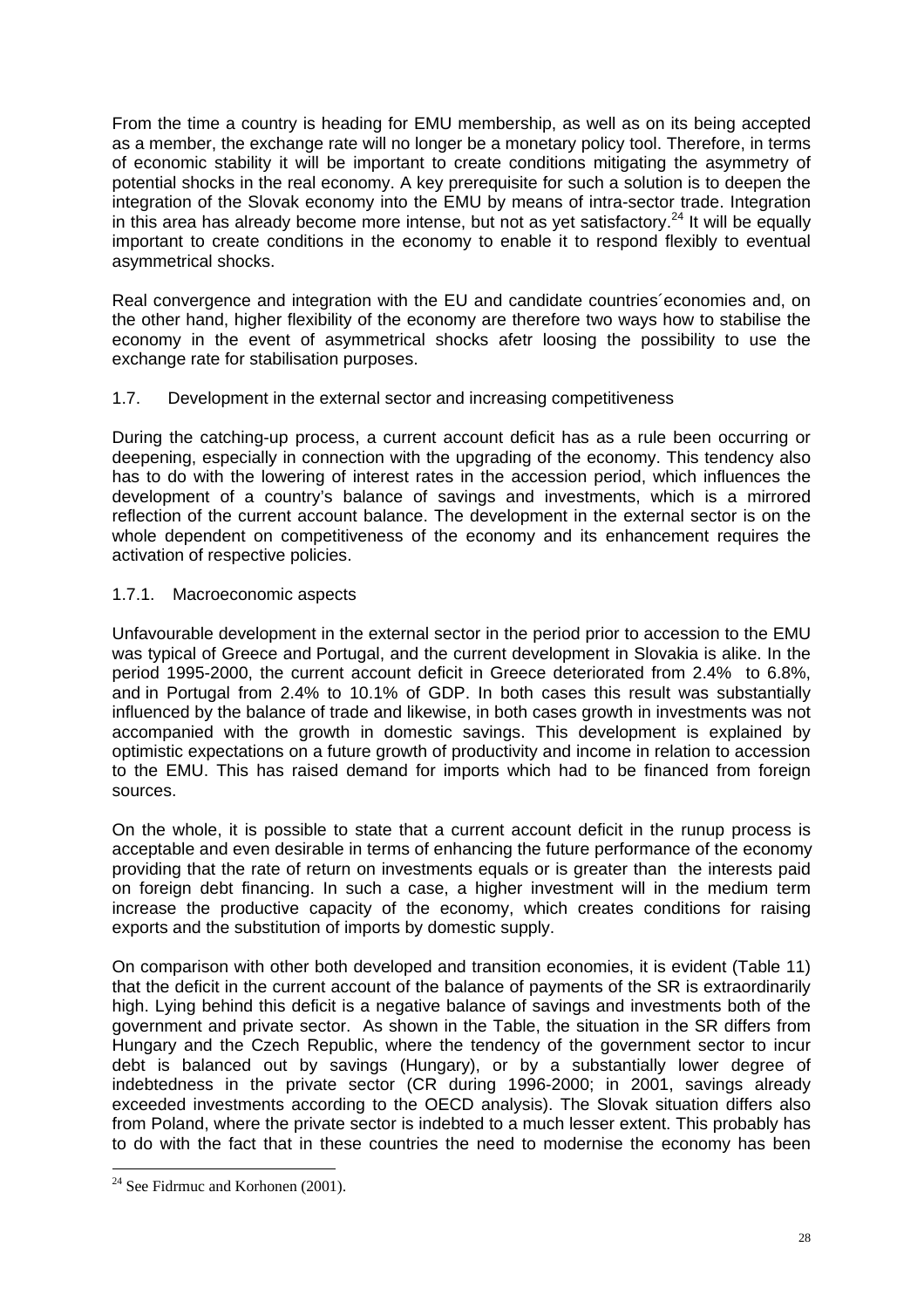From the time a country is heading for EMU membership, as well as on its being accepted as a member, the exchange rate will no longer be a monetary policy tool. Therefore, in terms of economic stability it will be important to create conditions mitigating the asymmetry of potential shocks in the real economy. A key prerequisite for such a solution is to deepen the integration of the Slovak economy into the EMU by means of intra-sector trade. Integration in this area has already become more intense, but not as yet satisfactory.<sup>24</sup> It will be equally important to create conditions in the economy to enable it to respond flexibly to eventual asymmetrical shocks.

Real convergence and integration with the EU and candidate countries´economies and, on the other hand, higher flexibility of the economy are therefore two ways how to stabilise the economy in the event of asymmetrical shocks afetr loosing the possibility to use the exchange rate for stabilisation purposes.

#### 1.7. Development in the external sector and increasing competitiveness

During the catching-up process, a current account deficit has as a rule been occurring or deepening, especially in connection with the upgrading of the economy. This tendency also has to do with the lowering of interest rates in the accession period, which influences the development of a country's balance of savings and investments, which is a mirrored reflection of the current account balance. The development in the external sector is on the whole dependent on competitiveness of the economy and its enhancement requires the activation of respective policies.

#### 1.7.1. Macroeconomic aspects

Unfavourable development in the external sector in the period prior to accession to the EMU was typical of Greece and Portugal, and the current development in Slovakia is alike. In the period 1995-2000, the current account deficit in Greece deteriorated from 2.4% to 6.8%, and in Portugal from 2.4% to 10.1% of GDP. In both cases this result was substantially influenced by the balance of trade and likewise, in both cases growth in investments was not accompanied with the growth in domestic savings. This development is explained by optimistic expectations on a future growth of productivity and income in relation to accession to the EMU. This has raised demand for imports which had to be financed from foreign sources.

On the whole, it is possible to state that a current account deficit in the runup process is acceptable and even desirable in terms of enhancing the future performance of the economy providing that the rate of return on investments equals or is greater than the interests paid on foreign debt financing. In such a case, a higher investment will in the medium term increase the productive capacity of the economy, which creates conditions for raising exports and the substitution of imports by domestic supply.

On comparison with other both developed and transition economies, it is evident (Table 11) that the deficit in the current account of the balance of payments of the SR is extraordinarily high. Lying behind this deficit is a negative balance of savings and investments both of the government and private sector. As shown in the Table, the situation in the SR differs from Hungary and the Czech Republic, where the tendency of the government sector to incur debt is balanced out by savings (Hungary), or by a substantially lower degree of indebtedness in the private sector (CR during 1996-2000; in 2001, savings already exceeded investments according to the OECD analysis). The Slovak situation differs also from Poland, where the private sector is indebted to a much lesser extent. This probably has to do with the fact that in these countries the need to modernise the economy has been

 $24$  See Fidrmuc and Korhonen (2001).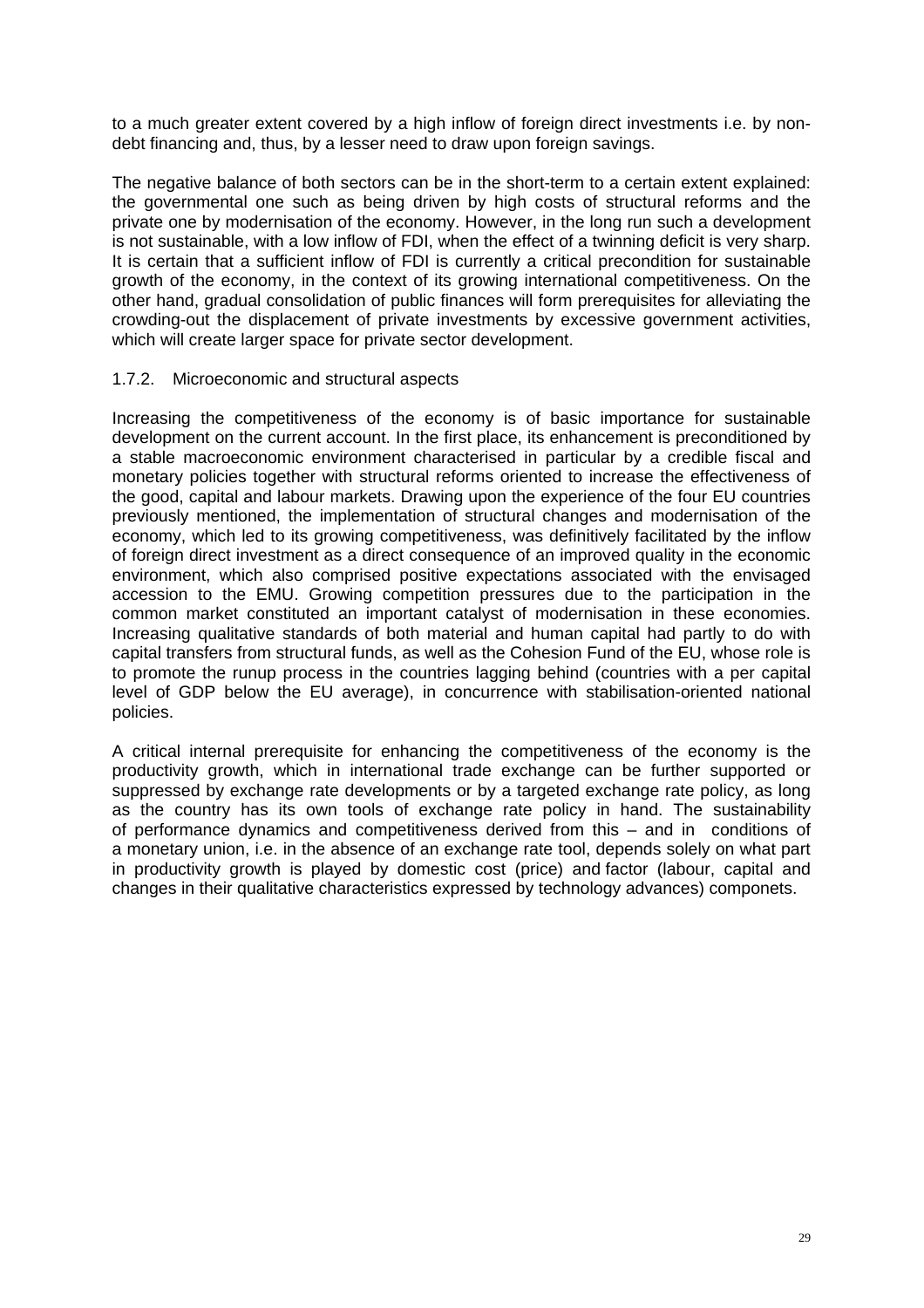to a much greater extent covered by a high inflow of foreign direct investments i.e. by nondebt financing and, thus, by a lesser need to draw upon foreign savings.

The negative balance of both sectors can be in the short-term to a certain extent explained: the governmental one such as being driven by high costs of structural reforms and the private one by modernisation of the economy. However, in the long run such a development is not sustainable, with a low inflow of FDI, when the effect of a twinning deficit is very sharp. It is certain that a sufficient inflow of FDI is currently a critical precondition for sustainable growth of the economy, in the context of its growing international competitiveness. On the other hand, gradual consolidation of public finances will form prerequisites for alleviating the crowding-out the displacement of private investments by excessive government activities, which will create larger space for private sector development.

#### 1.7.2. Microeconomic and structural aspects

Increasing the competitiveness of the economy is of basic importance for sustainable development on the current account. In the first place, its enhancement is preconditioned by a stable macroeconomic environment characterised in particular by a credible fiscal and monetary policies together with structural reforms oriented to increase the effectiveness of the good, capital and labour markets. Drawing upon the experience of the four EU countries previously mentioned, the implementation of structural changes and modernisation of the economy, which led to its growing competitiveness, was definitively facilitated by the inflow of foreign direct investment as a direct consequence of an improved quality in the economic environment, which also comprised positive expectations associated with the envisaged accession to the EMU. Growing competition pressures due to the participation in the common market constituted an important catalyst of modernisation in these economies. Increasing qualitative standards of both material and human capital had partly to do with capital transfers from structural funds, as well as the Cohesion Fund of the EU, whose role is to promote the runup process in the countries lagging behind (countries with a per capital level of GDP below the EU average), in concurrence with stabilisation-oriented national policies.

A critical internal prerequisite for enhancing the competitiveness of the economy is the productivity growth, which in international trade exchange can be further supported or suppressed by exchange rate developments or by a targeted exchange rate policy, as long as the country has its own tools of exchange rate policy in hand. The sustainability of performance dynamics and competitiveness derived from this – and in conditions of a monetary union, i.e. in the absence of an exchange rate tool, depends solely on what part in productivity growth is played by domestic cost (price) and factor (labour, capital and changes in their qualitative characteristics expressed by technology advances) componets.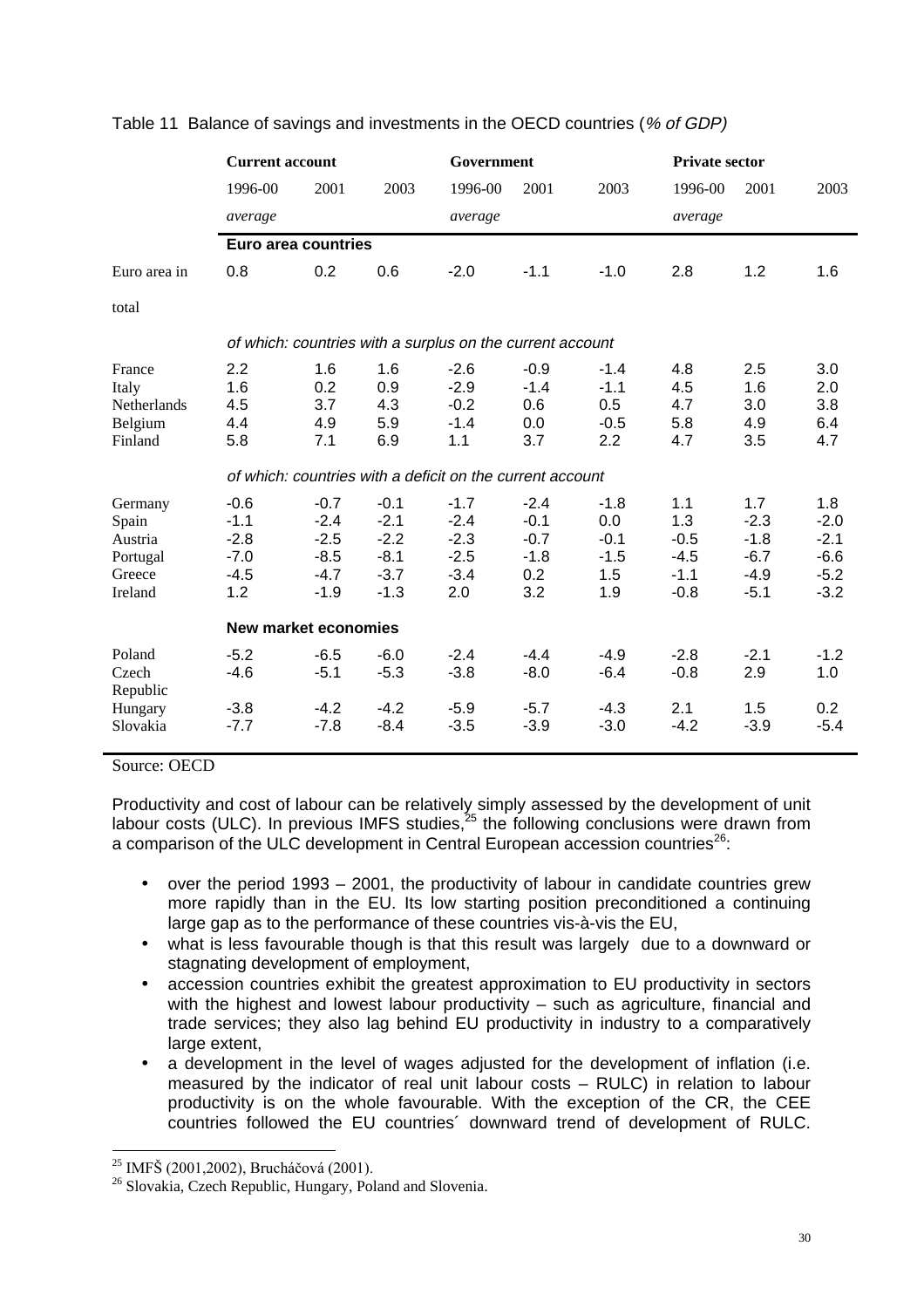|                                                              | <b>Current account</b>                                    |                                                          |                                                          | Government                                                |                                                    |                                                 | <b>Private sector</b>                              |                                                       |                                                       |
|--------------------------------------------------------------|-----------------------------------------------------------|----------------------------------------------------------|----------------------------------------------------------|-----------------------------------------------------------|----------------------------------------------------|-------------------------------------------------|----------------------------------------------------|-------------------------------------------------------|-------------------------------------------------------|
|                                                              | 1996-00                                                   | 2001                                                     | 2003                                                     | 1996-00                                                   | 2001                                               | 2003                                            | 1996-00                                            | 2001                                                  | 2003                                                  |
|                                                              | average                                                   |                                                          |                                                          | average                                                   |                                                    |                                                 | average                                            |                                                       |                                                       |
|                                                              | Euro area countries                                       |                                                          |                                                          |                                                           |                                                    |                                                 |                                                    |                                                       |                                                       |
| Euro area in                                                 | 0.8                                                       | 0.2                                                      | 0.6                                                      | $-2.0$                                                    | $-1.1$                                             | $-1.0$                                          | 2.8                                                | 1.2                                                   | 1.6                                                   |
| total                                                        |                                                           |                                                          |                                                          |                                                           |                                                    |                                                 |                                                    |                                                       |                                                       |
|                                                              | of which: countries with a surplus on the current account |                                                          |                                                          |                                                           |                                                    |                                                 |                                                    |                                                       |                                                       |
| France<br>Italy<br>Netherlands<br>Belgium<br>Finland         | $2.2\phantom{0}$<br>1.6<br>4.5<br>4.4<br>5.8              | 1.6<br>0.2<br>3.7<br>4.9<br>7.1                          | 1.6<br>0.9<br>4.3<br>5.9<br>6.9                          | $-2.6$<br>$-2.9$<br>$-0.2$<br>$-1.4$<br>1.1               | $-0.9$<br>$-1.4$<br>0.6<br>0.0<br>3.7              | $-1.4$<br>$-1.1$<br>0.5<br>$-0.5$<br>2.2        | 4.8<br>4.5<br>4.7<br>5.8<br>4.7                    | 2.5<br>1.6<br>3.0<br>4.9<br>3.5                       | 3.0<br>2.0<br>3.8<br>6.4<br>4.7                       |
|                                                              |                                                           |                                                          |                                                          | of which: countries with a deficit on the current account |                                                    |                                                 |                                                    |                                                       |                                                       |
| Germany<br>Spain<br>Austria<br>Portugal<br>Greece<br>Ireland | $-0.6$<br>$-1.1$<br>$-2.8$<br>$-7.0$<br>$-4.5$<br>1.2     | $-0.7$<br>$-2.4$<br>$-2.5$<br>$-8.5$<br>$-4.7$<br>$-1.9$ | $-0.1$<br>$-2.1$<br>$-2.2$<br>$-8.1$<br>$-3.7$<br>$-1.3$ | $-1.7$<br>$-2.4$<br>$-2.3$<br>$-2.5$<br>$-3.4$<br>2.0     | $-2.4$<br>$-0.1$<br>$-0.7$<br>$-1.8$<br>0.2<br>3.2 | $-1.8$<br>0.0<br>$-0.1$<br>$-1.5$<br>1.5<br>1.9 | 1.1<br>1.3<br>$-0.5$<br>$-4.5$<br>$-1.1$<br>$-0.8$ | 1.7<br>$-2.3$<br>$-1.8$<br>$-6.7$<br>$-4.9$<br>$-5.1$ | 1.8<br>$-2.0$<br>$-2.1$<br>$-6.6$<br>$-5.2$<br>$-3.2$ |
|                                                              | <b>New market economies</b>                               |                                                          |                                                          |                                                           |                                                    |                                                 |                                                    |                                                       |                                                       |
| Poland<br>Czech<br>Republic                                  | $-5.2$<br>$-4.6$                                          | $-6.5$<br>$-5.1$                                         | $-6.0$<br>$-5.3$                                         | $-2.4$<br>$-3.8$                                          | $-4.4$<br>$-8.0$                                   | $-4.9$<br>$-6.4$                                | $-2.8$<br>$-0.8$                                   | $-2.1$<br>2.9                                         | $-1.2$<br>1.0                                         |
| Hungary<br>Slovakia                                          | $-3.8$<br>$-7.7$                                          | $-4.2$<br>$-7.8$                                         | $-4.2$<br>$-8.4$                                         | $-5.9$<br>$-3.5$                                          | $-5.7$<br>$-3.9$                                   | $-4.3$<br>$-3.0$                                | 2.1<br>$-4.2$                                      | 1.5<br>$-3.9$                                         | 0.2<br>$-5.4$                                         |

#### Table 11 Balance of savings and investments in the OECD countries (% of GDP)

Source: OECD

 $\overline{a}$ 

Productivity and cost of labour can be relatively simply assessed by the development of unit labour costs (ULC). In previous IMFS studies,  $25$  the following conclusions were drawn from a comparison of the ULC development in Central European accession countries<sup>26</sup>:

- over the period 1993 2001, the productivity of labour in candidate countries grew more rapidly than in the EU. Its low starting position preconditioned a continuing large gap as to the performance of these countries vis-à-vis the EU,
- what is less favourable though is that this result was largely due to a downward or stagnating development of employment,
- accession countries exhibit the greatest approximation to EU productivity in sectors with the highest and lowest labour productivity – such as agriculture, financial and trade services; they also lag behind EU productivity in industry to a comparatively large extent,
- a development in the level of wages adjusted for the development of inflation (i.e. measured by the indicator of real unit labour costs – RULC) in relation to labour productivity is on the whole favourable. With the exception of the CR, the CEE countries followed the EU countries´ downward trend of development of RULC.

<sup>&</sup>lt;sup>25</sup> IMFŠ (2001,2002), Brucháčová (2001).

<sup>&</sup>lt;sup>26</sup> Slovakia, Czech Republic, Hungary, Poland and Slovenia.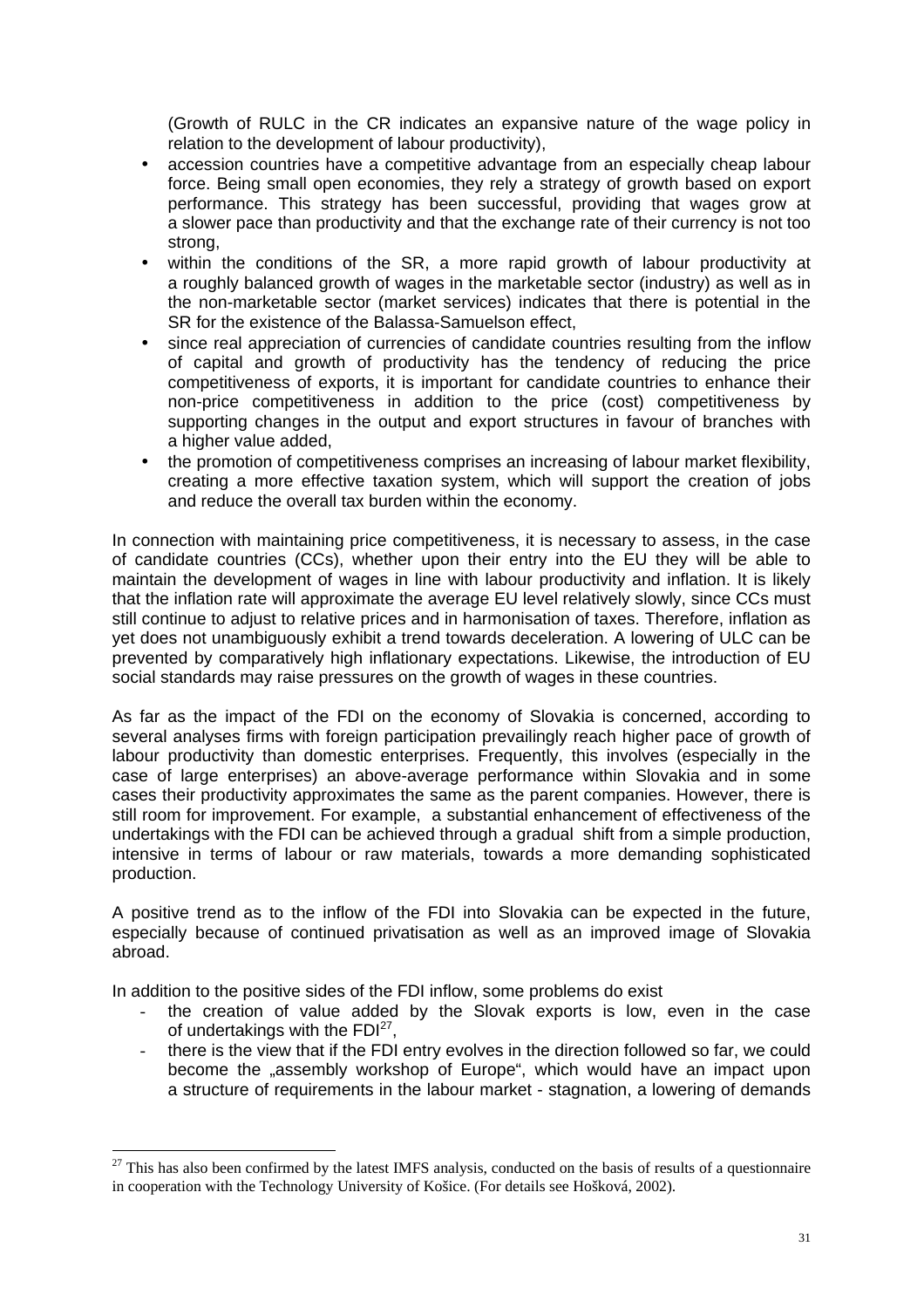(Growth of RULC in the CR indicates an expansive nature of the wage policy in relation to the development of labour productivity),

- accession countries have a competitive advantage from an especially cheap labour force. Being small open economies, they rely a strategy of growth based on export performance. This strategy has been successful, providing that wages grow at a slower pace than productivity and that the exchange rate of their currency is not too strong,
- within the conditions of the SR, a more rapid growth of labour productivity at a roughly balanced growth of wages in the marketable sector (industry) as well as in the non-marketable sector (market services) indicates that there is potential in the SR for the existence of the Balassa-Samuelson effect,
- since real appreciation of currencies of candidate countries resulting from the inflow of capital and growth of productivity has the tendency of reducing the price competitiveness of exports, it is important for candidate countries to enhance their non-price competitiveness in addition to the price (cost) competitiveness by supporting changes in the output and export structures in favour of branches with a higher value added,
- the promotion of competitiveness comprises an increasing of labour market flexibility, creating a more effective taxation system, which will support the creation of jobs and reduce the overall tax burden within the economy.

In connection with maintaining price competitiveness, it is necessary to assess, in the case of candidate countries (CCs), whether upon their entry into the EU they will be able to maintain the development of wages in line with labour productivity and inflation. It is likely that the inflation rate will approximate the average EU level relatively slowly, since CCs must still continue to adjust to relative prices and in harmonisation of taxes. Therefore, inflation as yet does not unambiguously exhibit a trend towards deceleration. A lowering of ULC can be prevented by comparatively high inflationary expectations. Likewise, the introduction of EU social standards may raise pressures on the growth of wages in these countries.

As far as the impact of the FDI on the economy of Slovakia is concerned, according to several analyses firms with foreign participation prevailingly reach higher pace of growth of labour productivity than domestic enterprises. Frequently, this involves (especially in the case of large enterprises) an above-average performance within Slovakia and in some cases their productivity approximates the same as the parent companies. However, there is still room for improvement. For example, a substantial enhancement of effectiveness of the undertakings with the FDI can be achieved through a gradual shift from a simple production, intensive in terms of labour or raw materials, towards a more demanding sophisticated production.

A positive trend as to the inflow of the FDI into Slovakia can be expected in the future, especially because of continued privatisation as well as an improved image of Slovakia abroad.

In addition to the positive sides of the FDI inflow, some problems do exist

- the creation of value added by the Slovak exports is low, even in the case of undertakings with the FDI<sup>27</sup>,
- there is the view that if the FDI entry evolves in the direction followed so far, we could become the "assembly workshop of Europe", which would have an impact upon a structure of requirements in the labour market - stagnation, a lowering of demands

 $\overline{a}$  $27$  This has also been confirmed by the latest IMFS analysis, conducted on the basis of results of a questionnaire in cooperation with the Technology University of Košice. (For details see Hošková, 2002).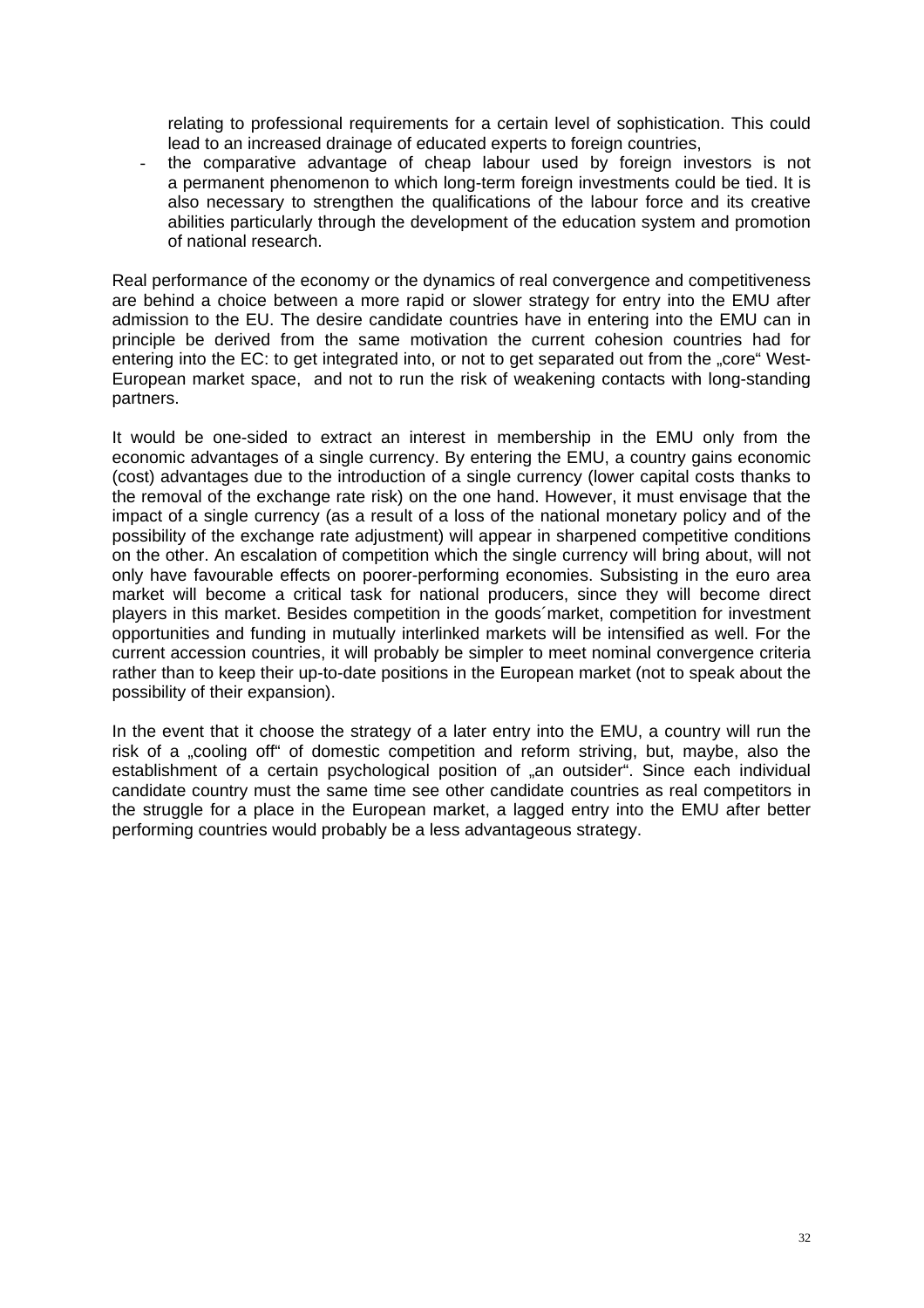relating to professional requirements for a certain level of sophistication. This could lead to an increased drainage of educated experts to foreign countries,

- the comparative advantage of cheap labour used by foreign investors is not a permanent phenomenon to which long-term foreign investments could be tied. It is also necessary to strengthen the qualifications of the labour force and its creative abilities particularly through the development of the education system and promotion of national research.

Real performance of the economy or the dynamics of real convergence and competitiveness are behind a choice between a more rapid or slower strategy for entry into the EMU after admission to the EU. The desire candidate countries have in entering into the EMU can in principle be derived from the same motivation the current cohesion countries had for entering into the EC: to get integrated into, or not to get separated out from the "core" West-European market space, and not to run the risk of weakening contacts with long-standing partners.

It would be one-sided to extract an interest in membership in the EMU only from the economic advantages of a single currency. By entering the EMU, a country gains economic (cost) advantages due to the introduction of a single currency (lower capital costs thanks to the removal of the exchange rate risk) on the one hand. However, it must envisage that the impact of a single currency (as a result of a loss of the national monetary policy and of the possibility of the exchange rate adjustment) will appear in sharpened competitive conditions on the other. An escalation of competition which the single currency will bring about, will not only have favourable effects on poorer-performing economies. Subsisting in the euro area market will become a critical task for national producers, since they will become direct players in this market. Besides competition in the goods´market, competition for investment opportunities and funding in mutually interlinked markets will be intensified as well. For the current accession countries, it will probably be simpler to meet nominal convergence criteria rather than to keep their up-to-date positions in the European market (not to speak about the possibility of their expansion).

In the event that it choose the strategy of a later entry into the EMU, a country will run the risk of a "cooling off" of domestic competition and reform striving, but, maybe, also the establishment of a certain psychological position of "an outsider". Since each individual candidate country must the same time see other candidate countries as real competitors in the struggle for a place in the European market, a lagged entry into the EMU after better performing countries would probably be a less advantageous strategy.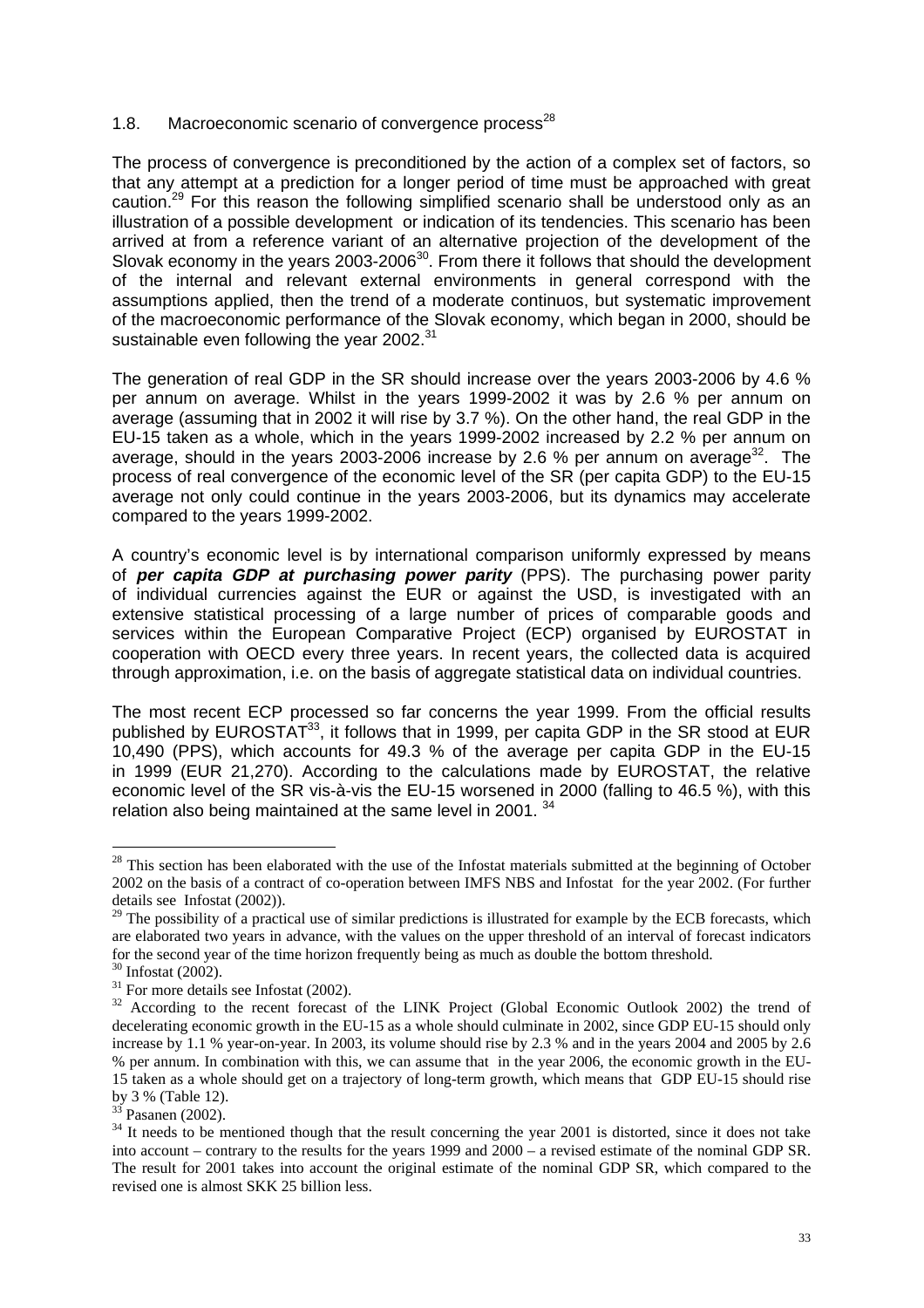#### 1.8. Macroeconomic scenario of convergence process<sup>28</sup>

The process of convergence is preconditioned by the action of a complex set of factors, so that any attempt at a prediction for a longer period of time must be approached with great caution.29 For this reason the following simplified scenario shall be understood only as an illustration of a possible development or indication of its tendencies. This scenario has been arrived at from a reference variant of an alternative projection of the development of the Slovak economy in the years 2003-2006<sup>30</sup>. From there it follows that should the development of the internal and relevant external environments in general correspond with the assumptions applied, then the trend of a moderate continuos, but systematic improvement of the macroeconomic performance of the Slovak economy, which began in 2000, should be sustainable even following the year 2002.<sup>31</sup>

The generation of real GDP in the SR should increase over the years 2003-2006 by 4.6 % per annum on average. Whilst in the years 1999-2002 it was by 2.6 % per annum on average (assuming that in 2002 it will rise by 3.7 %). On the other hand, the real GDP in the EU-15 taken as a whole, which in the years 1999-2002 increased by 2.2 % per annum on average, should in the years 2003-2006 increase by 2.6 % per annum on average<sup>32</sup>. The process of real convergence of the economic level of the SR (per capita GDP) to the EU-15 average not only could continue in the years 2003-2006, but its dynamics may accelerate compared to the years 1999-2002.

A country's economic level is by international comparison uniformly expressed by means of **per capita GDP at purchasing power parity** (PPS). The purchasing power parity of individual currencies against the EUR or against the USD, is investigated with an extensive statistical processing of a large number of prices of comparable goods and services within the European Comparative Project (ECP) organised by EUROSTAT in cooperation with OECD every three years. In recent years, the collected data is acquired through approximation, i.e. on the basis of aggregate statistical data on individual countries.

The most recent ECP processed so far concerns the year 1999. From the official results published by EUROSTAT<sup>33</sup>, it follows that in 1999, per capita GDP in the SR stood at EUR 10,490 (PPS), which accounts for 49.3 % of the average per capita GDP in the EU-15 in 1999 (EUR 21,270). According to the calculations made by EUROSTAT, the relative economic level of the SR vis-à-vis the EU-15 worsened in 2000 (falling to 46.5 %), with this relation also being maintained at the same level in 2001.<sup>34</sup>

 $28$  This section has been elaborated with the use of the Infostat materials submitted at the beginning of October 2002 on the basis of a contract of co-operation between IMFS NBS and Infostat for the year 2002. (For further details see Infostat (2002)).

 $29$  The possibility of a practical use of similar predictions is illustrated for example by the ECB forecasts, which are elaborated two years in advance, with the values on the upper threshold of an interval of forecast indicators for the second year of the time horizon frequently being as much as double the bottom threshold.

<sup>30</sup> Infostat (2002).

 $31$  For more details see Infostat (2002).

<sup>&</sup>lt;sup>32</sup> According to the recent forecast of the LINK Project (Global Economic Outlook 2002) the trend of decelerating economic growth in the EU-15 as a whole should culminate in 2002, since GDP EU-15 should only increase by 1.1 % year-on-year. In 2003, its volume should rise by 2.3 % and in the years 2004 and 2005 by 2.6 % per annum. In combination with this, we can assume that in the year 2006, the economic growth in the EU-15 taken as a whole should get on a trajectory of long-term growth, which means that GDP EU-15 should rise by 3 % (Table 12).

 $33$ <sup>33</sup> Pasanen (2002).

 $34$  It needs to be mentioned though that the result concerning the year 2001 is distorted, since it does not take into account – contrary to the results for the years 1999 and 2000 – a revised estimate of the nominal GDP SR. The result for 2001 takes into account the original estimate of the nominal GDP SR, which compared to the revised one is almost SKK 25 billion less.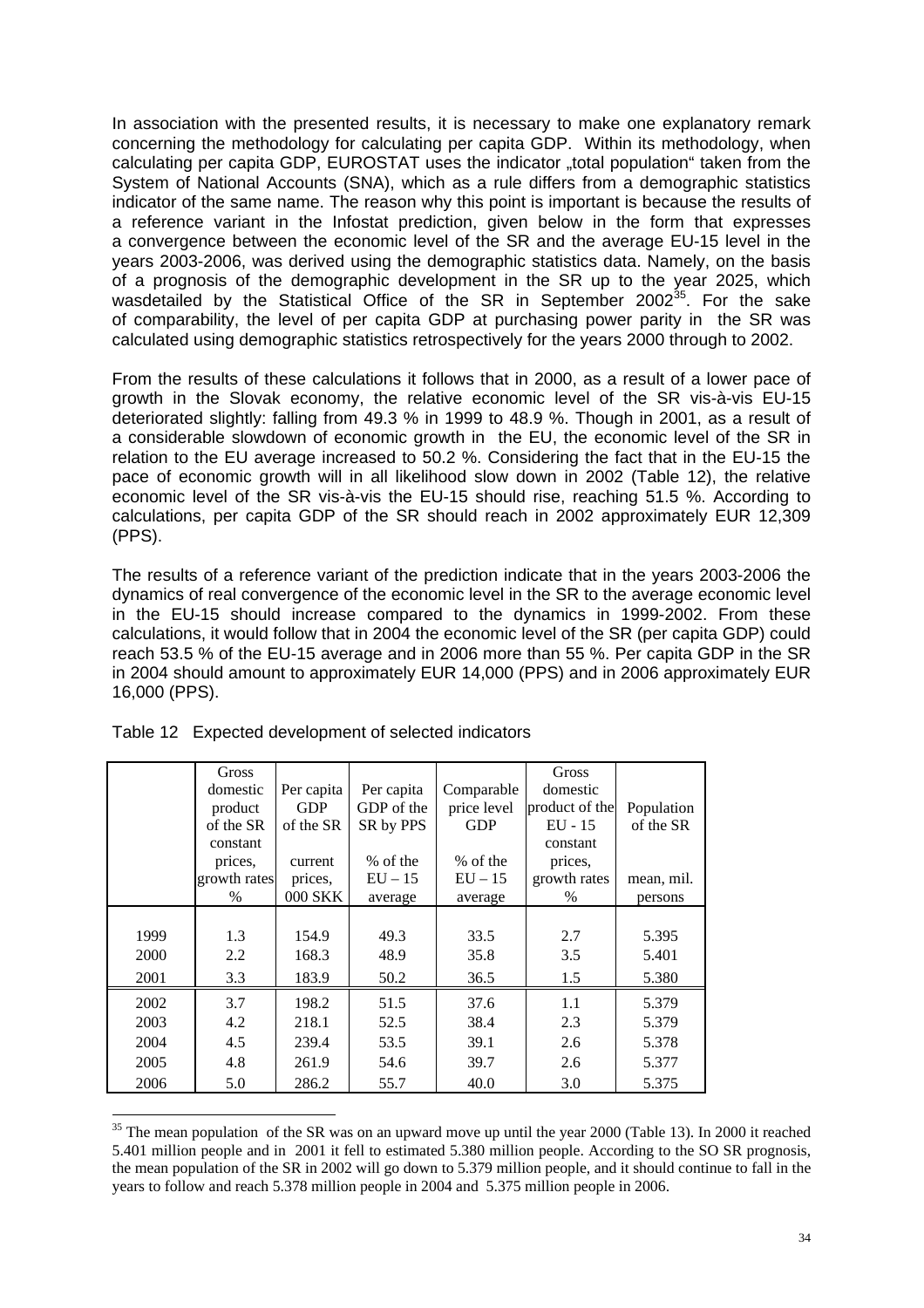In association with the presented results, it is necessary to make one explanatory remark concerning the methodology for calculating per capita GDP. Within its methodology, when calculating per capita GDP, EUROSTAT uses the indicator "total population" taken from the System of National Accounts (SNA), which as a rule differs from a demographic statistics indicator of the same name. The reason why this point is important is because the results of a reference variant in the Infostat prediction, given below in the form that expresses a convergence between the economic level of the SR and the average EU-15 level in the years 2003-2006, was derived using the demographic statistics data. Namely, on the basis of a prognosis of the demographic development in the SR up to the year 2025, which wasdetailed by the Statistical Office of the SR in September 2002<sup>35</sup>. For the sake of comparability, the level of per capita GDP at purchasing power parity in the SR was calculated using demographic statistics retrospectively for the years 2000 through to 2002.

From the results of these calculations it follows that in 2000, as a result of a lower pace of growth in the Slovak economy, the relative economic level of the SR vis-à-vis EU-15 deteriorated slightly: falling from 49.3 % in 1999 to 48.9 %. Though in 2001, as a result of a considerable slowdown of economic growth in the EU, the economic level of the SR in relation to the EU average increased to 50.2 %. Considering the fact that in the EU-15 the pace of economic growth will in all likelihood slow down in 2002 (Table 12), the relative economic level of the SR vis-à-vis the EU-15 should rise, reaching 51.5 %. According to calculations, per capita GDP of the SR should reach in 2002 approximately EUR 12,309 (PPS).

The results of a reference variant of the prediction indicate that in the years 2003-2006 the dynamics of real convergence of the economic level in the SR to the average economic level in the EU-15 should increase compared to the dynamics in 1999-2002. From these calculations, it would follow that in 2004 the economic level of the SR (per capita GDP) could reach 53.5 % of the EU-15 average and in 2006 more than 55 %. Per capita GDP in the SR in 2004 should amount to approximately EUR 14,000 (PPS) and in 2006 approximately EUR 16,000 (PPS).

|      | Gross        |            |            |             | Gross          |            |
|------|--------------|------------|------------|-------------|----------------|------------|
|      | domestic     | Per capita | Per capita | Comparable  | domestic       |            |
|      | product      | <b>GDP</b> | GDP of the | price level | product of the | Population |
|      | of the SR    | of the SR  | SR by PPS  | <b>GDP</b>  | $E$ U - 15     | of the SR  |
|      | constant     |            |            |             | constant       |            |
|      | prices,      | current    | % of the   | % of the    | prices,        |            |
|      | growth rates | prices,    | $EU-15$    | $EU-15$     | growth rates   | mean, mil. |
|      | $\%$         | 000 SKK    | average    | average     | %              | persons    |
|      |              |            |            |             |                |            |
| 1999 | 1.3          | 154.9      | 49.3       | 33.5        | 2.7            | 5.395      |
| 2000 | 2.2          | 168.3      | 48.9       | 35.8        | 3.5            | 5.401      |
| 2001 | 3.3          | 183.9      | 50.2       | 36.5        | 1.5            | 5.380      |
| 2002 | 3.7          | 198.2      | 51.5       | 37.6        | 1.1            | 5.379      |
| 2003 | 4.2          | 218.1      | 52.5       | 38.4        | 2.3            | 5.379      |
| 2004 | 4.5          | 239.4      | 53.5       | 39.1        | 2.6            | 5.378      |
| 2005 | 4.8          | 261.9      | 54.6       | 39.7        | 2.6            | 5.377      |
| 2006 | 5.0          | 286.2      | 55.7       | 40.0        | 3.0            | 5.375      |

Table 12 Expected development of selected indicators

<sup>&</sup>lt;sup>35</sup> The mean population of the SR was on an upward move up until the year 2000 (Table 13). In 2000 it reached 5.401 million people and in 2001 it fell to estimated 5.380 million people. According to the SO SR prognosis, the mean population of the SR in 2002 will go down to 5.379 million people, and it should continue to fall in the years to follow and reach 5.378 million people in 2004 and 5.375 million people in 2006.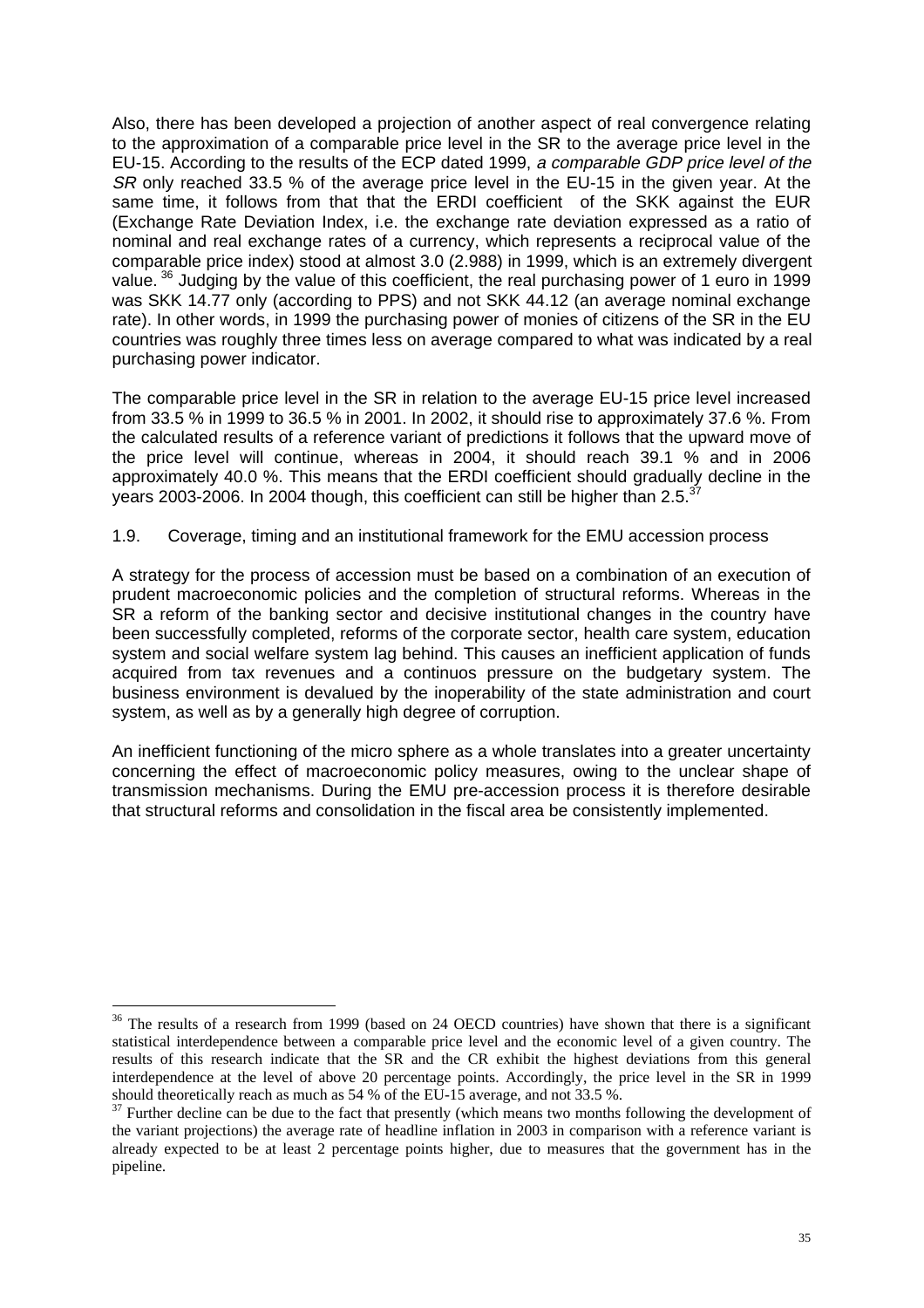Also, there has been developed a projection of another aspect of real convergence relating to the approximation of a comparable price level in the SR to the average price level in the EU-15. According to the results of the ECP dated 1999, a comparable GDP price level of the SR only reached 33.5 % of the average price level in the EU-15 in the given vear. At the same time, it follows from that that the ERDI coefficient of the SKK against the EUR (Exchange Rate Deviation Index, i.e. the exchange rate deviation expressed as a ratio of nominal and real exchange rates of a currency, which represents a reciprocal value of the comparable price index) stood at almost 3.0 (2.988) in 1999, which is an extremely divergent value.<sup>36</sup> Judging by the value of this coefficient, the real purchasing power of 1 euro in 1999 was SKK 14.77 only (according to PPS) and not SKK 44.12 (an average nominal exchange rate). In other words, in 1999 the purchasing power of monies of citizens of the SR in the EU countries was roughly three times less on average compared to what was indicated by a real purchasing power indicator.

The comparable price level in the SR in relation to the average EU-15 price level increased from 33.5 % in 1999 to 36.5 % in 2001. In 2002, it should rise to approximately 37.6 %. From the calculated results of a reference variant of predictions it follows that the upward move of the price level will continue, whereas in 2004, it should reach 39.1 % and in 2006 approximately 40.0 %. This means that the ERDI coefficient should gradually decline in the years 2003-2006. In 2004 though, this coefficient can still be higher than 2.5.<sup>37</sup>

#### 1.9. Coverage, timing and an institutional framework for the EMU accession process

A strategy for the process of accession must be based on a combination of an execution of prudent macroeconomic policies and the completion of structural reforms. Whereas in the SR a reform of the banking sector and decisive institutional changes in the country have been successfully completed, reforms of the corporate sector, health care system, education system and social welfare system lag behind. This causes an inefficient application of funds acquired from tax revenues and a continuos pressure on the budgetary system. The business environment is devalued by the inoperability of the state administration and court system, as well as by a generally high degree of corruption.

An inefficient functioning of the micro sphere as a whole translates into a greater uncertainty concerning the effect of macroeconomic policy measures, owing to the unclear shape of transmission mechanisms. During the EMU pre-accession process it is therefore desirable that structural reforms and consolidation in the fiscal area be consistently implemented.

 $36$  The results of a research from 1999 (based on 24 OECD countries) have shown that there is a significant statistical interdependence between a comparable price level and the economic level of a given country. The results of this research indicate that the SR and the CR exhibit the highest deviations from this general interdependence at the level of above 20 percentage points. Accordingly, the price level in the SR in 1999 should theoretically reach as much as 54 % of the EU-15 average, and not 33.5 %.

<sup>&</sup>lt;sup>37</sup> Further decline can be due to the fact that presently (which means two months following the development of the variant projections) the average rate of headline inflation in 2003 in comparison with a reference variant is already expected to be at least 2 percentage points higher, due to measures that the government has in the pipeline.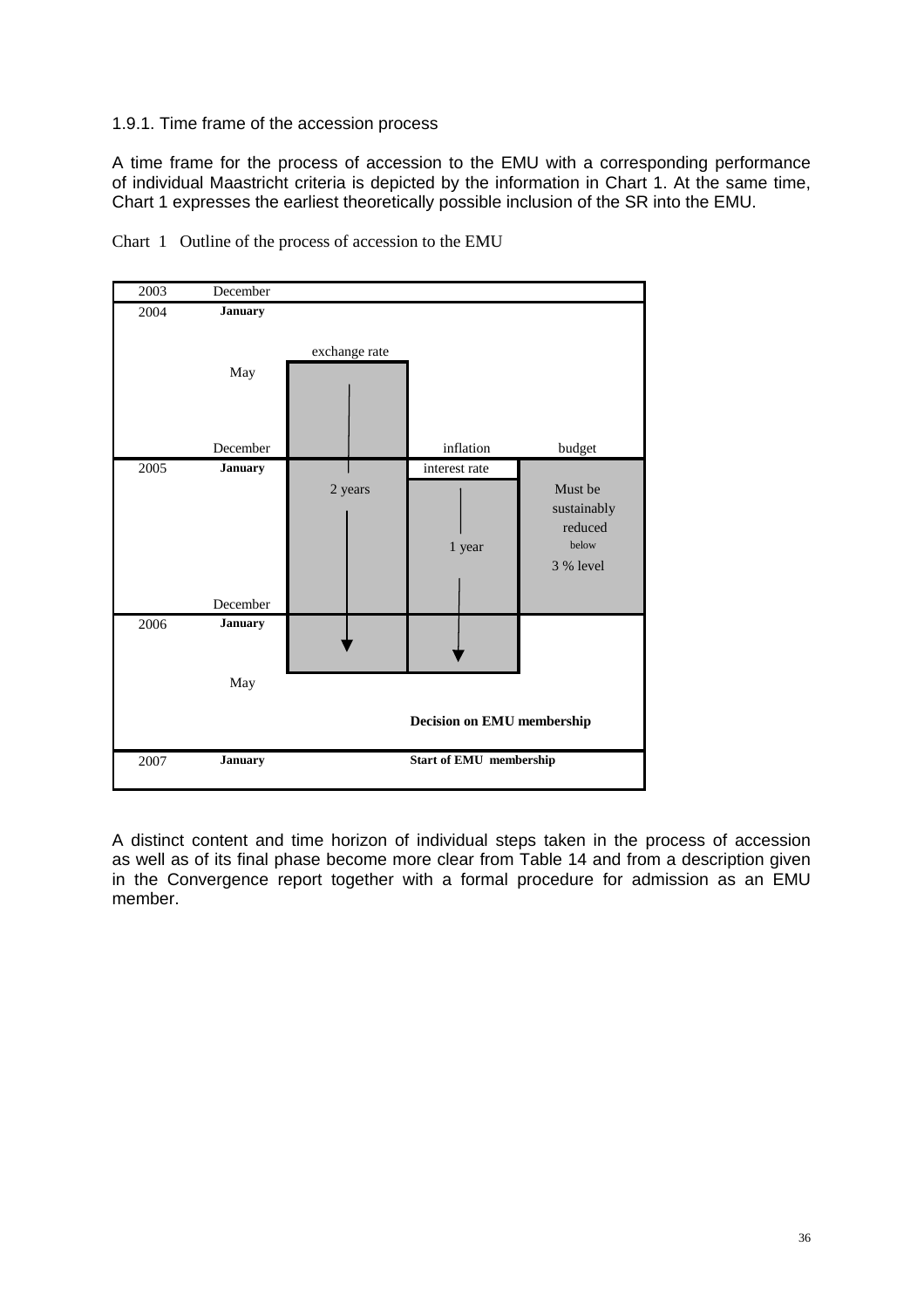#### 1.9.1. Time frame of the accession process

A time frame for the process of accession to the EMU with a corresponding performance of individual Maastricht criteria is depicted by the information in Chart 1. At the same time, Chart 1 expresses the earliest theoretically possible inclusion of the SR into the EMU.



Chart 1 Outline of the process of accession to the EMU

A distinct content and time horizon of individual steps taken in the process of accession as well as of its final phase become more clear from Table 14 and from a description given in the Convergence report together with a formal procedure for admission as an EMU member.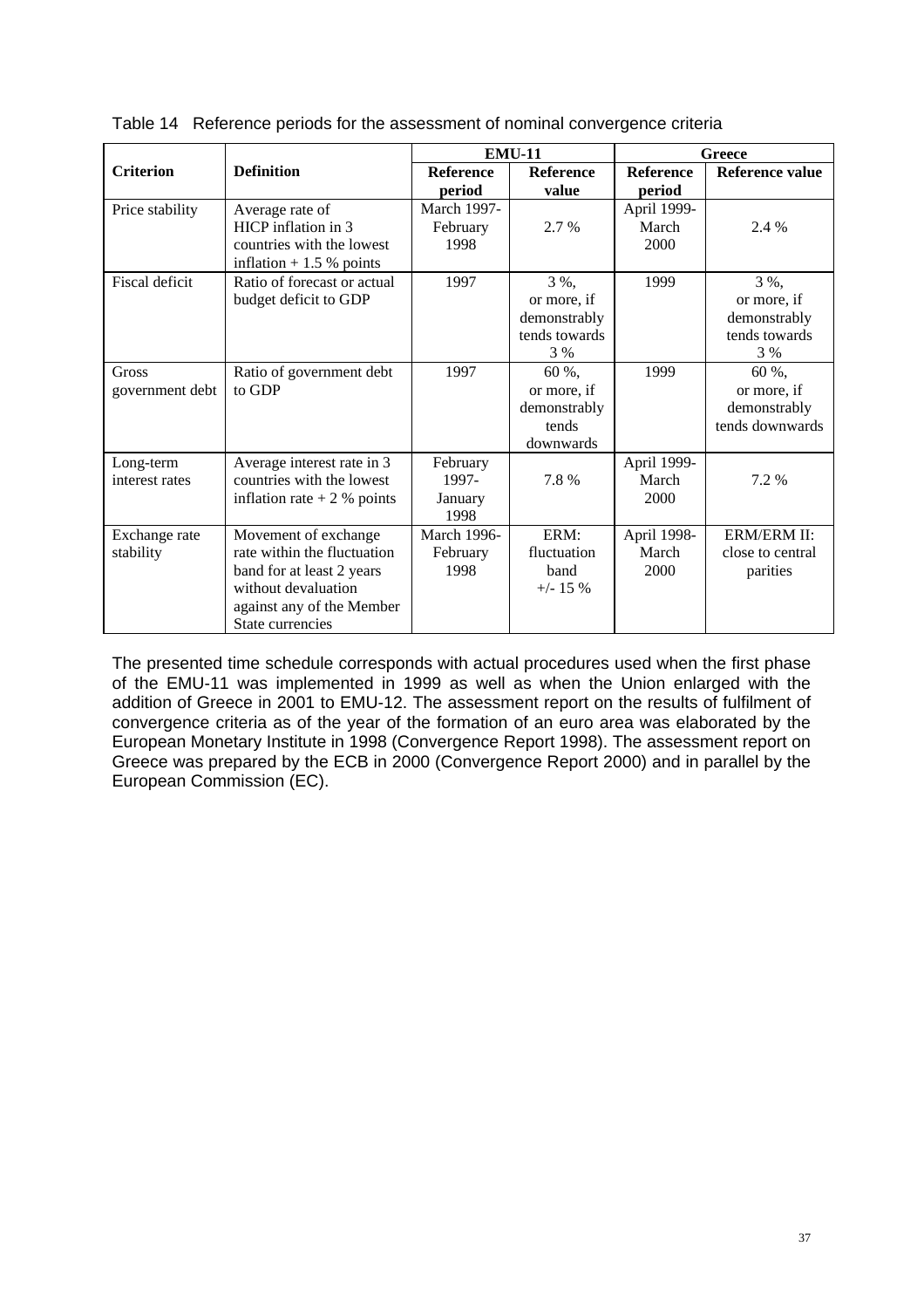|                  |                             |                    | <b>EMU-11</b>    | Greece           |                        |  |
|------------------|-----------------------------|--------------------|------------------|------------------|------------------------|--|
| <b>Criterion</b> | <b>Definition</b>           | <b>Reference</b>   | <b>Reference</b> | <b>Reference</b> | <b>Reference value</b> |  |
|                  |                             | period             | value            | period           |                        |  |
| Price stability  | Average rate of             | <b>March 1997-</b> |                  | April 1999-      |                        |  |
|                  | HICP inflation in 3         | February           | 2.7 %            | March            | 2.4 %                  |  |
|                  | countries with the lowest   | 1998               |                  | 2000             |                        |  |
|                  | inflation $+1.5%$ points    |                    |                  |                  |                        |  |
| Fiscal deficit   | Ratio of forecast or actual | 1997               | 3 %,             | 1999             | 3 %,                   |  |
|                  | budget deficit to GDP       |                    | or more, if      |                  | or more, if            |  |
|                  |                             |                    | demonstrably     |                  | demonstrably           |  |
|                  |                             |                    | tends towards    |                  | tends towards          |  |
|                  |                             |                    | 3 %              |                  | 3 %                    |  |
| Gross            | Ratio of government debt    | 1997               | 60 %,            | 1999             | 60%,                   |  |
| government debt  | to GDP                      |                    | or more, if      |                  | or more, if            |  |
|                  |                             |                    | demonstrably     |                  | demonstrably           |  |
|                  |                             |                    | tends            |                  | tends downwards        |  |
|                  |                             |                    | downwards        |                  |                        |  |
| Long-term        | Average interest rate in 3  | February           |                  | April 1999-      |                        |  |
| interest rates   | countries with the lowest   | 1997-              | 7.8%             | March            | 7.2 %                  |  |
|                  | inflation rate $+2%$ points | January            |                  | 2000             |                        |  |
|                  |                             | 1998               |                  |                  |                        |  |
| Exchange rate    | Movement of exchange        | <b>March 1996-</b> | ERM:             | April 1998-      | <b>ERM/ERM II:</b>     |  |
| stability        | rate within the fluctuation | February           | fluctuation      | March            | close to central       |  |
|                  | band for at least 2 years   | 1998               | band             | 2000             | parities               |  |
|                  | without devaluation         |                    | $+/-$ 15 %       |                  |                        |  |
|                  | against any of the Member   |                    |                  |                  |                        |  |
|                  | State currencies            |                    |                  |                  |                        |  |

Table 14 Reference periods for the assessment of nominal convergence criteria

The presented time schedule corresponds with actual procedures used when the first phase of the EMU-11 was implemented in 1999 as well as when the Union enlarged with the addition of Greece in 2001 to EMU-12. The assessment report on the results of fulfilment of convergence criteria as of the year of the formation of an euro area was elaborated by the European Monetary Institute in 1998 (Convergence Report 1998). The assessment report on Greece was prepared by the ECB in 2000 (Convergence Report 2000) and in parallel by the European Commission (EC).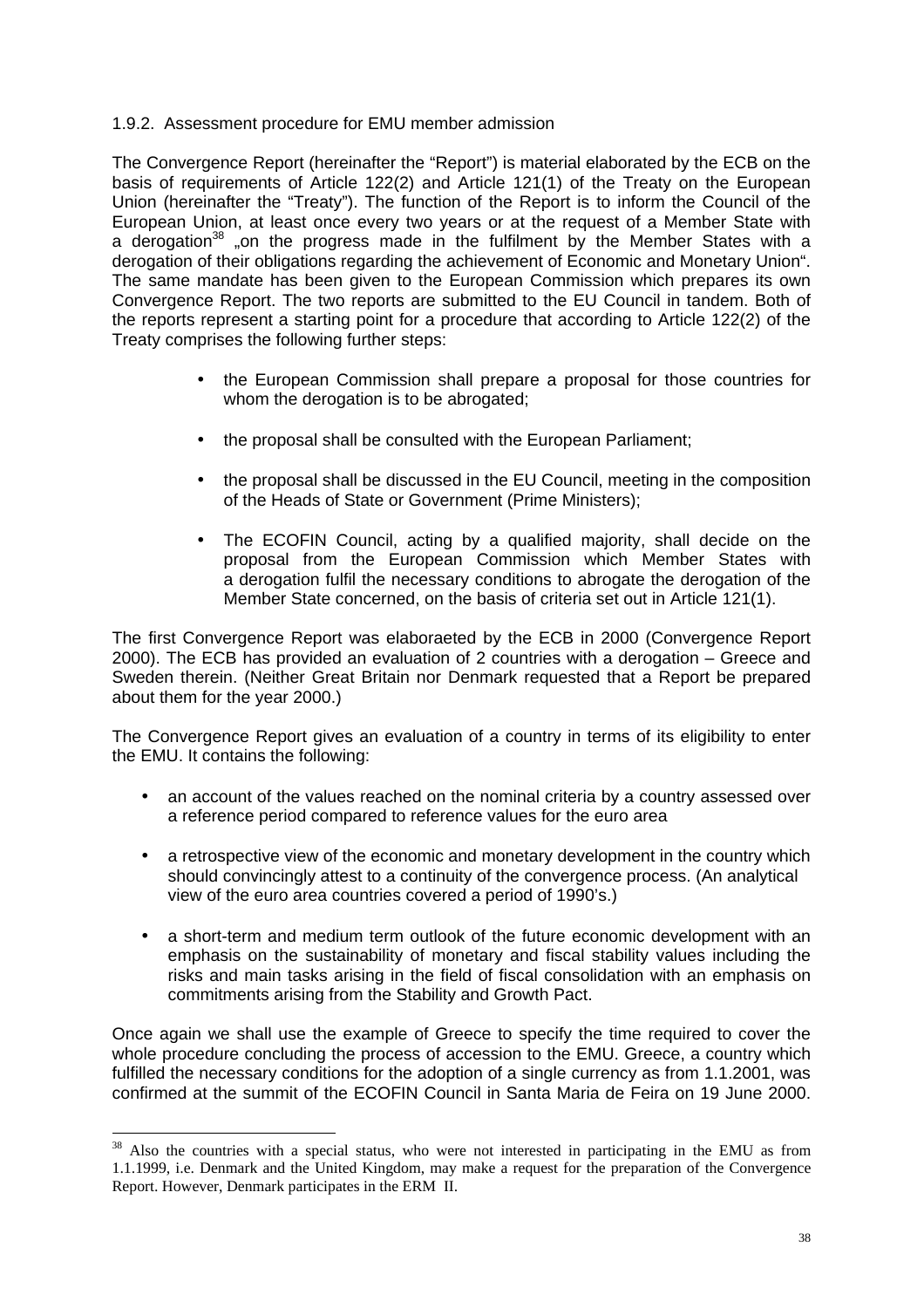#### 1.9.2. Assessment procedure for EMU member admission

The Convergence Report (hereinafter the "Report") is material elaborated by the ECB on the basis of requirements of Article 122(2) and Article 121(1) of the Treaty on the European Union (hereinafter the "Treaty"). The function of the Report is to inform the Council of the European Union, at least once every two years or at the request of a Member State with a derogation<sup>38</sup> <sub>"o</sub>on the progress made in the fulfilment by the Member States with a derogation of their obligations regarding the achievement of Economic and Monetary Union". The same mandate has been given to the European Commission which prepares its own Convergence Report. The two reports are submitted to the EU Council in tandem. Both of the reports represent a starting point for a procedure that according to Article 122(2) of the Treaty comprises the following further steps:

- the European Commission shall prepare a proposal for those countries for whom the derogation is to be abrogated;
- the proposal shall be consulted with the European Parliament;
- the proposal shall be discussed in the EU Council, meeting in the composition of the Heads of State or Government (Prime Ministers);
- The ECOFIN Council, acting by a qualified majority, shall decide on the proposal from the European Commission which Member States with a derogation fulfil the necessary conditions to abrogate the derogation of the Member State concerned, on the basis of criteria set out in Article 121(1).

The first Convergence Report was elaboraeted by the ECB in 2000 (Convergence Report 2000). The ECB has provided an evaluation of 2 countries with a derogation – Greece and Sweden therein. (Neither Great Britain nor Denmark requested that a Report be prepared about them for the year 2000.)

The Convergence Report gives an evaluation of a country in terms of its eligibility to enter the EMU. It contains the following:

- an account of the values reached on the nominal criteria by a country assessed over a reference period compared to reference values for the euro area
- a retrospective view of the economic and monetary development in the country which should convincingly attest to a continuity of the convergence process. (An analytical view of the euro area countries covered a period of 1990's.)
- a short-term and medium term outlook of the future economic development with an emphasis on the sustainability of monetary and fiscal stability values including the risks and main tasks arising in the field of fiscal consolidation with an emphasis on commitments arising from the Stability and Growth Pact.

Once again we shall use the example of Greece to specify the time required to cover the whole procedure concluding the process of accession to the EMU. Greece, a country which fulfilled the necessary conditions for the adoption of a single currency as from 1.1.2001, was confirmed at the summit of the ECOFIN Council in Santa Maria de Feira on 19 June 2000.

 $\overline{a}$ <sup>38</sup> Also the countries with a special status, who were not interested in participating in the EMU as from 1.1.1999, i.e. Denmark and the United Kingdom, may make a request for the preparation of the Convergence Report. However, Denmark participates in the ERM II.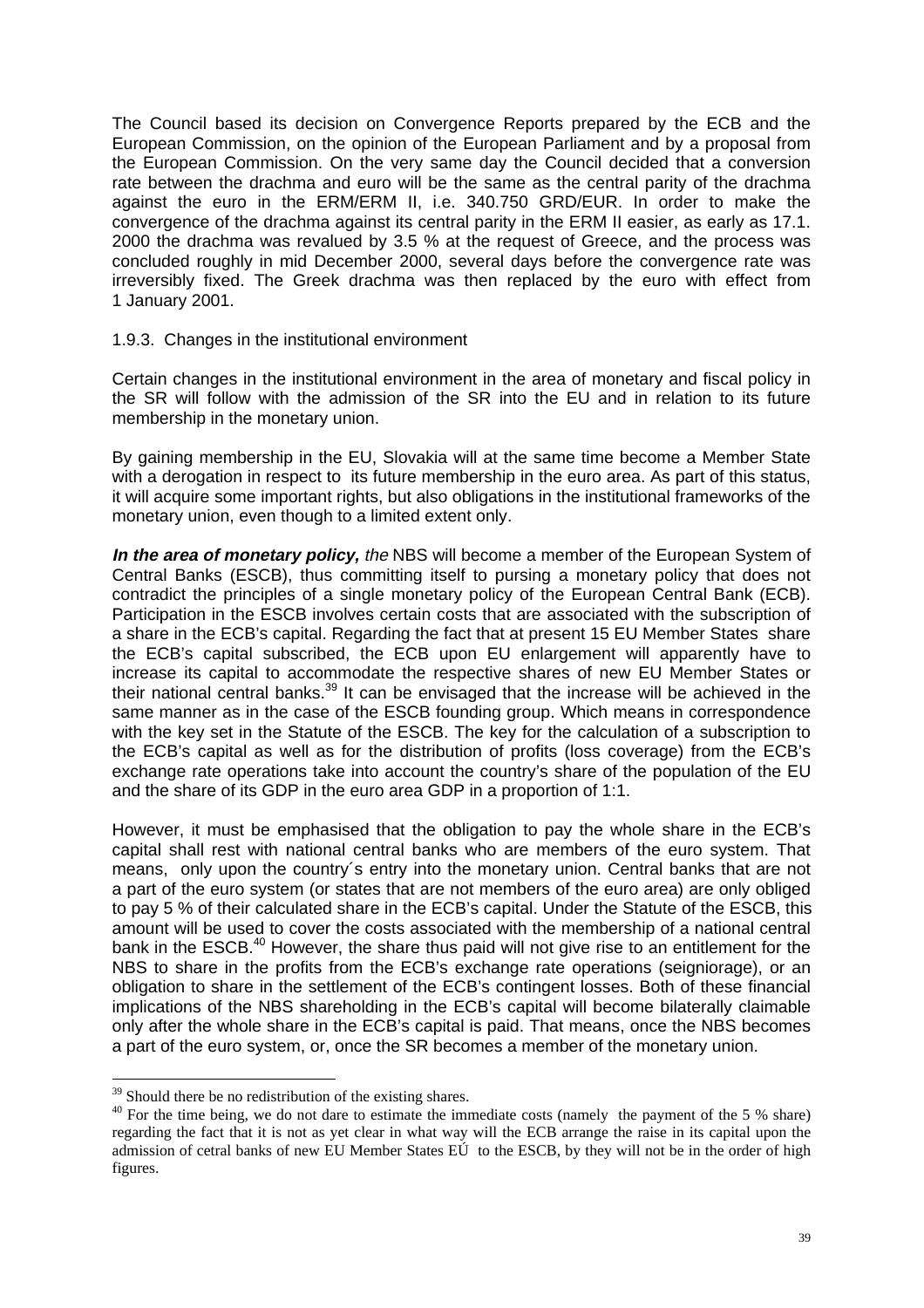The Council based its decision on Convergence Reports prepared by the ECB and the European Commission, on the opinion of the European Parliament and by a proposal from the European Commission. On the very same day the Council decided that a conversion rate between the drachma and euro will be the same as the central parity of the drachma against the euro in the ERM/ERM II, i.e. 340.750 GRD/EUR. In order to make the convergence of the drachma against its central parity in the ERM II easier, as early as 17.1. 2000 the drachma was revalued by 3.5 % at the request of Greece, and the process was concluded roughly in mid December 2000, several days before the convergence rate was irreversibly fixed. The Greek drachma was then replaced by the euro with effect from 1 January 2001.

#### 1.9.3. Changes in the institutional environment

Certain changes in the institutional environment in the area of monetary and fiscal policy in the SR will follow with the admission of the SR into the EU and in relation to its future membership in the monetary union.

By gaining membership in the EU, Slovakia will at the same time become a Member State with a derogation in respect to its future membership in the euro area. As part of this status, it will acquire some important rights, but also obligations in the institutional frameworks of the monetary union, even though to a limited extent only.

**In the area of monetary policy,** the NBS will become a member of the European System of Central Banks (ESCB), thus committing itself to pursing a monetary policy that does not contradict the principles of a single monetary policy of the European Central Bank (ECB). Participation in the ESCB involves certain costs that are associated with the subscription of a share in the ECB's capital. Regarding the fact that at present 15 EU Member States share the ECB's capital subscribed, the ECB upon EU enlargement will apparently have to increase its capital to accommodate the respective shares of new EU Member States or their national central banks. $39$  It can be envisaged that the increase will be achieved in the same manner as in the case of the ESCB founding group. Which means in correspondence with the key set in the Statute of the ESCB. The key for the calculation of a subscription to the ECB's capital as well as for the distribution of profits (loss coverage) from the ECB's exchange rate operations take into account the country's share of the population of the EU and the share of its GDP in the euro area GDP in a proportion of 1:1.

However, it must be emphasised that the obligation to pay the whole share in the ECB's capital shall rest with national central banks who are members of the euro system. That means, only upon the country´s entry into the monetary union. Central banks that are not a part of the euro system (or states that are not members of the euro area) are only obliged to pay 5 % of their calculated share in the ECB's capital. Under the Statute of the ESCB, this amount will be used to cover the costs associated with the membership of a national central bank in the ESCB.<sup>40</sup> However, the share thus paid will not give rise to an entitlement for the NBS to share in the profits from the ECB's exchange rate operations (seigniorage), or an obligation to share in the settlement of the ECB's contingent losses. Both of these financial implications of the NBS shareholding in the ECB's capital will become bilaterally claimable only after the whole share in the ECB's capital is paid. That means, once the NBS becomes a part of the euro system, or, once the SR becomes a member of the monetary union.

 $39$  Should there be no redistribution of the existing shares.

 $40$  For the time being, we do not dare to estimate the immediate costs (namely the payment of the 5 % share) regarding the fact that it is not as yet clear in what way will the ECB arrange the raise in its capital upon the admission of cetral banks of new EU Member States EÚ to the ESCB, by they will not be in the order of high figures.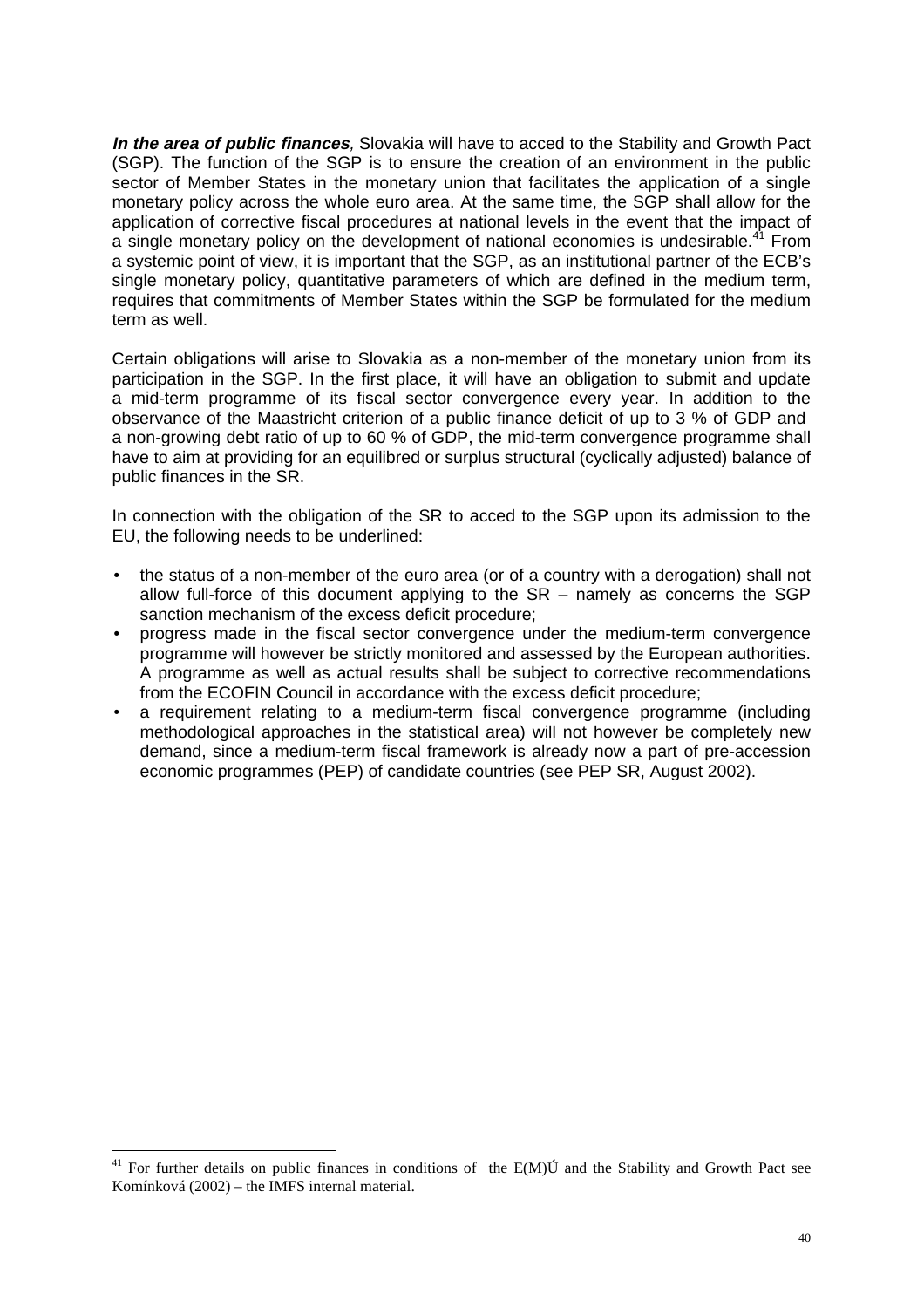**In the area of public finances**, Slovakia will have to acced to the Stability and Growth Pact (SGP). The function of the SGP is to ensure the creation of an environment in the public sector of Member States in the monetary union that facilitates the application of a single monetary policy across the whole euro area. At the same time, the SGP shall allow for the application of corrective fiscal procedures at national levels in the event that the impact of a single monetary policy on the development of national economies is undesirable.<sup>41</sup> From a systemic point of view, it is important that the SGP, as an institutional partner of the ECB's single monetary policy, quantitative parameters of which are defined in the medium term, requires that commitments of Member States within the SGP be formulated for the medium term as well.

Certain obligations will arise to Slovakia as a non-member of the monetary union from its participation in the SGP. In the first place, it will have an obligation to submit and update a mid-term programme of its fiscal sector convergence every year. In addition to the observance of the Maastricht criterion of a public finance deficit of up to 3 % of GDP and a non-growing debt ratio of up to 60 % of GDP, the mid-term convergence programme shall have to aim at providing for an equilibred or surplus structural (cyclically adjusted) balance of public finances in the SR.

In connection with the obligation of the SR to acced to the SGP upon its admission to the EU, the following needs to be underlined:

- the status of a non-member of the euro area (or of a country with a derogation) shall not allow full-force of this document applying to the SR – namely as concerns the SGP sanction mechanism of the excess deficit procedure;
- progress made in the fiscal sector convergence under the medium-term convergence programme will however be strictly monitored and assessed by the European authorities. A programme as well as actual results shall be subject to corrective recommendations from the ECOFIN Council in accordance with the excess deficit procedure;
- a requirement relating to a medium-term fiscal convergence programme (including methodological approaches in the statistical area) will not however be completely new demand, since a medium-term fiscal framework is already now a part of pre-accession economic programmes (PEP) of candidate countries (see PEP SR, August 2002).

<sup>&</sup>lt;sup>41</sup> For further details on public finances in conditions of the  $E(M)$ U and the Stability and Growth Pact see Komínková (2002) – the IMFS internal material.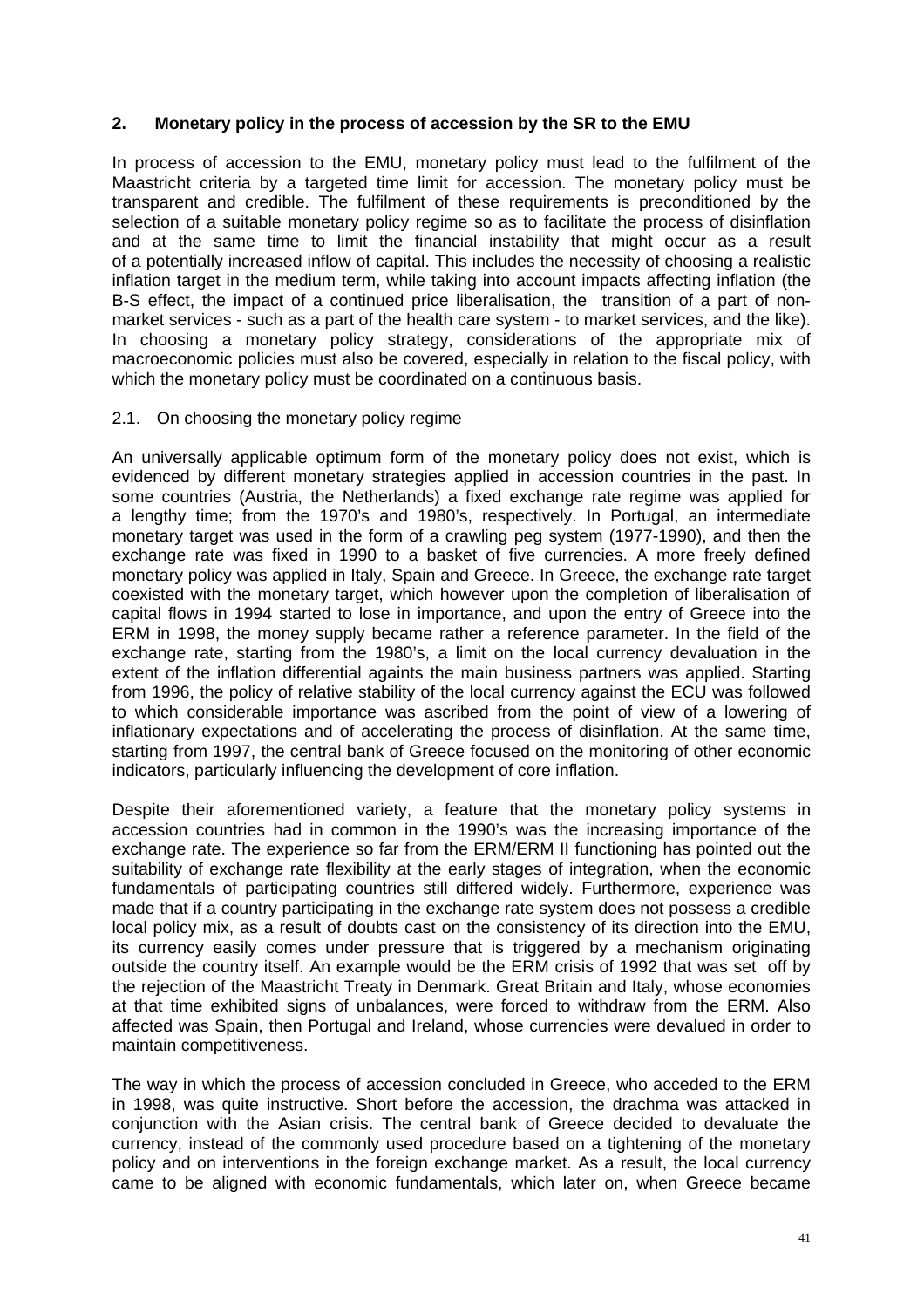#### **2. Monetary policy in the process of accession by the SR to the EMU**

In process of accession to the EMU, monetary policy must lead to the fulfilment of the Maastricht criteria by a targeted time limit for accession. The monetary policy must be transparent and credible. The fulfilment of these requirements is preconditioned by the selection of a suitable monetary policy regime so as to facilitate the process of disinflation and at the same time to limit the financial instability that might occur as a result of a potentially increased inflow of capital. This includes the necessity of choosing a realistic inflation target in the medium term, while taking into account impacts affecting inflation (the B-S effect, the impact of a continued price liberalisation, the transition of a part of nonmarket services - such as a part of the health care system - to market services, and the like). In choosing a monetary policy strategy, considerations of the appropriate mix of macroeconomic policies must also be covered, especially in relation to the fiscal policy, with which the monetary policy must be coordinated on a continuous basis.

#### 2.1. On choosing the monetary policy regime

An universally applicable optimum form of the monetary policy does not exist, which is evidenced by different monetary strategies applied in accession countries in the past. In some countries (Austria, the Netherlands) a fixed exchange rate regime was applied for a lengthy time; from the 1970's and 1980's, respectively. In Portugal, an intermediate monetary target was used in the form of a crawling peg system (1977-1990), and then the exchange rate was fixed in 1990 to a basket of five currencies. A more freely defined monetary policy was applied in Italy, Spain and Greece. In Greece, the exchange rate target coexisted with the monetary target, which however upon the completion of liberalisation of capital flows in 1994 started to lose in importance, and upon the entry of Greece into the ERM in 1998, the money supply became rather a reference parameter. In the field of the exchange rate, starting from the 1980's, a limit on the local currency devaluation in the extent of the inflation differential againts the main business partners was applied. Starting from 1996, the policy of relative stability of the local currency against the ECU was followed to which considerable importance was ascribed from the point of view of a lowering of inflationary expectations and of accelerating the process of disinflation. At the same time, starting from 1997, the central bank of Greece focused on the monitoring of other economic indicators, particularly influencing the development of core inflation.

Despite their aforementioned variety, a feature that the monetary policy systems in accession countries had in common in the 1990's was the increasing importance of the exchange rate. The experience so far from the ERM/ERM II functioning has pointed out the suitability of exchange rate flexibility at the early stages of integration, when the economic fundamentals of participating countries still differed widely. Furthermore, experience was made that if a country participating in the exchange rate system does not possess a credible local policy mix, as a result of doubts cast on the consistency of its direction into the EMU, its currency easily comes under pressure that is triggered by a mechanism originating outside the country itself. An example would be the ERM crisis of 1992 that was set off by the rejection of the Maastricht Treaty in Denmark. Great Britain and Italy, whose economies at that time exhibited signs of unbalances, were forced to withdraw from the ERM. Also affected was Spain, then Portugal and Ireland, whose currencies were devalued in order to maintain competitiveness.

The way in which the process of accession concluded in Greece, who acceded to the ERM in 1998, was quite instructive. Short before the accession, the drachma was attacked in conjunction with the Asian crisis. The central bank of Greece decided to devaluate the currency, instead of the commonly used procedure based on a tightening of the monetary policy and on interventions in the foreign exchange market. As a result, the local currency came to be aligned with economic fundamentals, which later on, when Greece became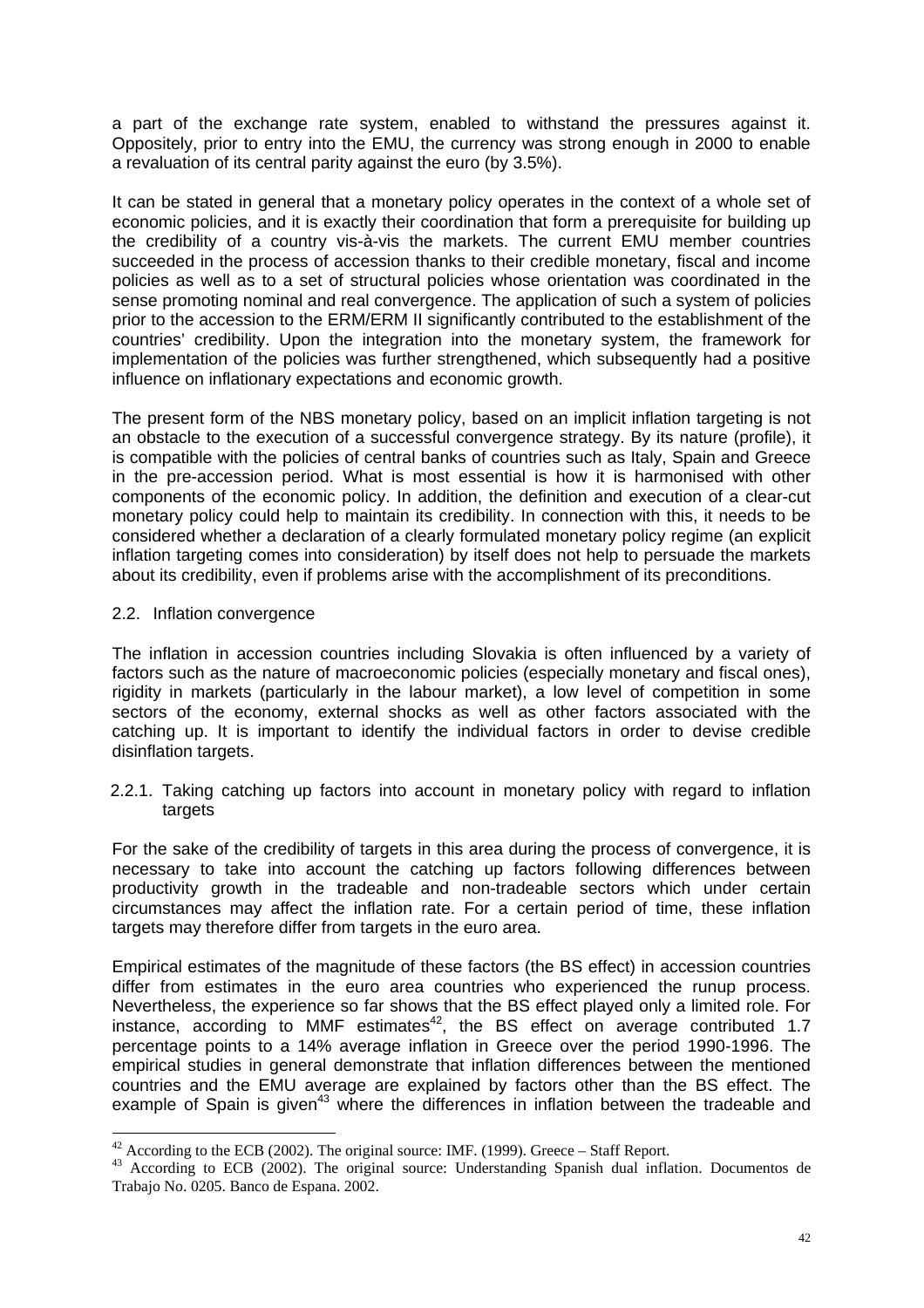a part of the exchange rate system, enabled to withstand the pressures against it. Oppositely, prior to entry into the EMU, the currency was strong enough in 2000 to enable a revaluation of its central parity against the euro (by 3.5%).

It can be stated in general that a monetary policy operates in the context of a whole set of economic policies, and it is exactly their coordination that form a prerequisite for building up the credibility of a country vis-à-vis the markets. The current EMU member countries succeeded in the process of accession thanks to their credible monetary, fiscal and income policies as well as to a set of structural policies whose orientation was coordinated in the sense promoting nominal and real convergence. The application of such a system of policies prior to the accession to the ERM/ERM II significantly contributed to the establishment of the countries' credibility. Upon the integration into the monetary system, the framework for implementation of the policies was further strengthened, which subsequently had a positive influence on inflationary expectations and economic growth.

The present form of the NBS monetary policy, based on an implicit inflation targeting is not an obstacle to the execution of a successful convergence strategy. By its nature (profile), it is compatible with the policies of central banks of countries such as Italy, Spain and Greece in the pre-accession period. What is most essential is how it is harmonised with other components of the economic policy. In addition, the definition and execution of a clear-cut monetary policy could help to maintain its credibility. In connection with this, it needs to be considered whether a declaration of a clearly formulated monetary policy regime (an explicit inflation targeting comes into consideration) by itself does not help to persuade the markets about its credibility, even if problems arise with the accomplishment of its preconditions.

#### 2.2. Inflation convergence

 $\overline{a}$ 

The inflation in accession countries including Slovakia is often influenced by a variety of factors such as the nature of macroeconomic policies (especially monetary and fiscal ones), rigidity in markets (particularly in the labour market), a low level of competition in some sectors of the economy, external shocks as well as other factors associated with the catching up. It is important to identify the individual factors in order to devise credible disinflation targets.

2.2.1. Taking catching up factors into account in monetary policy with regard to inflation targets

For the sake of the credibility of targets in this area during the process of convergence, it is necessary to take into account the catching up factors following differences between productivity growth in the tradeable and non-tradeable sectors which under certain circumstances may affect the inflation rate. For a certain period of time, these inflation targets may therefore differ from targets in the euro area.

Empirical estimates of the magnitude of these factors (the BS effect) in accession countries differ from estimates in the euro area countries who experienced the runup process. Nevertheless, the experience so far shows that the BS effect played only a limited role. For instance, according to MMF estimates<sup>42</sup>, the BS effect on average contributed 1.7 percentage points to a 14% average inflation in Greece over the period 1990-1996. The empirical studies in general demonstrate that inflation differences between the mentioned countries and the EMU average are explained by factors other than the BS effect. The example of Spain is given<sup>43</sup> where the differences in inflation between the tradeable and

 $42$  According to the ECB (2002). The original source: IMF. (1999). Greece – Staff Report.

<sup>&</sup>lt;sup>43</sup> According to ECB (2002). The original source: Understanding Spanish dual inflation. Documentos de Trabajo No. 0205. Banco de Espana. 2002.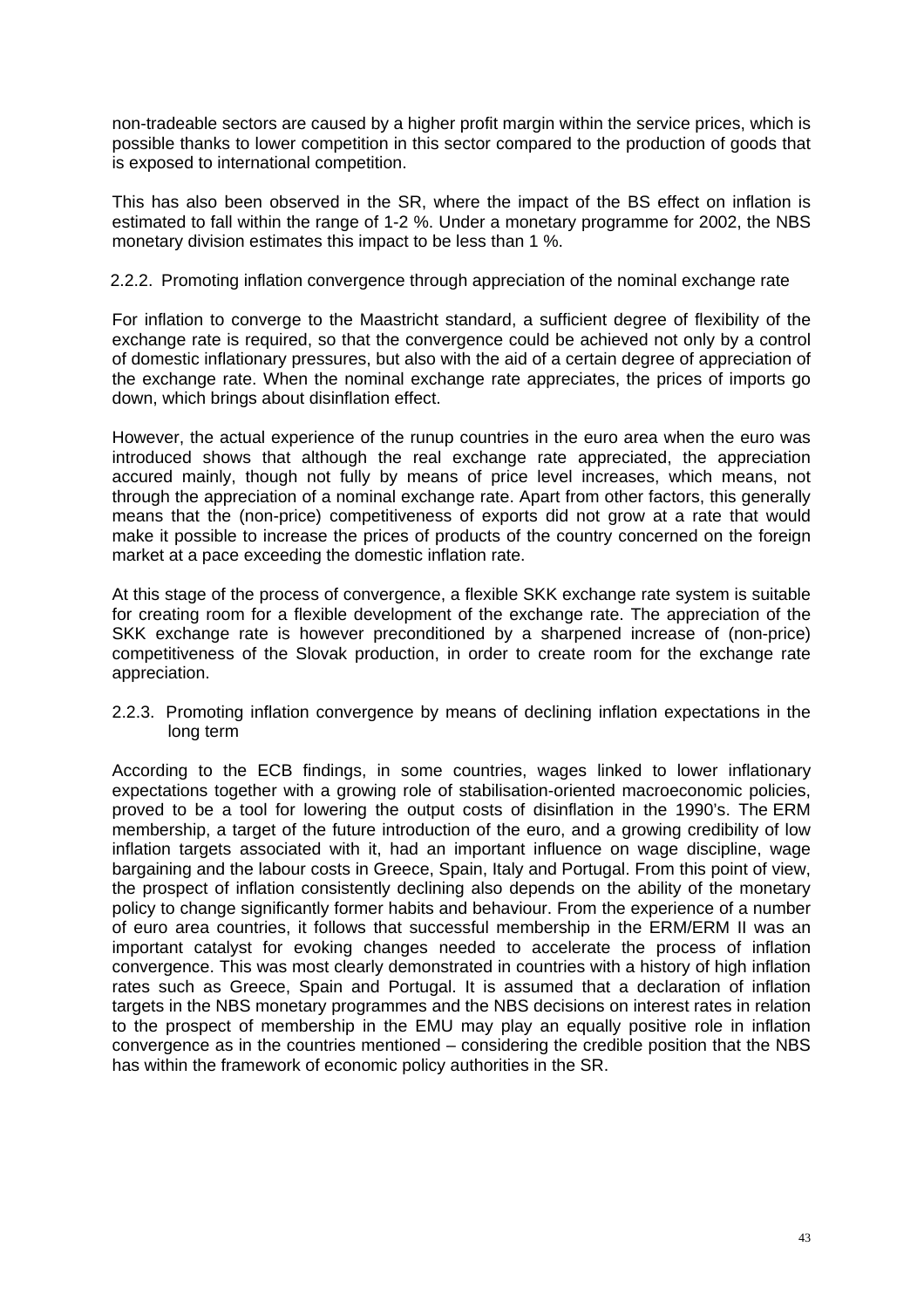non-tradeable sectors are caused by a higher profit margin within the service prices, which is possible thanks to lower competition in this sector compared to the production of goods that is exposed to international competition.

This has also been observed in the SR, where the impact of the BS effect on inflation is estimated to fall within the range of 1-2 %. Under a monetary programme for 2002, the NBS monetary division estimates this impact to be less than 1 %.

#### 2.2.2. Promoting inflation convergence through appreciation of the nominal exchange rate

For inflation to converge to the Maastricht standard, a sufficient degree of flexibility of the exchange rate is required, so that the convergence could be achieved not only by a control of domestic inflationary pressures, but also with the aid of a certain degree of appreciation of the exchange rate. When the nominal exchange rate appreciates, the prices of imports go down, which brings about disinflation effect.

However, the actual experience of the runup countries in the euro area when the euro was introduced shows that although the real exchange rate appreciated, the appreciation accured mainly, though not fully by means of price level increases, which means, not through the appreciation of a nominal exchange rate. Apart from other factors, this generally means that the (non-price) competitiveness of exports did not grow at a rate that would make it possible to increase the prices of products of the country concerned on the foreign market at a pace exceeding the domestic inflation rate.

At this stage of the process of convergence, a flexible SKK exchange rate system is suitable for creating room for a flexible development of the exchange rate. The appreciation of the SKK exchange rate is however preconditioned by a sharpened increase of (non-price) competitiveness of the Slovak production, in order to create room for the exchange rate appreciation.

2.2.3. Promoting inflation convergence by means of declining inflation expectations in the long term

According to the ECB findings, in some countries, wages linked to lower inflationary expectations together with a growing role of stabilisation-oriented macroeconomic policies, proved to be a tool for lowering the output costs of disinflation in the 1990's. The ERM membership, a target of the future introduction of the euro, and a growing credibility of low inflation targets associated with it, had an important influence on wage discipline, wage bargaining and the labour costs in Greece, Spain, Italy and Portugal. From this point of view, the prospect of inflation consistently declining also depends on the ability of the monetary policy to change significantly former habits and behaviour. From the experience of a number of euro area countries, it follows that successful membership in the ERM/ERM II was an important catalyst for evoking changes needed to accelerate the process of inflation convergence. This was most clearly demonstrated in countries with a history of high inflation rates such as Greece, Spain and Portugal. It is assumed that a declaration of inflation targets in the NBS monetary programmes and the NBS decisions on interest rates in relation to the prospect of membership in the EMU may play an equally positive role in inflation convergence as in the countries mentioned – considering the credible position that the NBS has within the framework of economic policy authorities in the SR.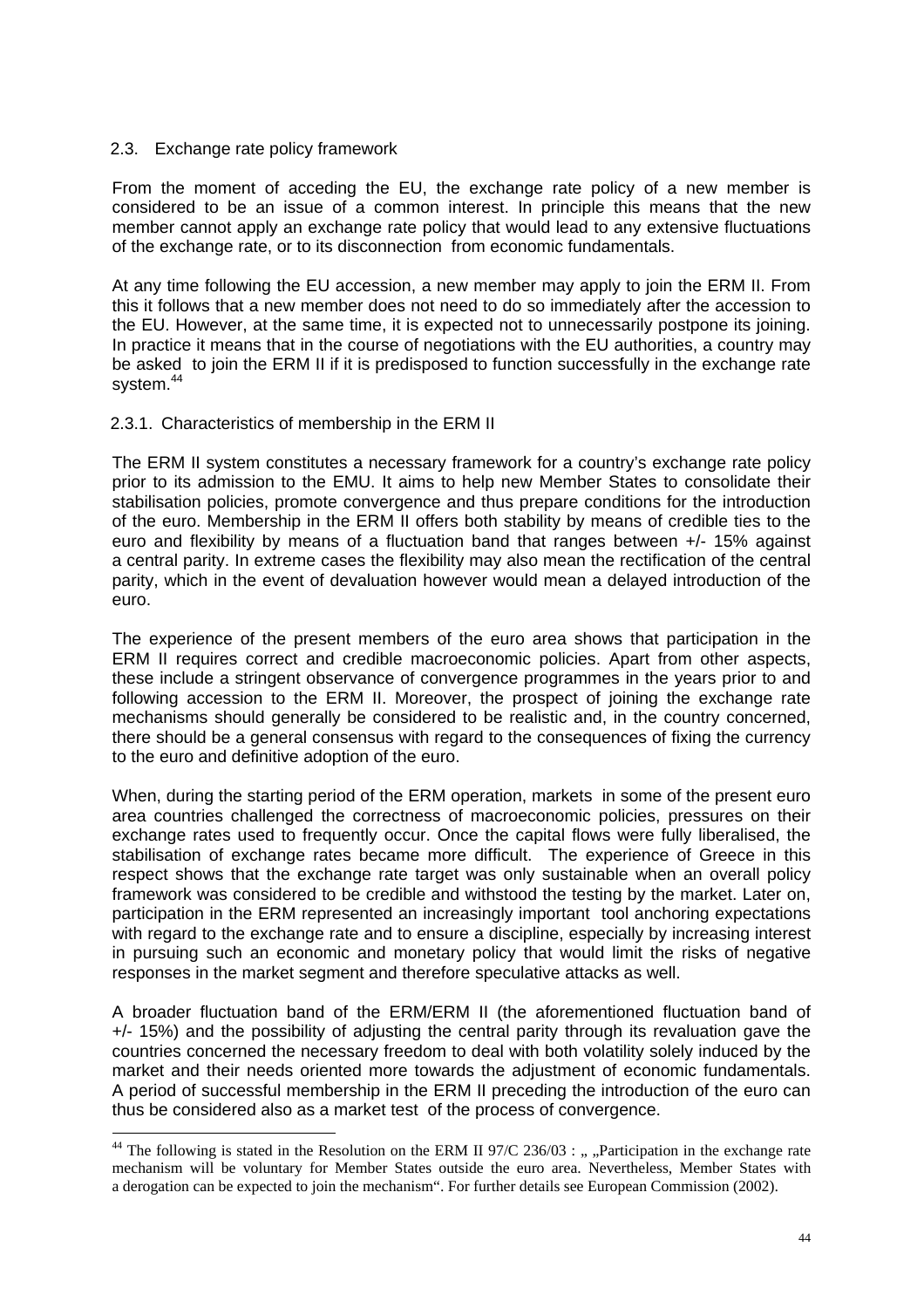#### 2.3. Exchange rate policy framework

From the moment of acceding the EU, the exchange rate policy of a new member is considered to be an issue of a common interest. In principle this means that the new member cannot apply an exchange rate policy that would lead to any extensive fluctuations of the exchange rate, or to its disconnection from economic fundamentals.

At any time following the EU accession, a new member may apply to join the ERM II. From this it follows that a new member does not need to do so immediately after the accession to the EU. However, at the same time, it is expected not to unnecessarily postpone its joining. In practice it means that in the course of negotiations with the EU authorities, a country may be asked to join the ERM II if it is predisposed to function successfully in the exchange rate system.<sup>44</sup>

#### 2.3.1. Characteristics of membership in the ERM II

 $\overline{a}$ 

The ERM II system constitutes a necessary framework for a country's exchange rate policy prior to its admission to the EMU. It aims to help new Member States to consolidate their stabilisation policies, promote convergence and thus prepare conditions for the introduction of the euro. Membership in the ERM II offers both stability by means of credible ties to the euro and flexibility by means of a fluctuation band that ranges between +/- 15% against a central parity. In extreme cases the flexibility may also mean the rectification of the central parity, which in the event of devaluation however would mean a delayed introduction of the euro.

The experience of the present members of the euro area shows that participation in the ERM II requires correct and credible macroeconomic policies. Apart from other aspects, these include a stringent observance of convergence programmes in the years prior to and following accession to the ERM II. Moreover, the prospect of joining the exchange rate mechanisms should generally be considered to be realistic and, in the country concerned, there should be a general consensus with regard to the consequences of fixing the currency to the euro and definitive adoption of the euro.

When, during the starting period of the ERM operation, markets in some of the present euro area countries challenged the correctness of macroeconomic policies, pressures on their exchange rates used to frequently occur. Once the capital flows were fully liberalised, the stabilisation of exchange rates became more difficult. The experience of Greece in this respect shows that the exchange rate target was only sustainable when an overall policy framework was considered to be credible and withstood the testing by the market. Later on, participation in the ERM represented an increasingly important tool anchoring expectations with regard to the exchange rate and to ensure a discipline, especially by increasing interest in pursuing such an economic and monetary policy that would limit the risks of negative responses in the market segment and therefore speculative attacks as well.

A broader fluctuation band of the ERM/ERM II (the aforementioned fluctuation band of +/- 15%) and the possibility of adjusting the central parity through its revaluation gave the countries concerned the necessary freedom to deal with both volatility solely induced by the market and their needs oriented more towards the adjustment of economic fundamentals. A period of successful membership in the ERM II preceding the introduction of the euro can thus be considered also as a market test of the process of convergence.

<sup>&</sup>lt;sup>44</sup> The following is stated in the Resolution on the ERM II 97/C 236/03 : ", "Participation in the exchange rate mechanism will be voluntary for Member States outside the euro area. Nevertheless, Member States with a derogation can be expected to join the mechanism". For further details see European Commission (2002).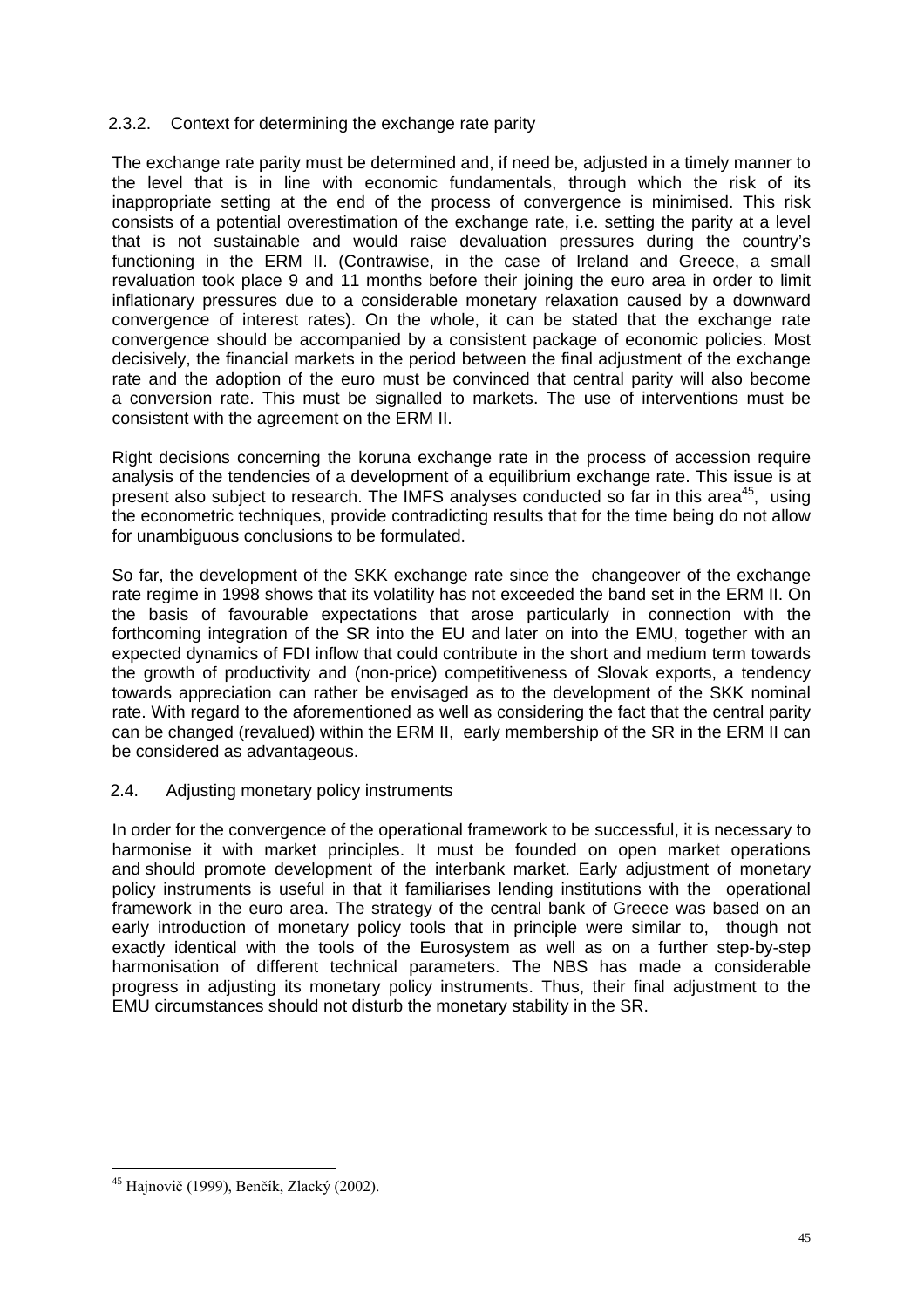#### 2.3.2. Context for determining the exchange rate parity

The exchange rate parity must be determined and, if need be, adjusted in a timely manner to the level that is in line with economic fundamentals, through which the risk of its inappropriate setting at the end of the process of convergence is minimised. This risk consists of a potential overestimation of the exchange rate, i.e. setting the parity at a level that is not sustainable and would raise devaluation pressures during the country's functioning in the ERM II. (Contrawise, in the case of Ireland and Greece, a small revaluation took place 9 and 11 months before their joining the euro area in order to limit inflationary pressures due to a considerable monetary relaxation caused by a downward convergence of interest rates). On the whole, it can be stated that the exchange rate convergence should be accompanied by a consistent package of economic policies. Most decisively, the financial markets in the period between the final adjustment of the exchange rate and the adoption of the euro must be convinced that central parity will also become a conversion rate. This must be signalled to markets. The use of interventions must be consistent with the agreement on the ERM II.

Right decisions concerning the koruna exchange rate in the process of accession require analysis of the tendencies of a development of a equilibrium exchange rate. This issue is at present also subject to research. The IMFS analyses conducted so far in this area<sup>45</sup>, using the econometric techniques, provide contradicting results that for the time being do not allow for unambiguous conclusions to be formulated.

So far, the development of the SKK exchange rate since the changeover of the exchange rate regime in 1998 shows that its volatility has not exceeded the band set in the ERM II. On the basis of favourable expectations that arose particularly in connection with the forthcoming integration of the SR into the EU and later on into the EMU, together with an expected dynamics of FDI inflow that could contribute in the short and medium term towards the growth of productivity and (non-price) competitiveness of Slovak exports, a tendency towards appreciation can rather be envisaged as to the development of the SKK nominal rate. With regard to the aforementioned as well as considering the fact that the central parity can be changed (revalued) within the ERM II, early membership of the SR in the ERM II can be considered as advantageous.

#### 2.4. Adjusting monetary policy instruments

In order for the convergence of the operational framework to be successful, it is necessary to harmonise it with market principles. It must be founded on open market operations and should promote development of the interbank market. Early adjustment of monetary policy instruments is useful in that it familiarises lending institutions with the operational framework in the euro area. The strategy of the central bank of Greece was based on an early introduction of monetary policy tools that in principle were similar to, though not exactly identical with the tools of the Eurosystem as well as on a further step-by-step harmonisation of different technical parameters. The NBS has made a considerable progress in adjusting its monetary policy instruments. Thus, their final adjustment to the EMU circumstances should not disturb the monetary stability in the SR.

 $\overline{a}$ <sup>45</sup> Hajnovič (1999), Benčík, Zlacký (2002).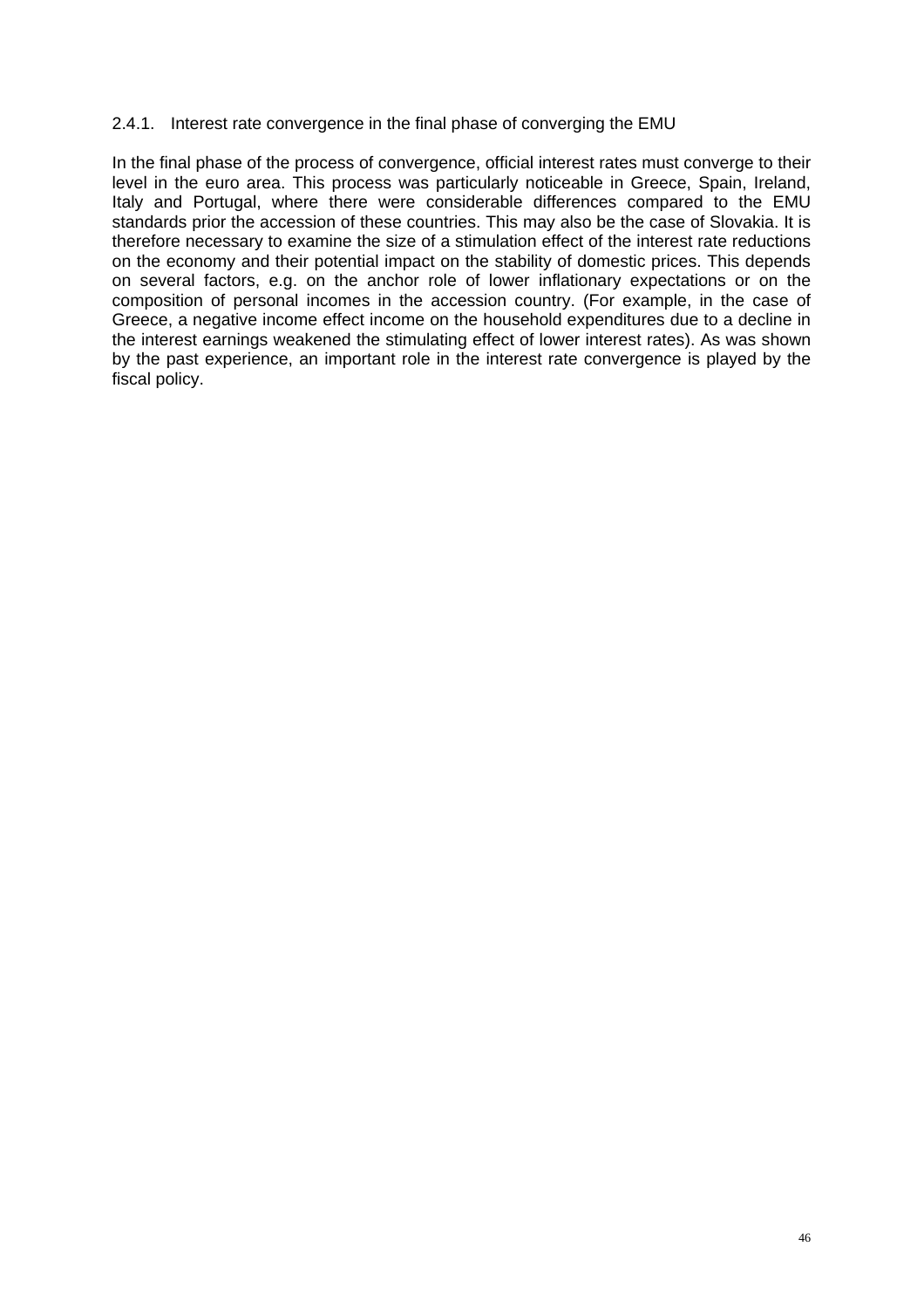#### 2.4.1. Interest rate convergence in the final phase of converging the EMU

In the final phase of the process of convergence, official interest rates must converge to their level in the euro area. This process was particularly noticeable in Greece, Spain, Ireland, Italy and Portugal, where there were considerable differences compared to the EMU standards prior the accession of these countries. This may also be the case of Slovakia. It is therefore necessary to examine the size of a stimulation effect of the interest rate reductions on the economy and their potential impact on the stability of domestic prices. This depends on several factors, e.g. on the anchor role of lower inflationary expectations or on the composition of personal incomes in the accession country. (For example, in the case of Greece, a negative income effect income on the household expenditures due to a decline in the interest earnings weakened the stimulating effect of lower interest rates). As was shown by the past experience, an important role in the interest rate convergence is played by the fiscal policy.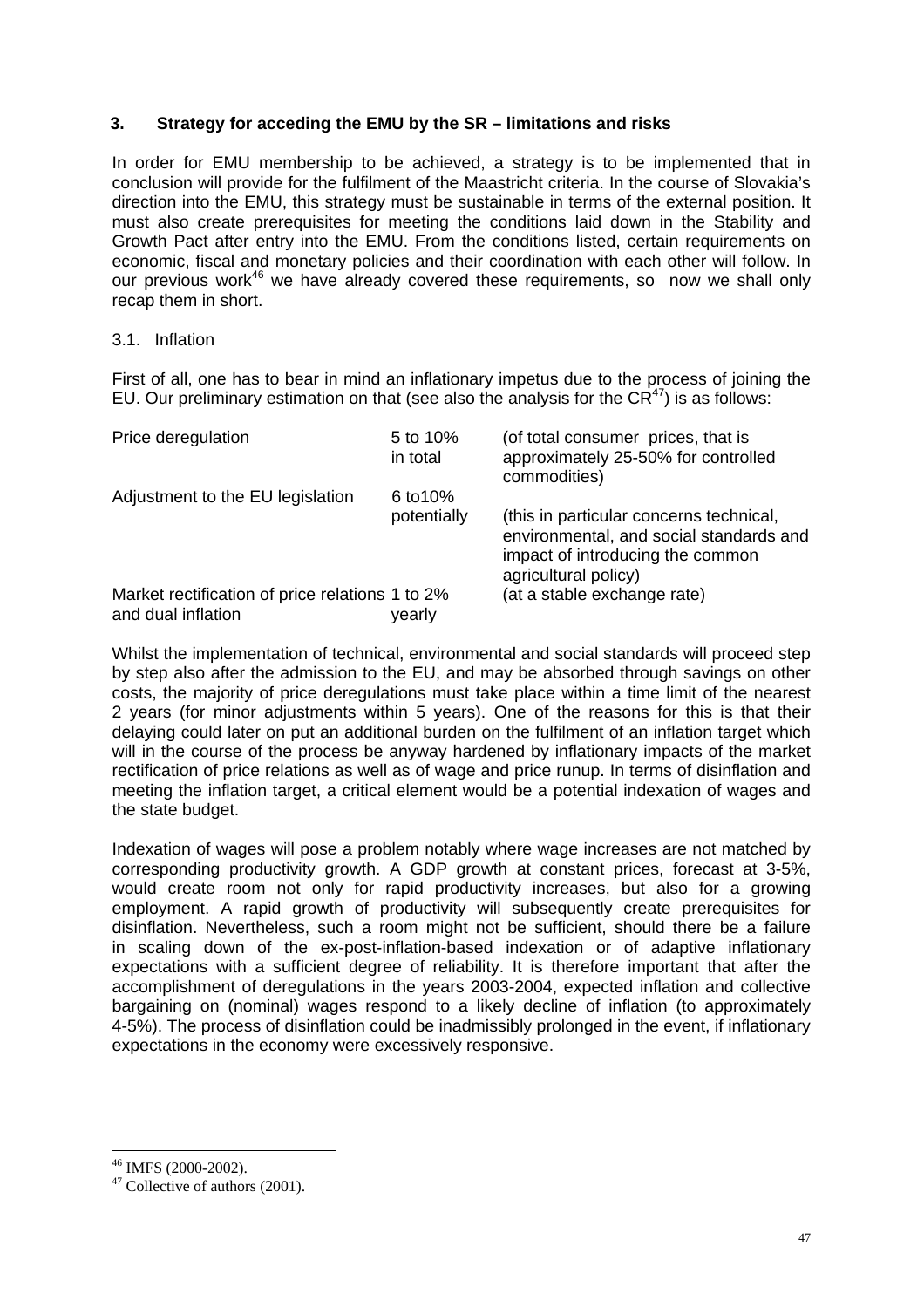#### **3. Strategy for acceding the EMU by the SR – limitations and risks**

In order for EMU membership to be achieved, a strategy is to be implemented that in conclusion will provide for the fulfilment of the Maastricht criteria. In the course of Slovakia's direction into the EMU, this strategy must be sustainable in terms of the external position. It must also create prerequisites for meeting the conditions laid down in the Stability and Growth Pact after entry into the EMU. From the conditions listed, certain requirements on economic, fiscal and monetary policies and their coordination with each other will follow. In our previous work<sup>46</sup> we have already covered these requirements, so now we shall only recap them in short.

#### 3.1. Inflation

First of all, one has to bear in mind an inflationary impetus due to the process of joining the EU. Our preliminary estimation on that (see also the analysis for the  $CR^{47}$ ) is as follows:

| Price deregulation                                                    | 5 to 10%<br>in total       | (of total consumer prices, that is<br>approximately 25-50% for controlled<br>commodities)                                                      |
|-----------------------------------------------------------------------|----------------------------|------------------------------------------------------------------------------------------------------------------------------------------------|
| Adjustment to the EU legislation                                      | 6 to $10\%$<br>potentially | (this in particular concerns technical,<br>environmental, and social standards and<br>impact of introducing the common<br>agricultural policy) |
| Market rectification of price relations 1 to 2%<br>and dual inflation | yearly                     | (at a stable exchange rate)                                                                                                                    |

Whilst the implementation of technical, environmental and social standards will proceed step by step also after the admission to the EU, and may be absorbed through savings on other costs, the majority of price deregulations must take place within a time limit of the nearest 2 years (for minor adjustments within 5 years). One of the reasons for this is that their delaying could later on put an additional burden on the fulfilment of an inflation target which will in the course of the process be anyway hardened by inflationary impacts of the market rectification of price relations as well as of wage and price runup. In terms of disinflation and meeting the inflation target, a critical element would be a potential indexation of wages and the state budget.

Indexation of wages will pose a problem notably where wage increases are not matched by corresponding productivity growth. A GDP growth at constant prices, forecast at 3-5%, would create room not only for rapid productivity increases, but also for a growing employment. A rapid growth of productivity will subsequently create prerequisites for disinflation. Nevertheless, such a room might not be sufficient, should there be a failure in scaling down of the ex-post-inflation-based indexation or of adaptive inflationary expectations with a sufficient degree of reliability. It is therefore important that after the accomplishment of deregulations in the years 2003-2004, expected inflation and collective bargaining on (nominal) wages respond to a likely decline of inflation (to approximately 4-5%). The process of disinflation could be inadmissibly prolonged in the event, if inflationary expectations in the economy were excessively responsive.

<sup>46</sup> IMFS (2000-2002).

 $47$  Collective of authors (2001).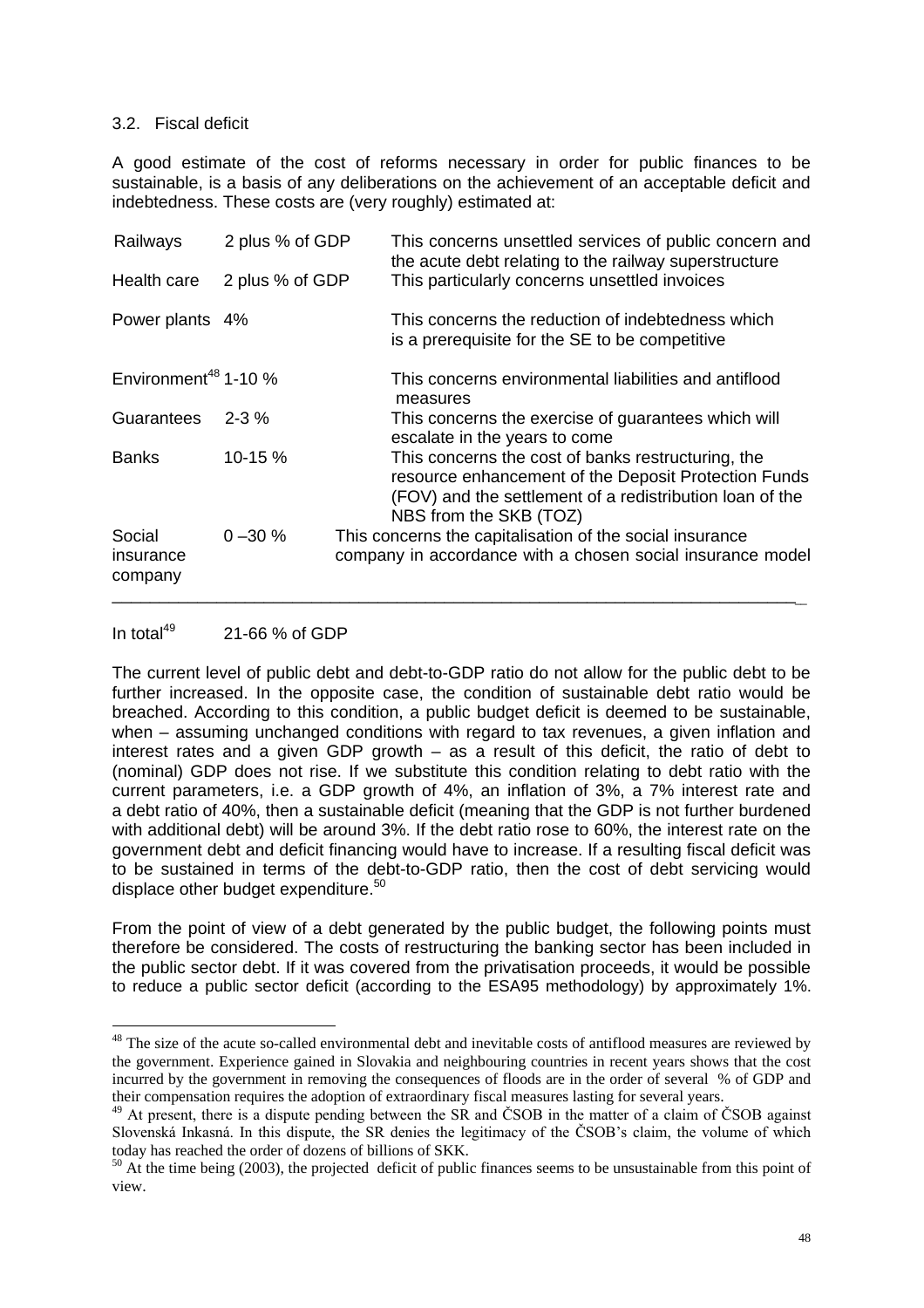#### 3.2. Fiscal deficit

A good estimate of the cost of reforms necessary in order for public finances to be sustainable, is a basis of any deliberations on the achievement of an acceptable deficit and indebtedness. These costs are (very roughly) estimated at:

| Railways                           | 2 plus % of GDP | This concerns unsettled services of public concern and<br>the acute debt relating to the railway superstructure                                                                                  |
|------------------------------------|-----------------|--------------------------------------------------------------------------------------------------------------------------------------------------------------------------------------------------|
| Health care                        | 2 plus % of GDP | This particularly concerns unsettled invoices                                                                                                                                                    |
| Power plants 4%                    |                 | This concerns the reduction of indebtedness which<br>is a prerequisite for the SE to be competitive                                                                                              |
| Environment <sup>48</sup> 1-10 $%$ |                 | This concerns environmental liabilities and antiflood<br>measures                                                                                                                                |
| <b>Guarantees</b>                  | $2 - 3 \%$      | This concerns the exercise of guarantees which will<br>escalate in the years to come                                                                                                             |
| <b>Banks</b>                       | $10-15%$        | This concerns the cost of banks restructuring, the<br>resource enhancement of the Deposit Protection Funds<br>(FOV) and the settlement of a redistribution loan of the<br>NBS from the SKB (TOZ) |
| Social<br>insurance<br>company     | $0 - 30 \%$     | This concerns the capitalisation of the social insurance<br>company in accordance with a chosen social insurance model                                                                           |

In total $^{49}$  21-66 % of GDP

The current level of public debt and debt-to-GDP ratio do not allow for the public debt to be further increased. In the opposite case, the condition of sustainable debt ratio would be breached. According to this condition, a public budget deficit is deemed to be sustainable, when – assuming unchanged conditions with regard to tax revenues, a given inflation and interest rates and a given GDP growth – as a result of this deficit, the ratio of debt to (nominal) GDP does not rise. If we substitute this condition relating to debt ratio with the current parameters, i.e. a GDP growth of 4%, an inflation of 3%, a 7% interest rate and a debt ratio of 40%, then a sustainable deficit (meaning that the GDP is not further burdened with additional debt) will be around 3%. If the debt ratio rose to 60%, the interest rate on the government debt and deficit financing would have to increase. If a resulting fiscal deficit was to be sustained in terms of the debt-to-GDP ratio, then the cost of debt servicing would displace other budget expenditure.<sup>50</sup>

From the point of view of a debt generated by the public budget, the following points must therefore be considered. The costs of restructuring the banking sector has been included in the public sector debt. If it was covered from the privatisation proceeds, it would be possible to reduce a public sector deficit (according to the ESA95 methodology) by approximately 1%.

 $48$  The size of the acute so-called environmental debt and inevitable costs of antiflood measures are reviewed by the government. Experience gained in Slovakia and neighbouring countries in recent years shows that the cost incurred by the government in removing the consequences of floods are in the order of several % of GDP and their compensation requires the adoption of extraordinary fiscal measures lasting for several years.

 $^{49}$  At present, there is a dispute pending between the SR and ČSOB in the matter of a claim of ČSOB against Slovenská Inkasná. In this dispute, the SR denies the legitimacy of the ČSOB's claim, the volume of which today has reached the order of dozens of billions of SKK.

 $50$  At the time being (2003), the projected deficit of public finances seems to be unsustainable from this point of view.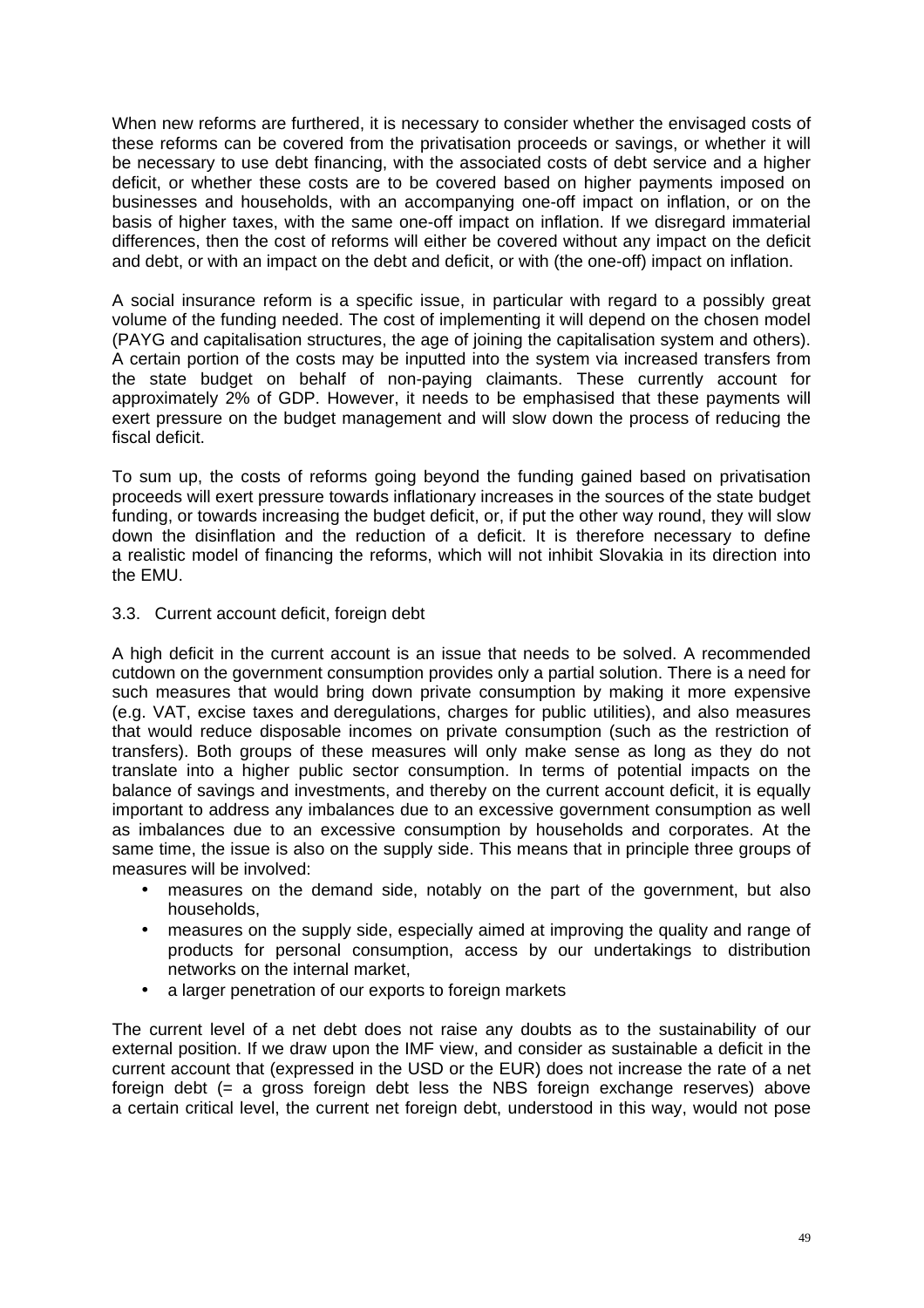When new reforms are furthered, it is necessary to consider whether the envisaged costs of these reforms can be covered from the privatisation proceeds or savings, or whether it will be necessary to use debt financing, with the associated costs of debt service and a higher deficit, or whether these costs are to be covered based on higher payments imposed on businesses and households, with an accompanying one-off impact on inflation, or on the basis of higher taxes, with the same one-off impact on inflation. If we disregard immaterial differences, then the cost of reforms will either be covered without any impact on the deficit and debt, or with an impact on the debt and deficit, or with (the one-off) impact on inflation.

A social insurance reform is a specific issue, in particular with regard to a possibly great volume of the funding needed. The cost of implementing it will depend on the chosen model (PAYG and capitalisation structures, the age of joining the capitalisation system and others). A certain portion of the costs may be inputted into the system via increased transfers from the state budget on behalf of non-paying claimants. These currently account for approximately 2% of GDP. However, it needs to be emphasised that these payments will exert pressure on the budget management and will slow down the process of reducing the fiscal deficit.

To sum up, the costs of reforms going beyond the funding gained based on privatisation proceeds will exert pressure towards inflationary increases in the sources of the state budget funding, or towards increasing the budget deficit, or, if put the other way round, they will slow down the disinflation and the reduction of a deficit. It is therefore necessary to define a realistic model of financing the reforms, which will not inhibit Slovakia in its direction into the EMU.

#### 3.3. Current account deficit, foreign debt

A high deficit in the current account is an issue that needs to be solved. A recommended cutdown on the government consumption provides only a partial solution. There is a need for such measures that would bring down private consumption by making it more expensive (e.g. VAT, excise taxes and deregulations, charges for public utilities), and also measures that would reduce disposable incomes on private consumption (such as the restriction of transfers). Both groups of these measures will only make sense as long as they do not translate into a higher public sector consumption. In terms of potential impacts on the balance of savings and investments, and thereby on the current account deficit, it is equally important to address any imbalances due to an excessive government consumption as well as imbalances due to an excessive consumption by households and corporates. At the same time, the issue is also on the supply side. This means that in principle three groups of measures will be involved:

- measures on the demand side, notably on the part of the government, but also households,
- measures on the supply side, especially aimed at improving the quality and range of products for personal consumption, access by our undertakings to distribution networks on the internal market,
- a larger penetration of our exports to foreign markets

The current level of a net debt does not raise any doubts as to the sustainability of our external position. If we draw upon the IMF view, and consider as sustainable a deficit in the current account that (expressed in the USD or the EUR) does not increase the rate of a net foreign debt (= a gross foreign debt less the NBS foreign exchange reserves) above a certain critical level, the current net foreign debt, understood in this way, would not pose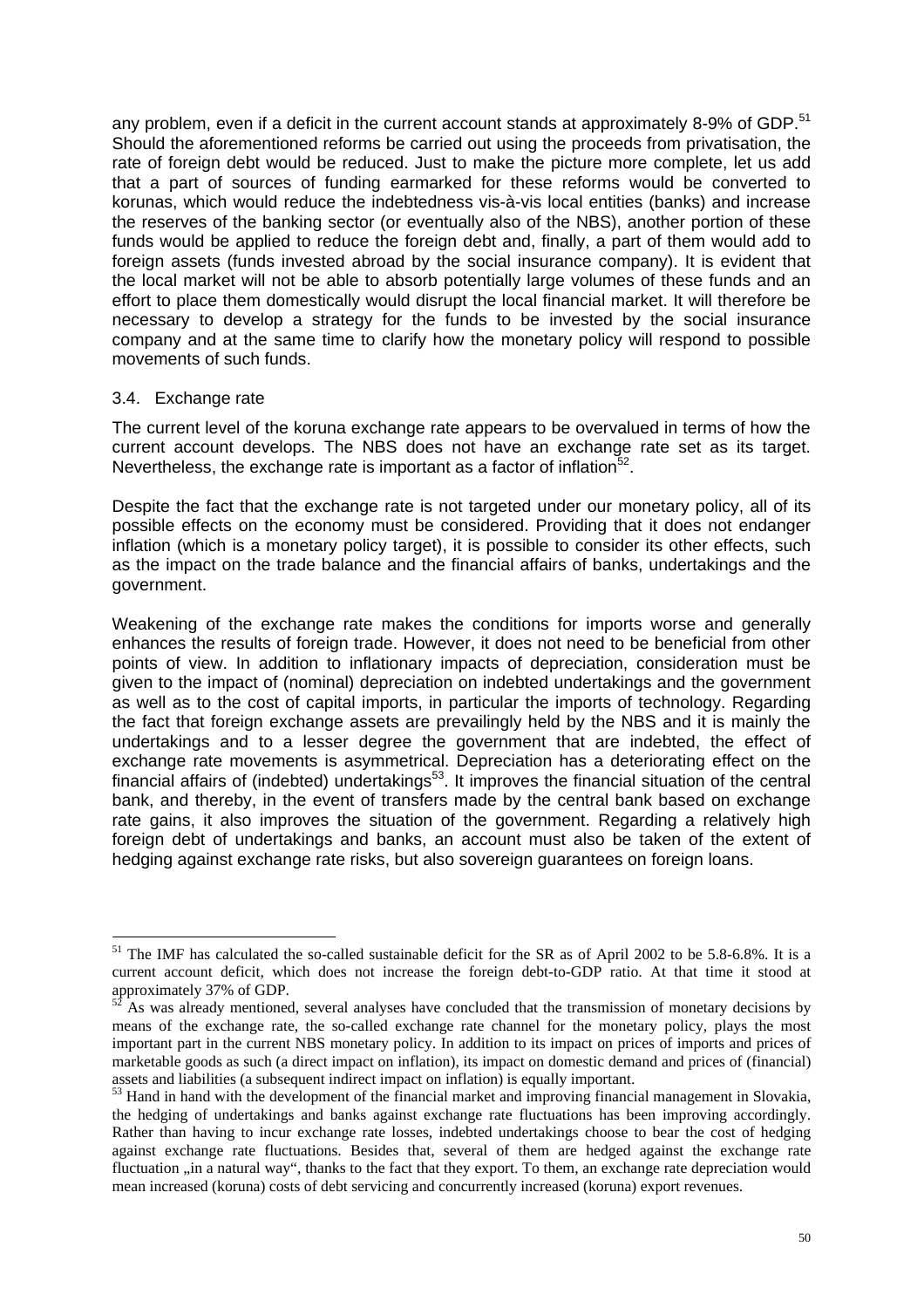any problem, even if a deficit in the current account stands at approximately 8-9% of GDP.<sup>51</sup> Should the aforementioned reforms be carried out using the proceeds from privatisation, the rate of foreign debt would be reduced. Just to make the picture more complete, let us add that a part of sources of funding earmarked for these reforms would be converted to korunas, which would reduce the indebtedness vis-à-vis local entities (banks) and increase the reserves of the banking sector (or eventually also of the NBS), another portion of these funds would be applied to reduce the foreign debt and, finally, a part of them would add to foreign assets (funds invested abroad by the social insurance company). It is evident that the local market will not be able to absorb potentially large volumes of these funds and an effort to place them domestically would disrupt the local financial market. It will therefore be necessary to develop a strategy for the funds to be invested by the social insurance company and at the same time to clarify how the monetary policy will respond to possible movements of such funds.

#### 3.4. Exchange rate

 $\overline{a}$ 

The current level of the koruna exchange rate appears to be overvalued in terms of how the current account develops. The NBS does not have an exchange rate set as its target. Nevertheless, the exchange rate is important as a factor of inflation<sup>52</sup>.

Despite the fact that the exchange rate is not targeted under our monetary policy, all of its possible effects on the economy must be considered. Providing that it does not endanger inflation (which is a monetary policy target), it is possible to consider its other effects, such as the impact on the trade balance and the financial affairs of banks, undertakings and the government.

Weakening of the exchange rate makes the conditions for imports worse and generally enhances the results of foreign trade. However, it does not need to be beneficial from other points of view. In addition to inflationary impacts of depreciation, consideration must be given to the impact of (nominal) depreciation on indebted undertakings and the government as well as to the cost of capital imports, in particular the imports of technology. Regarding the fact that foreign exchange assets are prevailingly held by the NBS and it is mainly the undertakings and to a lesser degree the government that are indebted, the effect of exchange rate movements is asymmetrical. Depreciation has a deteriorating effect on the financial affairs of (indebted) undertakings<sup>53</sup>. It improves the financial situation of the central bank, and thereby, in the event of transfers made by the central bank based on exchange rate gains, it also improves the situation of the government. Regarding a relatively high foreign debt of undertakings and banks, an account must also be taken of the extent of hedging against exchange rate risks, but also sovereign guarantees on foreign loans.

<sup>&</sup>lt;sup>51</sup> The IMF has calculated the so-called sustainable deficit for the SR as of April 2002 to be 5.8-6.8%. It is a current account deficit, which does not increase the foreign debt-to-GDP ratio. At that time it stood at approximately  $37\%$  of GDP.

 $52<sup>52</sup>$  As was already mentioned, several analyses have concluded that the transmission of monetary decisions by means of the exchange rate, the so-called exchange rate channel for the monetary policy, plays the most important part in the current NBS monetary policy. In addition to its impact on prices of imports and prices of marketable goods as such (a direct impact on inflation), its impact on domestic demand and prices of (financial) assets and liabilities (a subsequent indirect impact on inflation) is equally important.

<sup>&</sup>lt;sup>53</sup> Hand in hand with the development of the financial market and improving financial management in Slovakia, the hedging of undertakings and banks against exchange rate fluctuations has been improving accordingly. Rather than having to incur exchange rate losses, indebted undertakings choose to bear the cost of hedging against exchange rate fluctuations. Besides that, several of them are hedged against the exchange rate fluctuation ..in a natural way", thanks to the fact that they export. To them, an exchange rate depreciation would mean increased (koruna) costs of debt servicing and concurrently increased (koruna) export revenues.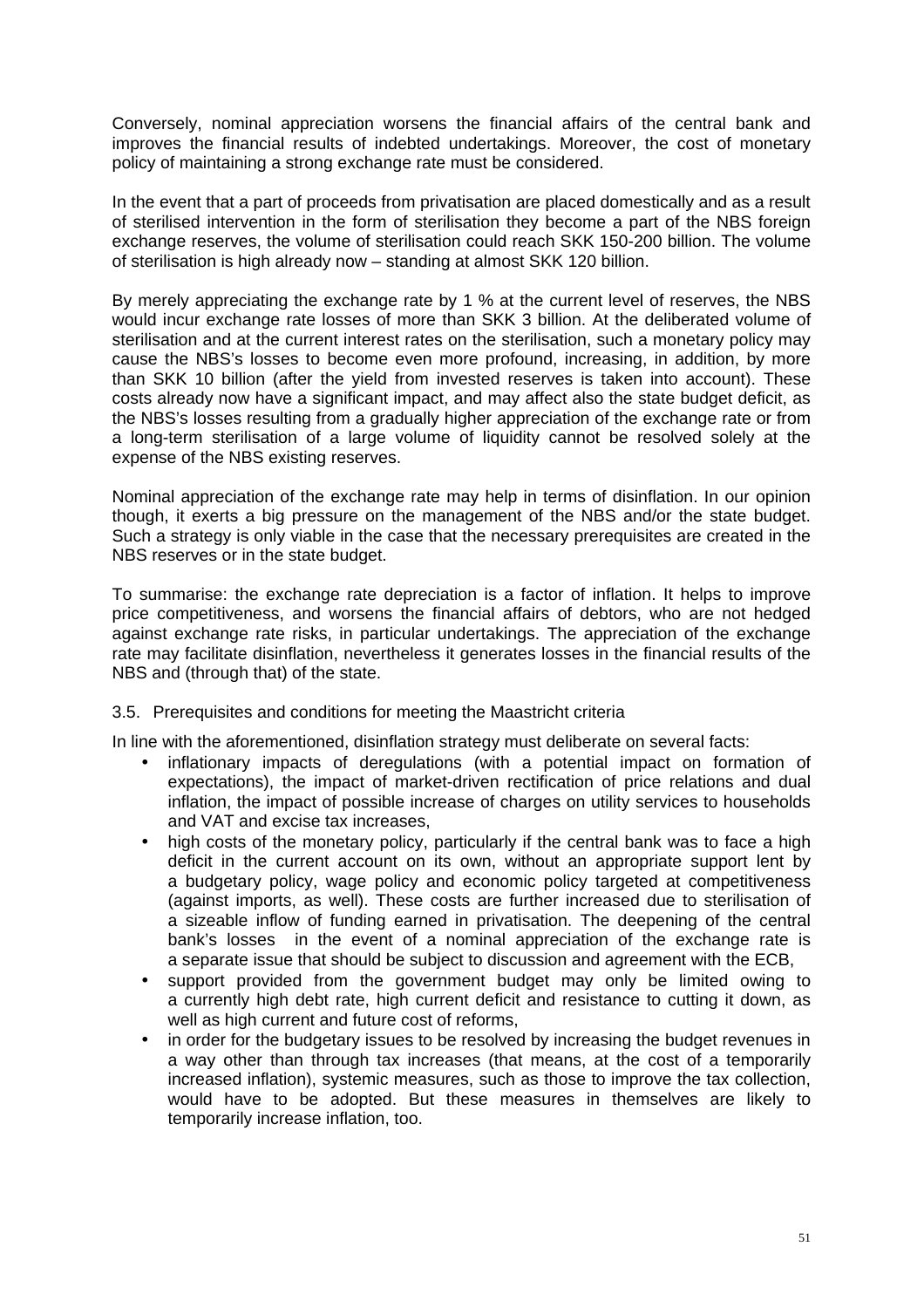Conversely, nominal appreciation worsens the financial affairs of the central bank and improves the financial results of indebted undertakings. Moreover, the cost of monetary policy of maintaining a strong exchange rate must be considered.

In the event that a part of proceeds from privatisation are placed domestically and as a result of sterilised intervention in the form of sterilisation they become a part of the NBS foreign exchange reserves, the volume of sterilisation could reach SKK 150-200 billion. The volume of sterilisation is high already now – standing at almost SKK 120 billion.

By merely appreciating the exchange rate by 1 % at the current level of reserves, the NBS would incur exchange rate losses of more than SKK 3 billion. At the deliberated volume of sterilisation and at the current interest rates on the sterilisation, such a monetary policy may cause the NBS's losses to become even more profound, increasing, in addition, by more than SKK 10 billion (after the yield from invested reserves is taken into account). These costs already now have a significant impact, and may affect also the state budget deficit, as the NBS's losses resulting from a gradually higher appreciation of the exchange rate or from a long-term sterilisation of a large volume of liquidity cannot be resolved solely at the expense of the NBS existing reserves.

Nominal appreciation of the exchange rate may help in terms of disinflation. In our opinion though, it exerts a big pressure on the management of the NBS and/or the state budget. Such a strategy is only viable in the case that the necessary prerequisites are created in the NBS reserves or in the state budget.

To summarise: the exchange rate depreciation is a factor of inflation. It helps to improve price competitiveness, and worsens the financial affairs of debtors, who are not hedged against exchange rate risks, in particular undertakings. The appreciation of the exchange rate may facilitate disinflation, nevertheless it generates losses in the financial results of the NBS and (through that) of the state.

#### 3.5. Prerequisites and conditions for meeting the Maastricht criteria

In line with the aforementioned, disinflation strategy must deliberate on several facts:

- inflationary impacts of deregulations (with a potential impact on formation of expectations), the impact of market-driven rectification of price relations and dual inflation, the impact of possible increase of charges on utility services to households and VAT and excise tax increases,
- high costs of the monetary policy, particularly if the central bank was to face a high deficit in the current account on its own, without an appropriate support lent by a budgetary policy, wage policy and economic policy targeted at competitiveness (against imports, as well). These costs are further increased due to sterilisation of a sizeable inflow of funding earned in privatisation. The deepening of the central bank's losses in the event of a nominal appreciation of the exchange rate is a separate issue that should be subject to discussion and agreement with the ECB,
- support provided from the government budget may only be limited owing to a currently high debt rate, high current deficit and resistance to cutting it down, as well as high current and future cost of reforms,
- in order for the budgetary issues to be resolved by increasing the budget revenues in a way other than through tax increases (that means, at the cost of a temporarily increased inflation), systemic measures, such as those to improve the tax collection, would have to be adopted. But these measures in themselves are likely to temporarily increase inflation, too.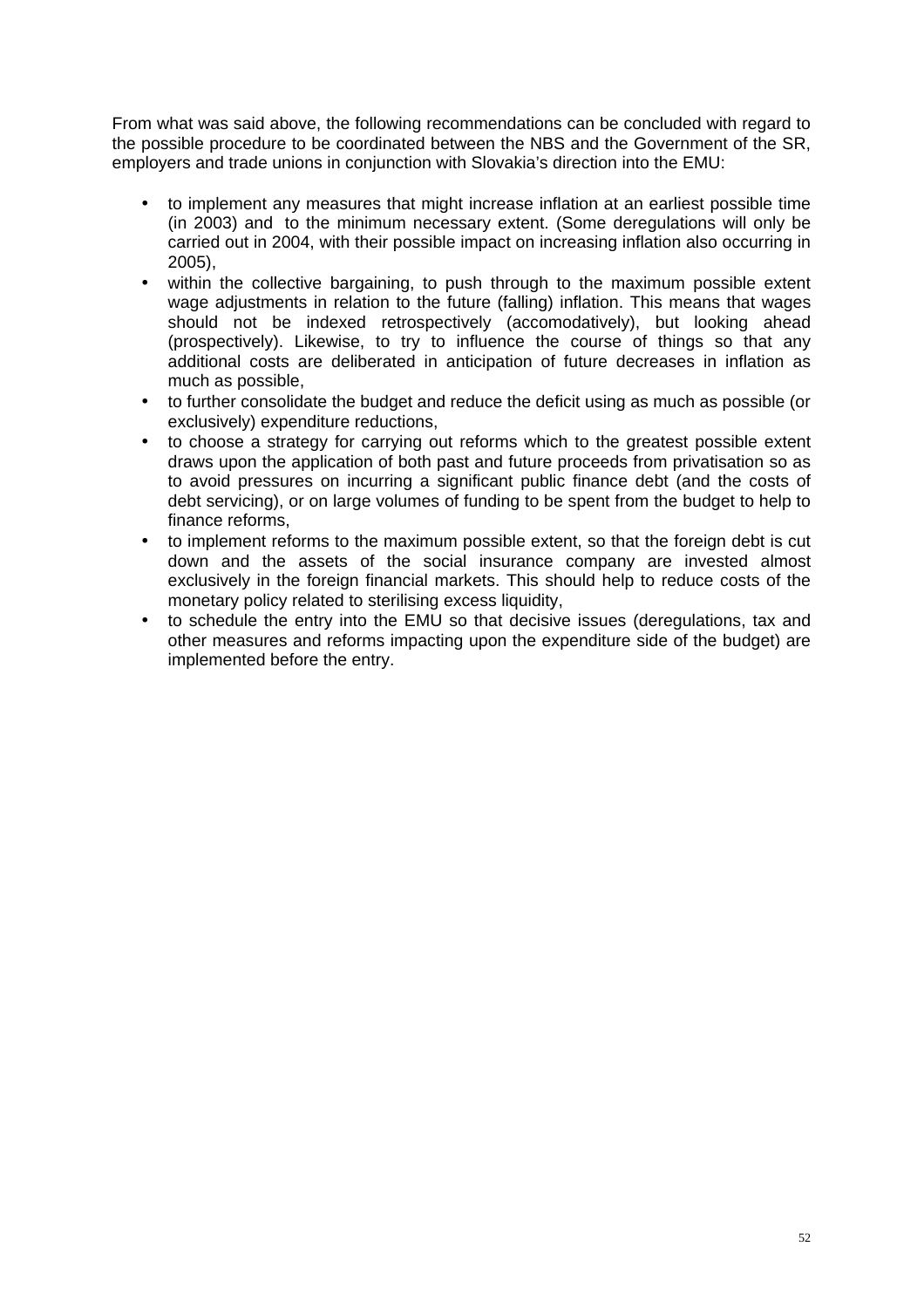From what was said above, the following recommendations can be concluded with regard to the possible procedure to be coordinated between the NBS and the Government of the SR, employers and trade unions in conjunction with Slovakia's direction into the EMU:

- to implement any measures that might increase inflation at an earliest possible time (in 2003) and to the minimum necessary extent. (Some deregulations will only be carried out in 2004, with their possible impact on increasing inflation also occurring in 2005),
- within the collective bargaining, to push through to the maximum possible extent wage adjustments in relation to the future (falling) inflation. This means that wages should not be indexed retrospectively (accomodatively), but looking ahead (prospectively). Likewise, to try to influence the course of things so that any additional costs are deliberated in anticipation of future decreases in inflation as much as possible,
- to further consolidate the budget and reduce the deficit using as much as possible (or exclusively) expenditure reductions,
- to choose a strategy for carrying out reforms which to the greatest possible extent draws upon the application of both past and future proceeds from privatisation so as to avoid pressures on incurring a significant public finance debt (and the costs of debt servicing), or on large volumes of funding to be spent from the budget to help to finance reforms,
- to implement reforms to the maximum possible extent, so that the foreign debt is cut down and the assets of the social insurance company are invested almost exclusively in the foreign financial markets. This should help to reduce costs of the monetary policy related to sterilising excess liquidity,
- to schedule the entry into the EMU so that decisive issues (deregulations, tax and other measures and reforms impacting upon the expenditure side of the budget) are implemented before the entry.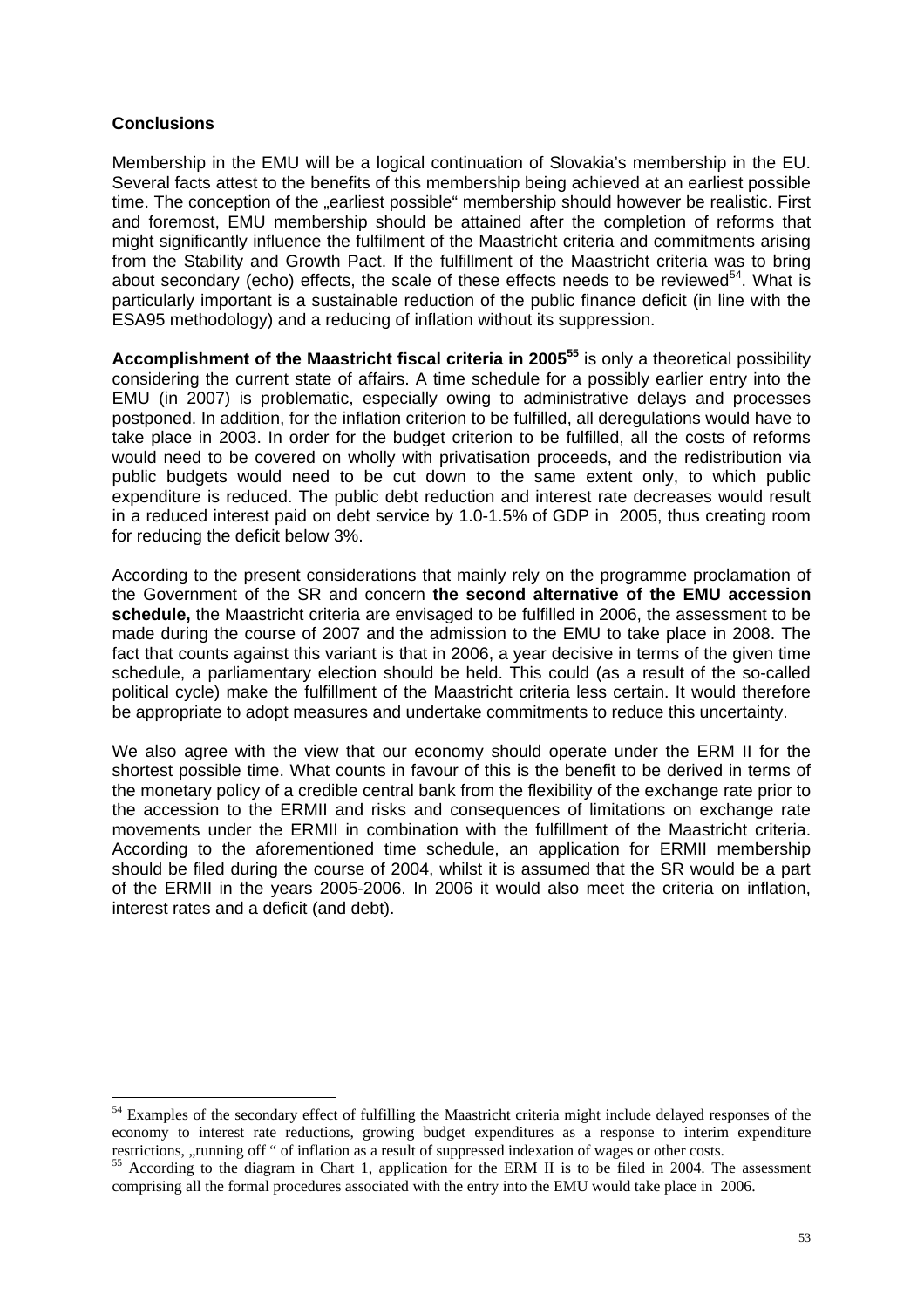#### **Conclusions**

 $\overline{a}$ 

Membership in the EMU will be a logical continuation of Slovakia's membership in the EU. Several facts attest to the benefits of this membership being achieved at an earliest possible time. The conception of the "earliest possible" membership should however be realistic. First and foremost, EMU membership should be attained after the completion of reforms that might significantly influence the fulfilment of the Maastricht criteria and commitments arising from the Stability and Growth Pact. If the fulfillment of the Maastricht criteria was to bring about secondary (echo) effects, the scale of these effects needs to be reviewed<sup>54</sup>. What is particularly important is a sustainable reduction of the public finance deficit (in line with the ESA95 methodology) and a reducing of inflation without its suppression.

**Accomplishment of the Maastricht fiscal criteria in 2005<sup>55</sup>** is only a theoretical possibility considering the current state of affairs. A time schedule for a possibly earlier entry into the EMU (in 2007) is problematic, especially owing to administrative delays and processes postponed. In addition, for the inflation criterion to be fulfilled, all deregulations would have to take place in 2003. In order for the budget criterion to be fulfilled, all the costs of reforms would need to be covered on wholly with privatisation proceeds, and the redistribution via public budgets would need to be cut down to the same extent only, to which public expenditure is reduced. The public debt reduction and interest rate decreases would result in a reduced interest paid on debt service by 1.0-1.5% of GDP in 2005, thus creating room for reducing the deficit below 3%.

According to the present considerations that mainly rely on the programme proclamation of the Government of the SR and concern **the second alternative of the EMU accession schedule,** the Maastricht criteria are envisaged to be fulfilled in 2006, the assessment to be made during the course of 2007 and the admission to the EMU to take place in 2008. The fact that counts against this variant is that in 2006, a year decisive in terms of the given time schedule, a parliamentary election should be held. This could (as a result of the so-called political cycle) make the fulfillment of the Maastricht criteria less certain. It would therefore be appropriate to adopt measures and undertake commitments to reduce this uncertainty.

We also agree with the view that our economy should operate under the ERM II for the shortest possible time. What counts in favour of this is the benefit to be derived in terms of the monetary policy of a credible central bank from the flexibility of the exchange rate prior to the accession to the ERMII and risks and consequences of limitations on exchange rate movements under the ERMII in combination with the fulfillment of the Maastricht criteria. According to the aforementioned time schedule, an application for ERMII membership should be filed during the course of 2004, whilst it is assumed that the SR would be a part of the ERMII in the years 2005-2006. In 2006 it would also meet the criteria on inflation, interest rates and a deficit (and debt).

<sup>&</sup>lt;sup>54</sup> Examples of the secondary effect of fulfilling the Maastricht criteria might include delayed responses of the economy to interest rate reductions, growing budget expenditures as a response to interim expenditure restrictions, "running off " of inflation as a result of suppressed indexation of wages or other costs.

<sup>&</sup>lt;sup>55</sup> According to the diagram in Chart 1, application for the ERM II is to be filed in 2004. The assessment comprising all the formal procedures associated with the entry into the EMU would take place in 2006.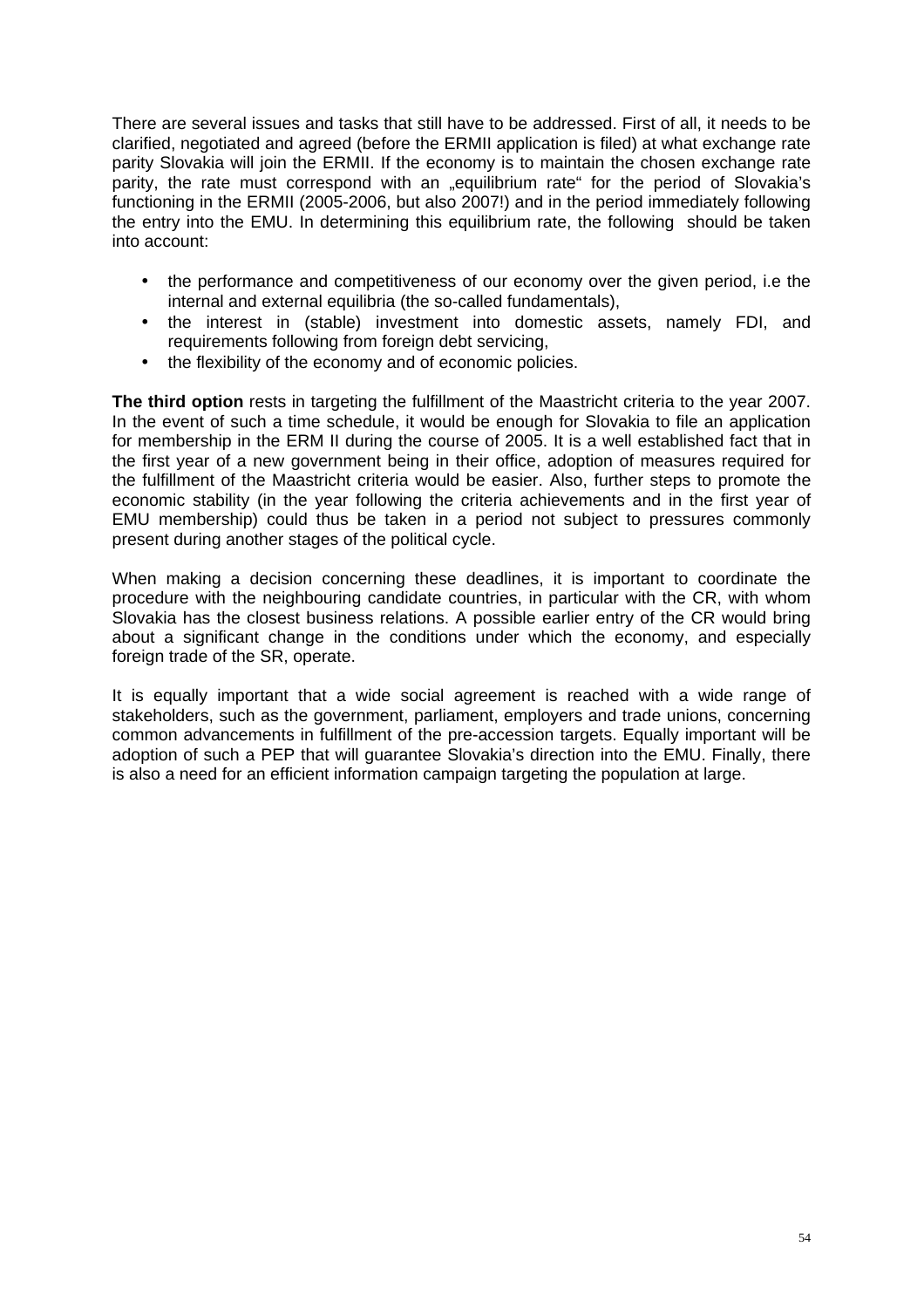There are several issues and tasks that still have to be addressed. First of all, it needs to be clarified, negotiated and agreed (before the ERMII application is filed) at what exchange rate parity Slovakia will join the ERMII. If the economy is to maintain the chosen exchange rate parity, the rate must correspond with an "equilibrium rate" for the period of Slovakia's functioning in the ERMII (2005-2006, but also 2007!) and in the period immediately following the entry into the EMU. In determining this equilibrium rate, the following should be taken into account:

- the performance and competitiveness of our economy over the given period, i.e the internal and external equilibria (the so-called fundamentals),
- the interest in (stable) investment into domestic assets, namely FDI, and requirements following from foreign debt servicing,
- the flexibility of the economy and of economic policies.

**The third option** rests in targeting the fulfillment of the Maastricht criteria to the year 2007. In the event of such a time schedule, it would be enough for Slovakia to file an application for membership in the ERM II during the course of 2005. It is a well established fact that in the first year of a new government being in their office, adoption of measures required for the fulfillment of the Maastricht criteria would be easier. Also, further steps to promote the economic stability (in the year following the criteria achievements and in the first year of EMU membership) could thus be taken in a period not subject to pressures commonly present during another stages of the political cycle.

When making a decision concerning these deadlines, it is important to coordinate the procedure with the neighbouring candidate countries, in particular with the CR, with whom Slovakia has the closest business relations. A possible earlier entry of the CR would bring about a significant change in the conditions under which the economy, and especially foreign trade of the SR, operate.

It is equally important that a wide social agreement is reached with a wide range of stakeholders, such as the government, parliament, employers and trade unions, concerning common advancements in fulfillment of the pre-accession targets. Equally important will be adoption of such a PEP that will guarantee Slovakia's direction into the EMU. Finally, there is also a need for an efficient information campaign targeting the population at large.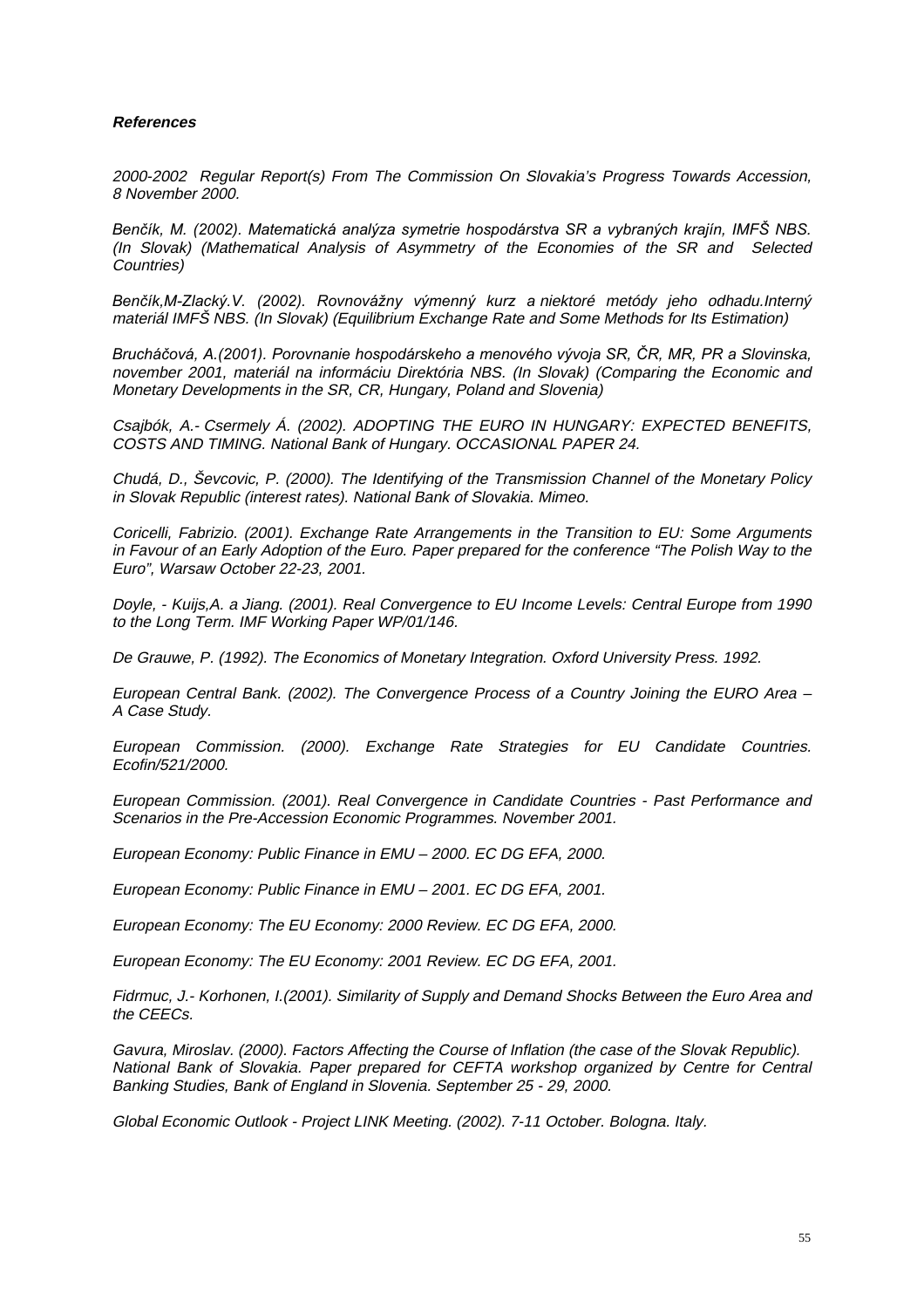#### **References**

2000-2002 Regular Report(s) From The Commission On Slovakia's Progress Towards Accession, 8 November 2000.

Benčík, M. (2002). Matematická analýza symetrie hospodárstva SR a vybraných krajín, IMFŠ NBS. (In Slovak) (Mathematical Analysis of Asymmetry of the Economies of the SR and Selected Countries)

Benčík,M-Zlacký.V. (2002). Rovnovážny výmenný kurz a niektoré metódy jeho odhadu.Interný materiál IMFŠ NBS. (In Slovak) (Equilibrium Exchange Rate and Some Methods for Its Estimation)

Brucháčová, A.(2001). Porovnanie hospodárskeho a menového vývoja SR, ČR, MR, PR a Slovinska, november 2001, materiál na informáciu Direktória NBS. (In Slovak) (Comparing the Economic and Monetary Developments in the SR, CR, Hungary, Poland and Slovenia)

Csajbók, A.- Csermely Á. (2002). ADOPTING THE EURO IN HUNGARY: EXPECTED BENEFITS, COSTS AND TIMING. National Bank of Hungary. OCCASIONAL PAPER 24.

Chudá, D., Ševcovic, P. (2000). The Identifying of the Transmission Channel of the Monetary Policy in Slovak Republic (interest rates). National Bank of Slovakia. Mimeo.

Coricelli, Fabrizio. (2001). Exchange Rate Arrangements in the Transition to EU: Some Arguments in Favour of an Early Adoption of the Euro. Paper prepared for the conference "The Polish Way to the Euro", Warsaw October 22-23, 2001.

Doyle, - Kuijs,A. a Jiang. (2001). Real Convergence to EU Income Levels: Central Europe from 1990 to the Long Term. IMF Working Paper WP/01/146.

De Grauwe, P. (1992). The Economics of Monetary Integration. Oxford University Press. 1992.

European Central Bank. (2002). The Convergence Process of a Country Joining the EURO Area – A Case Study.

European Commission. (2000). Exchange Rate Strategies for EU Candidate Countries. Ecofin/521/2000.

European Commission. (2001). Real Convergence in Candidate Countries - Past Performance and Scenarios in the Pre-Accession Economic Programmes. November 2001.

European Economy: Public Finance in EMU – 2000. EC DG EFA, 2000.

European Economy: Public Finance in EMU – 2001. EC DG EFA, 2001.

European Economy: The EU Economy: 2000 Review. EC DG EFA, 2000.

European Economy: The EU Economy: 2001 Review. EC DG EFA, 2001.

Fidrmuc, J.- Korhonen, I.(2001). Similarity of Supply and Demand Shocks Between the Euro Area and the CEECs.

Gavura, Miroslav. (2000). Factors Affecting the Course of Inflation (the case of the Slovak Republic). National Bank of Slovakia. Paper prepared for CEFTA workshop organized by Centre for Central Banking Studies, Bank of England in Slovenia. September 25 - 29, 2000.

Global Economic Outlook - Project LINK Meeting. (2002). 7-11 October. Bologna. Italy.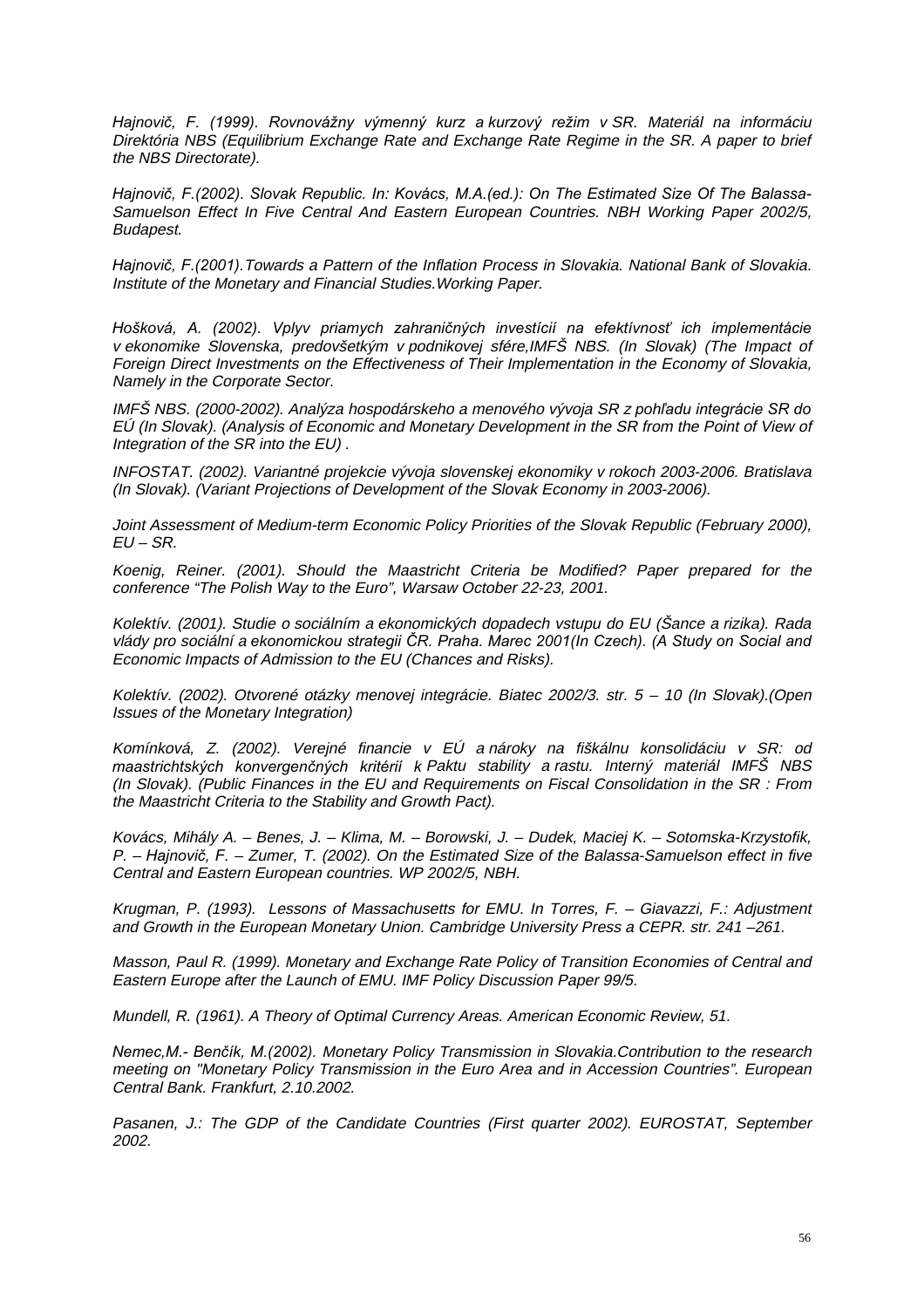Hajnovič, F. (1999). Rovnovážny výmenný kurz a kurzový režim v SR. Materiál na informáciu Direktória NBS (Equilibrium Exchange Rate and Exchange Rate Regime in the SR. A paper to brief the NBS Directorate).

Hajnovič, F.(2002). Slovak Republic. In: Kovács, M.A.(ed.): On The Estimated Size Of The Balassa-Samuelson Effect In Five Central And Eastern European Countries. NBH Working Paper 2002/5, Budapest.

Hajnovič, F.(2001).Towards a Pattern of the Inflation Process in Slovakia. National Bank of Slovakia. Institute of the Monetary and Financial Studies.Working Paper.

Hošková, A. (2002). Vplyv priamych zahraničných investícií na efektívnosť ich implementácie v ekonomike Slovenska, predovšetkým v podnikovej sfére,IMFŠ NBS. (In Slovak) (The Impact of Foreign Direct Investments on the Effectiveness of Their Implementation in the Economy of Slovakia, Namely in the Corporate Sector.

IMFŠ NBS. (2000-2002). Analýza hospodárskeho a menového vývoja SR z pohľadu integrácie SR do EÚ (In Slovak). (Analysis of Economic and Monetary Development in the SR from the Point of View of Integration of the SR into the EU) .

INFOSTAT. (2002). Variantné projekcie vývoja slovenskej ekonomiky v rokoch 2003-2006. Bratislava (In Slovak). (Variant Projections of Development of the Slovak Economy in 2003-2006).

Joint Assessment of Medium-term Economic Policy Priorities of the Slovak Republic (February 2000),  $EU$  – SR.

Koenig, Reiner. (2001). Should the Maastricht Criteria be Modified? Paper prepared for the conference "The Polish Way to the Euro", Warsaw October 22-23, 2001.

Kolektív. (2001). Studie o sociálním a ekonomických dopadech vstupu do EU (Šance a rizika). Rada vlády pro sociální a ekonomickou strategii ČR. Praha. Marec 2001(ln Czech). (A Study on Social and Economic Impacts of Admission to the EU (Chances and Risks).

Kolektív. (2002). Otvorené otázky menovej integrácie. Biatec 2002/3. str. 5 – 10 (In Slovak).(Open Issues of the Monetary Integration)

Komínková, Z. (2002). Verejné financie v EÚ a nároky na fiškálnu konsolidáciu v SR: od maastrichtských konvergenčných kritérií k Paktu stability a rastu. Interný materiál IMFŠ NBS (In Slovak). (Public Finances in the EU and Requirements on Fiscal Consolidation in the SR : From the Maastricht Criteria to the Stability and Growth Pact).

Kovács, Mihály A. – Benes, J. – Klima, M. – Borowski, J. – Dudek, Maciej K. – Sotomska-Krzystofik, P. – Hajnovič, F. – Zumer, T. (2002). On the Estimated Size of the Balassa-Samuelson effect in five Central and Eastern European countries. WP 2002/5, NBH.

Krugman, P. (1993). Lessons of Massachusetts for EMU. In Torres, F. – Giavazzi, F.: Adjustment and Growth in the European Monetary Union. Cambridge University Press a CEPR. str. 241 –261.

Masson, Paul R. (1999). Monetary and Exchange Rate Policy of Transition Economies of Central and Eastern Europe after the Launch of EMU. IMF Policy Discussion Paper 99/5.

Mundell, R. (1961). A Theory of Optimal Currency Areas. American Economic Review, 51.

Nemec,M.- Benčík, M.(2002). Monetary Policy Transmission in Slovakia.Contribution to the research meeting on "Monetary Policy Transmission in the Euro Area and in Accession Countries". European Central Bank. Frankfurt, 2.10.2002.

Pasanen, J.: The GDP of the Candidate Countries (First quarter 2002). EUROSTAT, September 2002.